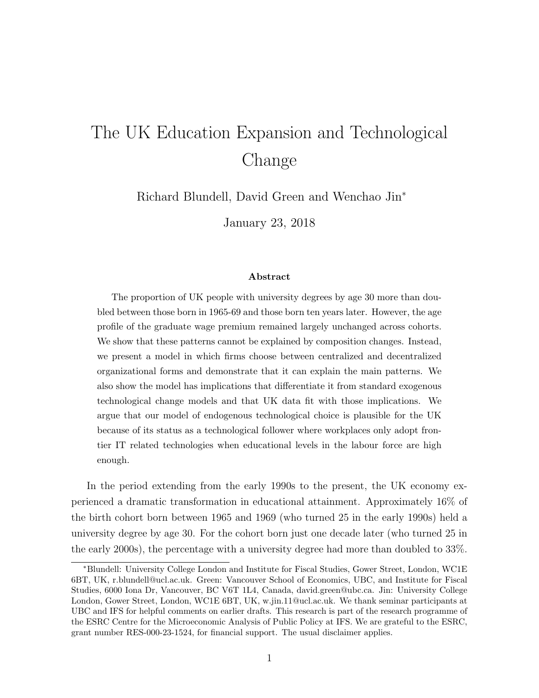# The UK Education Expansion and Technological Change

Richard Blundell, David Green and Wenchao Jin<sup>∗</sup>

January 23, 2018

#### Abstract

The proportion of UK people with university degrees by age 30 more than doubled between those born in 1965-69 and those born ten years later. However, the age profile of the graduate wage premium remained largely unchanged across cohorts. We show that these patterns cannot be explained by composition changes. Instead, we present a model in which firms choose between centralized and decentralized organizational forms and demonstrate that it can explain the main patterns. We also show the model has implications that differentiate it from standard exogenous technological change models and that UK data fit with those implications. We argue that our model of endogenous technological choice is plausible for the UK because of its status as a technological follower where workplaces only adopt frontier IT related technologies when educational levels in the labour force are high enough.

In the period extending from the early 1990s to the present, the UK economy experienced a dramatic transformation in educational attainment. Approximately 16% of the birth cohort born between 1965 and 1969 (who turned 25 in the early 1990s) held a university degree by age 30. For the cohort born just one decade later (who turned 25 in the early 2000s), the percentage with a university degree had more than doubled to 33%.

<sup>∗</sup>Blundell: University College London and Institute for Fiscal Studies, Gower Street, London, WC1E 6BT, UK, r.blundell@ucl.ac.uk. Green: Vancouver School of Economics, UBC, and Institute for Fiscal Studies, 6000 Iona Dr, Vancouver, BC V6T 1L4, Canada, david.green@ubc.ca. Jin: University College London, Gower Street, London, WC1E 6BT, UK, w.jin.11@ucl.ac.uk. We thank seminar participants at UBC and IFS for helpful comments on earlier drafts. This research is part of the research programme of the ESRC Centre for the Microeconomic Analysis of Public Policy at IFS. We are grateful to the ESRC, grant number RES-000-23-1524, for financial support. The usual disclaimer applies.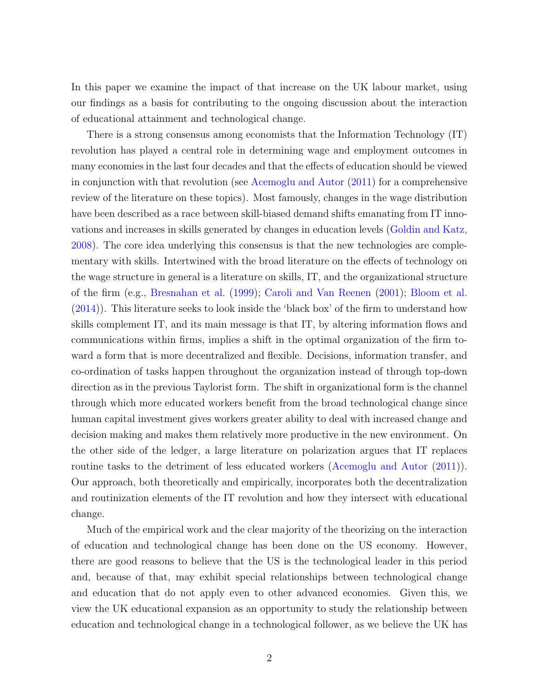In this paper we examine the impact of that increase on the UK labour market, using our findings as a basis for contributing to the ongoing discussion about the interaction of educational attainment and technological change.

There is a strong consensus among economists that the Information Technology (IT) revolution has played a central role in determining wage and employment outcomes in many economies in the last four decades and that the effects of education should be viewed in conjunction with that revolution (see [Acemoglu and Autor](#page-50-0) [\(2011\)](#page-50-0) for a comprehensive review of the literature on these topics). Most famously, changes in the wage distribution have been described as a race between skill-biased demand shifts emanating from IT innovations and increases in skills generated by changes in education levels [\(Goldin and Katz,](#page-52-0) [2008\)](#page-52-0). The core idea underlying this consensus is that the new technologies are complementary with skills. Intertwined with the broad literature on the effects of technology on the wage structure in general is a literature on skills, IT, and the organizational structure of the firm (e.g., [Bresnahan et al.](#page-51-0) [\(1999\)](#page-51-0); [Caroli and Van Reenen](#page-51-1) [\(2001\)](#page-51-1); [Bloom et al.](#page-51-2) [\(2014\)](#page-51-2)). This literature seeks to look inside the 'black box' of the firm to understand how skills complement IT, and its main message is that IT, by altering information flows and communications within firms, implies a shift in the optimal organization of the firm toward a form that is more decentralized and flexible. Decisions, information transfer, and co-ordination of tasks happen throughout the organization instead of through top-down direction as in the previous Taylorist form. The shift in organizational form is the channel through which more educated workers benefit from the broad technological change since human capital investment gives workers greater ability to deal with increased change and decision making and makes them relatively more productive in the new environment. On the other side of the ledger, a large literature on polarization argues that IT replaces routine tasks to the detriment of less educated workers [\(Acemoglu and Autor](#page-50-0) [\(2011\)](#page-50-0)). Our approach, both theoretically and empirically, incorporates both the decentralization and routinization elements of the IT revolution and how they intersect with educational change.

Much of the empirical work and the clear majority of the theorizing on the interaction of education and technological change has been done on the US economy. However, there are good reasons to believe that the US is the technological leader in this period and, because of that, may exhibit special relationships between technological change and education that do not apply even to other advanced economies. Given this, we view the UK educational expansion as an opportunity to study the relationship between education and technological change in a technological follower, as we believe the UK has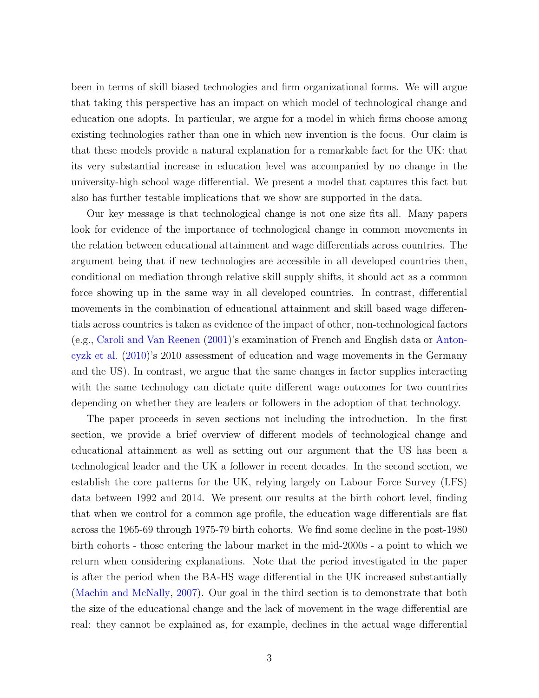been in terms of skill biased technologies and firm organizational forms. We will argue that taking this perspective has an impact on which model of technological change and education one adopts. In particular, we argue for a model in which firms choose among existing technologies rather than one in which new invention is the focus. Our claim is that these models provide a natural explanation for a remarkable fact for the UK: that its very substantial increase in education level was accompanied by no change in the university-high school wage differential. We present a model that captures this fact but also has further testable implications that we show are supported in the data.

Our key message is that technological change is not one size fits all. Many papers look for evidence of the importance of technological change in common movements in the relation between educational attainment and wage differentials across countries. The argument being that if new technologies are accessible in all developed countries then, conditional on mediation through relative skill supply shifts, it should act as a common force showing up in the same way in all developed countries. In contrast, differential movements in the combination of educational attainment and skill based wage differentials across countries is taken as evidence of the impact of other, non-technological factors (e.g., [Caroli and Van Reenen](#page-51-1) [\(2001\)](#page-51-1)'s examination of French and English data or [Anton](#page-50-1)[cyzk et al.](#page-50-1) [\(2010\)](#page-50-1)'s 2010 assessment of education and wage movements in the Germany and the US). In contrast, we argue that the same changes in factor supplies interacting with the same technology can dictate quite different wage outcomes for two countries depending on whether they are leaders or followers in the adoption of that technology.

The paper proceeds in seven sections not including the introduction. In the first section, we provide a brief overview of different models of technological change and educational attainment as well as setting out our argument that the US has been a technological leader and the UK a follower in recent decades. In the second section, we establish the core patterns for the UK, relying largely on Labour Force Survey (LFS) data between 1992 and 2014. We present our results at the birth cohort level, finding that when we control for a common age profile, the education wage differentials are flat across the 1965-69 through 1975-79 birth cohorts. We find some decline in the post-1980 birth cohorts - those entering the labour market in the mid-2000s - a point to which we return when considering explanations. Note that the period investigated in the paper is after the period when the BA-HS wage differential in the UK increased substantially [\(Machin and McNally,](#page-53-0) [2007\)](#page-53-0). Our goal in the third section is to demonstrate that both the size of the educational change and the lack of movement in the wage differential are real: they cannot be explained as, for example, declines in the actual wage differential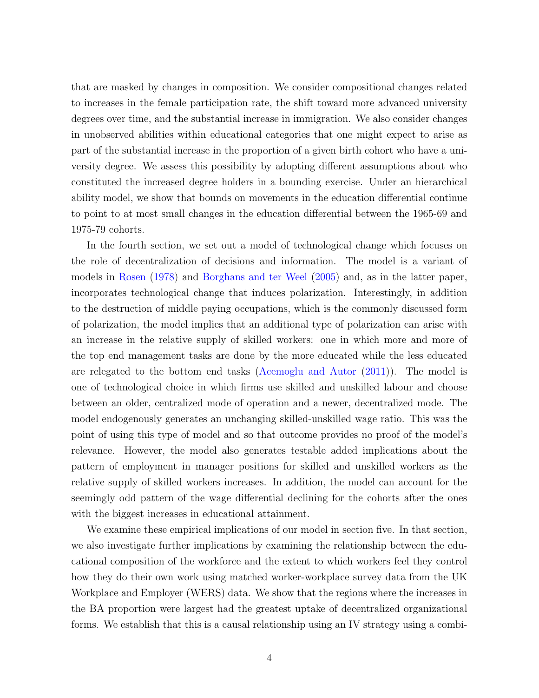that are masked by changes in composition. We consider compositional changes related to increases in the female participation rate, the shift toward more advanced university degrees over time, and the substantial increase in immigration. We also consider changes in unobserved abilities within educational categories that one might expect to arise as part of the substantial increase in the proportion of a given birth cohort who have a university degree. We assess this possibility by adopting different assumptions about who constituted the increased degree holders in a bounding exercise. Under an hierarchical ability model, we show that bounds on movements in the education differential continue to point to at most small changes in the education differential between the 1965-69 and 1975-79 cohorts.

In the fourth section, we set out a model of technological change which focuses on the role of decentralization of decisions and information. The model is a variant of models in [Rosen](#page-53-1) [\(1978\)](#page-53-1) and [Borghans and ter Weel](#page-51-3) [\(2005\)](#page-51-3) and, as in the latter paper, incorporates technological change that induces polarization. Interestingly, in addition to the destruction of middle paying occupations, which is the commonly discussed form of polarization, the model implies that an additional type of polarization can arise with an increase in the relative supply of skilled workers: one in which more and more of the top end management tasks are done by the more educated while the less educated are relegated to the bottom end tasks [\(Acemoglu and Autor](#page-50-0) [\(2011\)](#page-50-0)). The model is one of technological choice in which firms use skilled and unskilled labour and choose between an older, centralized mode of operation and a newer, decentralized mode. The model endogenously generates an unchanging skilled-unskilled wage ratio. This was the point of using this type of model and so that outcome provides no proof of the model's relevance. However, the model also generates testable added implications about the pattern of employment in manager positions for skilled and unskilled workers as the relative supply of skilled workers increases. In addition, the model can account for the seemingly odd pattern of the wage differential declining for the cohorts after the ones with the biggest increases in educational attainment.

We examine these empirical implications of our model in section five. In that section, we also investigate further implications by examining the relationship between the educational composition of the workforce and the extent to which workers feel they control how they do their own work using matched worker-workplace survey data from the UK Workplace and Employer (WERS) data. We show that the regions where the increases in the BA proportion were largest had the greatest uptake of decentralized organizational forms. We establish that this is a causal relationship using an IV strategy using a combi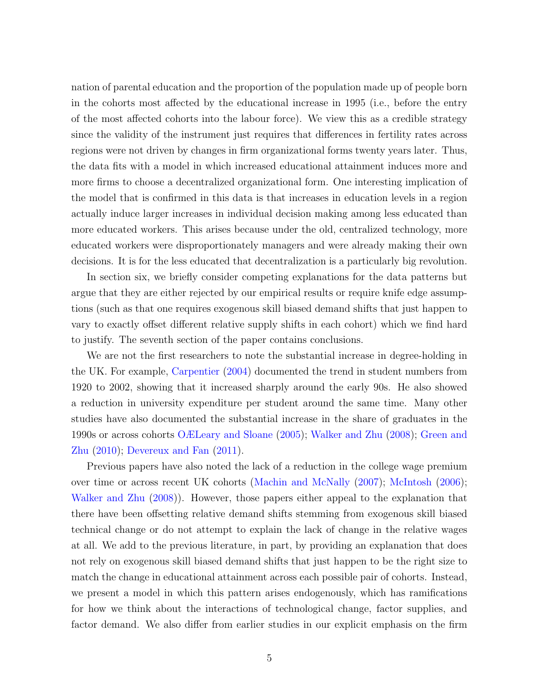nation of parental education and the proportion of the population made up of people born in the cohorts most affected by the educational increase in 1995 (i.e., before the entry of the most affected cohorts into the labour force). We view this as a credible strategy since the validity of the instrument just requires that differences in fertility rates across regions were not driven by changes in firm organizational forms twenty years later. Thus, the data fits with a model in which increased educational attainment induces more and more firms to choose a decentralized organizational form. One interesting implication of the model that is confirmed in this data is that increases in education levels in a region actually induce larger increases in individual decision making among less educated than more educated workers. This arises because under the old, centralized technology, more educated workers were disproportionately managers and were already making their own decisions. It is for the less educated that decentralization is a particularly big revolution.

In section six, we briefly consider competing explanations for the data patterns but argue that they are either rejected by our empirical results or require knife edge assumptions (such as that one requires exogenous skill biased demand shifts that just happen to vary to exactly offset different relative supply shifts in each cohort) which we find hard to justify. The seventh section of the paper contains conclusions.

We are not the first researchers to note the substantial increase in degree-holding in the UK. For example, [Carpentier](#page-51-4) [\(2004\)](#page-51-4) documented the trend in student numbers from 1920 to 2002, showing that it increased sharply around the early 90s. He also showed a reduction in university expenditure per student around the same time. Many other studies have also documented the substantial increase in the share of graduates in the 1990s or across cohorts [OÆLeary and Sloane](#page-53-2) [\(2005\)](#page-53-2); [Walker and Zhu](#page-53-3) [\(2008\)](#page-53-3); [Green and](#page-52-1) [Zhu](#page-52-1) [\(2010\)](#page-52-1); [Devereux and Fan](#page-52-2) [\(2011\)](#page-52-2).

Previous papers have also noted the lack of a reduction in the college wage premium over time or across recent UK cohorts [\(Machin and McNally](#page-53-0) [\(2007\)](#page-53-0); [McIntosh](#page-53-4) [\(2006\)](#page-53-4); [Walker and Zhu](#page-53-3) [\(2008\)](#page-53-3)). However, those papers either appeal to the explanation that there have been offsetting relative demand shifts stemming from exogenous skill biased technical change or do not attempt to explain the lack of change in the relative wages at all. We add to the previous literature, in part, by providing an explanation that does not rely on exogenous skill biased demand shifts that just happen to be the right size to match the change in educational attainment across each possible pair of cohorts. Instead, we present a model in which this pattern arises endogenously, which has ramifications for how we think about the interactions of technological change, factor supplies, and factor demand. We also differ from earlier studies in our explicit emphasis on the firm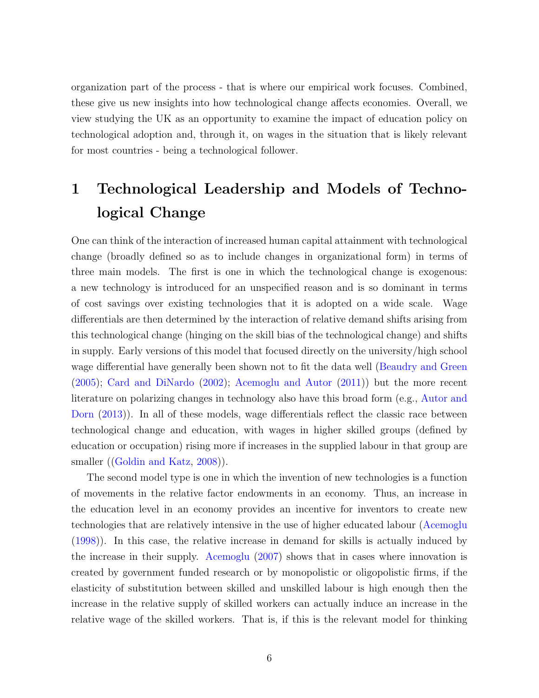organization part of the process - that is where our empirical work focuses. Combined, these give us new insights into how technological change affects economies. Overall, we view studying the UK as an opportunity to examine the impact of education policy on technological adoption and, through it, on wages in the situation that is likely relevant for most countries - being a technological follower.

# 1 Technological Leadership and Models of Technological Change

One can think of the interaction of increased human capital attainment with technological change (broadly defined so as to include changes in organizational form) in terms of three main models. The first is one in which the technological change is exogenous: a new technology is introduced for an unspecified reason and is so dominant in terms of cost savings over existing technologies that it is adopted on a wide scale. Wage differentials are then determined by the interaction of relative demand shifts arising from this technological change (hinging on the skill bias of the technological change) and shifts in supply. Early versions of this model that focused directly on the university/high school wage differential have generally been shown not to fit the data well [\(Beaudry and Green](#page-50-2) [\(2005\)](#page-50-2); [Card and DiNardo](#page-51-5) [\(2002\)](#page-51-5); [Acemoglu and Autor](#page-50-0) [\(2011\)](#page-50-0)) but the more recent literature on polarizing changes in technology also have this broad form (e.g., [Autor and](#page-50-3) [Dorn](#page-50-3) [\(2013\)](#page-50-3)). In all of these models, wage differentials reflect the classic race between technological change and education, with wages in higher skilled groups (defined by education or occupation) rising more if increases in the supplied labour in that group are smaller ([\(Goldin and Katz,](#page-52-0) [2008\)](#page-52-0)).

The second model type is one in which the invention of new technologies is a function of movements in the relative factor endowments in an economy. Thus, an increase in the education level in an economy provides an incentive for inventors to create new technologies that are relatively intensive in the use of higher educated labour [\(Acemoglu](#page-50-4) [\(1998\)](#page-50-4)). In this case, the relative increase in demand for skills is actually induced by the increase in their supply. [Acemoglu](#page-50-5) [\(2007\)](#page-50-5) shows that in cases where innovation is created by government funded research or by monopolistic or oligopolistic firms, if the elasticity of substitution between skilled and unskilled labour is high enough then the increase in the relative supply of skilled workers can actually induce an increase in the relative wage of the skilled workers. That is, if this is the relevant model for thinking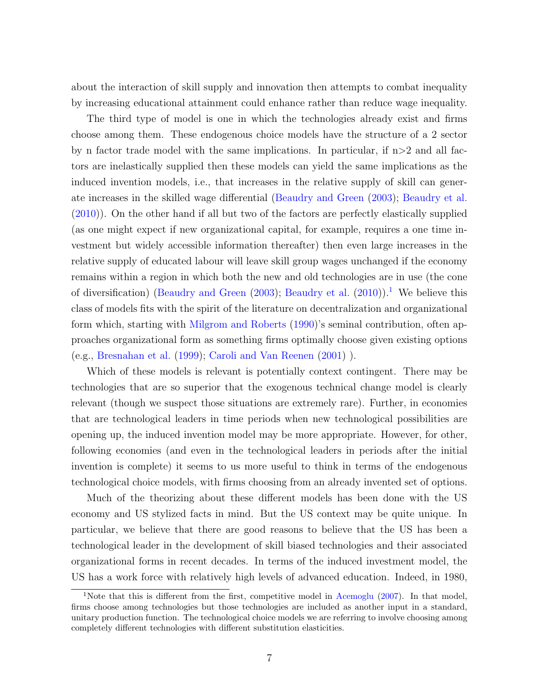about the interaction of skill supply and innovation then attempts to combat inequality by increasing educational attainment could enhance rather than reduce wage inequality.

The third type of model is one in which the technologies already exist and firms choose among them. These endogenous choice models have the structure of a 2 sector by n factor trade model with the same implications. In particular, if  $n > 2$  and all factors are inelastically supplied then these models can yield the same implications as the induced invention models, i.e., that increases in the relative supply of skill can generate increases in the skilled wage differential [\(Beaudry and Green](#page-50-6) [\(2003\)](#page-50-6); [Beaudry et al.](#page-50-7) [\(2010\)](#page-50-7)). On the other hand if all but two of the factors are perfectly elastically supplied (as one might expect if new organizational capital, for example, requires a one time investment but widely accessible information thereafter) then even large increases in the relative supply of educated labour will leave skill group wages unchanged if the economy remains within a region in which both the new and old technologies are in use (the cone of diversification) [\(Beaudry and Green](#page-50-6) [\(2003\)](#page-50-6); [Beaudry et al.](#page-50-7) [\(2010\)](#page-50-7)).<sup>[1](#page-6-0)</sup> We believe this class of models fits with the spirit of the literature on decentralization and organizational form which, starting with [Milgrom and Roberts](#page-53-5) [\(1990\)](#page-53-5)'s seminal contribution, often approaches organizational form as something firms optimally choose given existing options (e.g., [Bresnahan et al.](#page-51-0) [\(1999\)](#page-51-0); [Caroli and Van Reenen](#page-51-1) [\(2001\)](#page-51-1) ).

Which of these models is relevant is potentially context contingent. There may be technologies that are so superior that the exogenous technical change model is clearly relevant (though we suspect those situations are extremely rare). Further, in economies that are technological leaders in time periods when new technological possibilities are opening up, the induced invention model may be more appropriate. However, for other, following economies (and even in the technological leaders in periods after the initial invention is complete) it seems to us more useful to think in terms of the endogenous technological choice models, with firms choosing from an already invented set of options.

Much of the theorizing about these different models has been done with the US economy and US stylized facts in mind. But the US context may be quite unique. In particular, we believe that there are good reasons to believe that the US has been a technological leader in the development of skill biased technologies and their associated organizational forms in recent decades. In terms of the induced investment model, the US has a work force with relatively high levels of advanced education. Indeed, in 1980,

<span id="page-6-0"></span><sup>&</sup>lt;sup>1</sup>Note that this is different from the first, competitive model in [Acemoglu](#page-50-5) [\(2007\)](#page-50-5). In that model, firms choose among technologies but those technologies are included as another input in a standard, unitary production function. The technological choice models we are referring to involve choosing among completely different technologies with different substitution elasticities.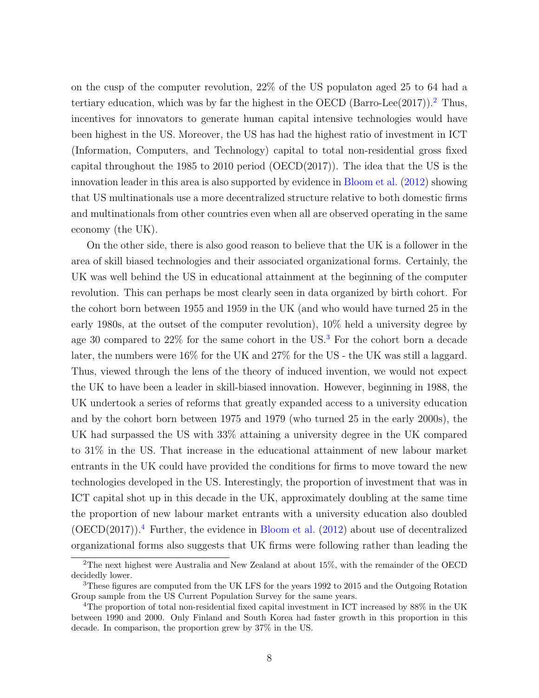on the cusp of the computer revolution, 22% of the US populaton aged 25 to 64 had a tertiary education, which was by far the highest in the OECD (Barro-Lee([2](#page-7-0)017)).<sup>2</sup> Thus, incentives for innovators to generate human capital intensive technologies would have been highest in the US. Moreover, the US has had the highest ratio of investment in ICT (Information, Computers, and Technology) capital to total non-residential gross fixed capital throughout the 1985 to 2010 period (OECD(2017)). The idea that the US is the innovation leader in this area is also supported by evidence in [Bloom et al.](#page-51-6) [\(2012\)](#page-51-6) showing that US multinationals use a more decentralized structure relative to both domestic firms and multinationals from other countries even when all are observed operating in the same economy (the UK).

On the other side, there is also good reason to believe that the UK is a follower in the area of skill biased technologies and their associated organizational forms. Certainly, the UK was well behind the US in educational attainment at the beginning of the computer revolution. This can perhaps be most clearly seen in data organized by birth cohort. For the cohort born between 1955 and 1959 in the UK (and who would have turned 25 in the early 1980s, at the outset of the computer revolution), 10% held a university degree by age 30 compared to 22% for the same cohort in the US.[3](#page-7-1) For the cohort born a decade later, the numbers were 16% for the UK and 27% for the US - the UK was still a laggard. Thus, viewed through the lens of the theory of induced invention, we would not expect the UK to have been a leader in skill-biased innovation. However, beginning in 1988, the UK undertook a series of reforms that greatly expanded access to a university education and by the cohort born between 1975 and 1979 (who turned 25 in the early 2000s), the UK had surpassed the US with 33% attaining a university degree in the UK compared to 31% in the US. That increase in the educational attainment of new labour market entrants in the UK could have provided the conditions for firms to move toward the new technologies developed in the US. Interestingly, the proportion of investment that was in ICT capital shot up in this decade in the UK, approximately doubling at the same time the proportion of new labour market entrants with a university education also doubled  $(OECD(2017))$ <sup>[4](#page-7-2)</sup> Further, the evidence in [Bloom et al.](#page-51-6)  $(2012)$  about use of decentralized organizational forms also suggests that UK firms were following rather than leading the

<span id="page-7-0"></span><sup>&</sup>lt;sup>2</sup>The next highest were Australia and New Zealand at about  $15\%$ , with the remainder of the OECD decidedly lower.

<span id="page-7-1"></span><sup>3</sup>These figures are computed from the UK LFS for the years 1992 to 2015 and the Outgoing Rotation Group sample from the US Current Population Survey for the same years.

<span id="page-7-2"></span><sup>&</sup>lt;sup>4</sup>The proportion of total non-residential fixed capital investment in ICT increased by 88% in the UK between 1990 and 2000. Only Finland and South Korea had faster growth in this proportion in this decade. In comparison, the proportion grew by 37% in the US.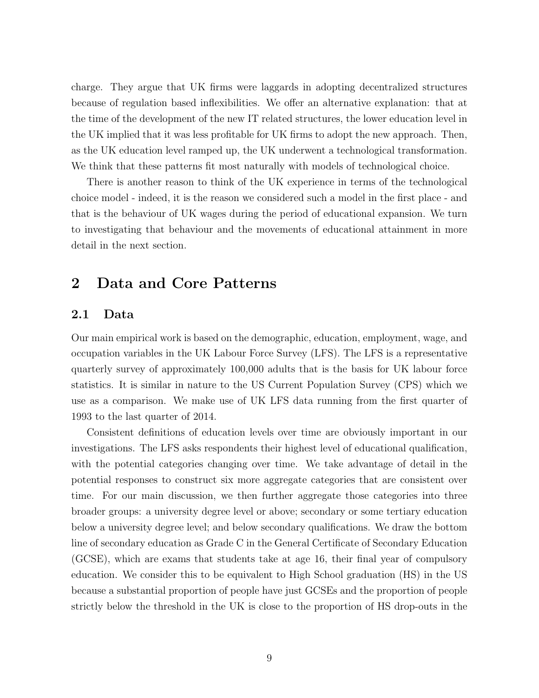charge. They argue that UK firms were laggards in adopting decentralized structures because of regulation based inflexibilities. We offer an alternative explanation: that at the time of the development of the new IT related structures, the lower education level in the UK implied that it was less profitable for UK firms to adopt the new approach. Then, as the UK education level ramped up, the UK underwent a technological transformation. We think that these patterns fit most naturally with models of technological choice.

There is another reason to think of the UK experience in terms of the technological choice model - indeed, it is the reason we considered such a model in the first place - and that is the behaviour of UK wages during the period of educational expansion. We turn to investigating that behaviour and the movements of educational attainment in more detail in the next section.

## 2 Data and Core Patterns

#### 2.1 Data

Our main empirical work is based on the demographic, education, employment, wage, and occupation variables in the UK Labour Force Survey (LFS). The LFS is a representative quarterly survey of approximately 100,000 adults that is the basis for UK labour force statistics. It is similar in nature to the US Current Population Survey (CPS) which we use as a comparison. We make use of UK LFS data running from the first quarter of 1993 to the last quarter of 2014.

Consistent definitions of education levels over time are obviously important in our investigations. The LFS asks respondents their highest level of educational qualification, with the potential categories changing over time. We take advantage of detail in the potential responses to construct six more aggregate categories that are consistent over time. For our main discussion, we then further aggregate those categories into three broader groups: a university degree level or above; secondary or some tertiary education below a university degree level; and below secondary qualifications. We draw the bottom line of secondary education as Grade C in the General Certificate of Secondary Education (GCSE), which are exams that students take at age 16, their final year of compulsory education. We consider this to be equivalent to High School graduation (HS) in the US because a substantial proportion of people have just GCSEs and the proportion of people strictly below the threshold in the UK is close to the proportion of HS drop-outs in the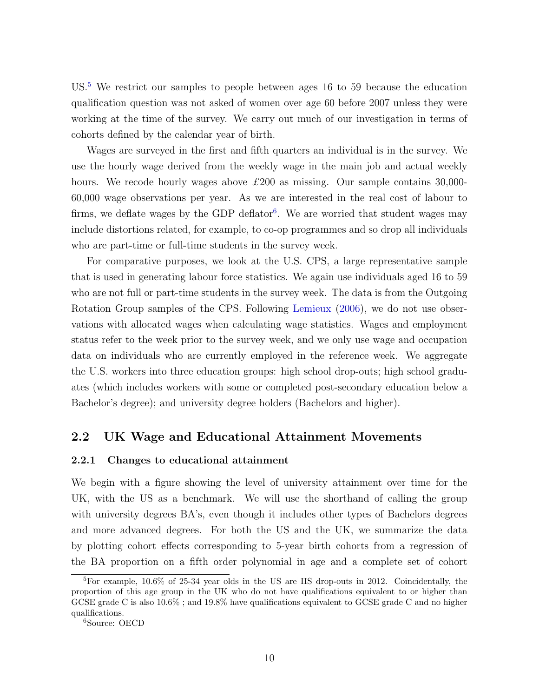US.[5](#page-9-0) We restrict our samples to people between ages 16 to 59 because the education qualification question was not asked of women over age 60 before 2007 unless they were working at the time of the survey. We carry out much of our investigation in terms of cohorts defined by the calendar year of birth.

Wages are surveyed in the first and fifth quarters an individual is in the survey. We use the hourly wage derived from the weekly wage in the main job and actual weekly hours. We recode hourly wages above  $\pounds 200$  as missing. Our sample contains 30,000-60,000 wage observations per year. As we are interested in the real cost of labour to firms, we deflate wages by the GDP deflator<sup>[6](#page-9-1)</sup>. We are worried that student wages may include distortions related, for example, to co-op programmes and so drop all individuals who are part-time or full-time students in the survey week.

For comparative purposes, we look at the U.S. CPS, a large representative sample that is used in generating labour force statistics. We again use individuals aged 16 to 59 who are not full or part-time students in the survey week. The data is from the Outgoing Rotation Group samples of the CPS. Following [Lemieux](#page-52-3) [\(2006\)](#page-52-3), we do not use observations with allocated wages when calculating wage statistics. Wages and employment status refer to the week prior to the survey week, and we only use wage and occupation data on individuals who are currently employed in the reference week. We aggregate the U.S. workers into three education groups: high school drop-outs; high school graduates (which includes workers with some or completed post-secondary education below a Bachelor's degree); and university degree holders (Bachelors and higher).

### 2.2 UK Wage and Educational Attainment Movements

#### 2.2.1 Changes to educational attainment

We begin with a figure showing the level of university attainment over time for the UK, with the US as a benchmark. We will use the shorthand of calling the group with university degrees BA's, even though it includes other types of Bachelors degrees and more advanced degrees. For both the US and the UK, we summarize the data by plotting cohort effects corresponding to 5-year birth cohorts from a regression of the BA proportion on a fifth order polynomial in age and a complete set of cohort

<span id="page-9-0"></span><sup>5</sup>For example, 10.6% of 25-34 year olds in the US are HS drop-outs in 2012. Coincidentally, the proportion of this age group in the UK who do not have qualifications equivalent to or higher than GCSE grade C is also 10.6% ; and 19.8% have qualifications equivalent to GCSE grade C and no higher qualifications.

<span id="page-9-1"></span><sup>6</sup>Source: OECD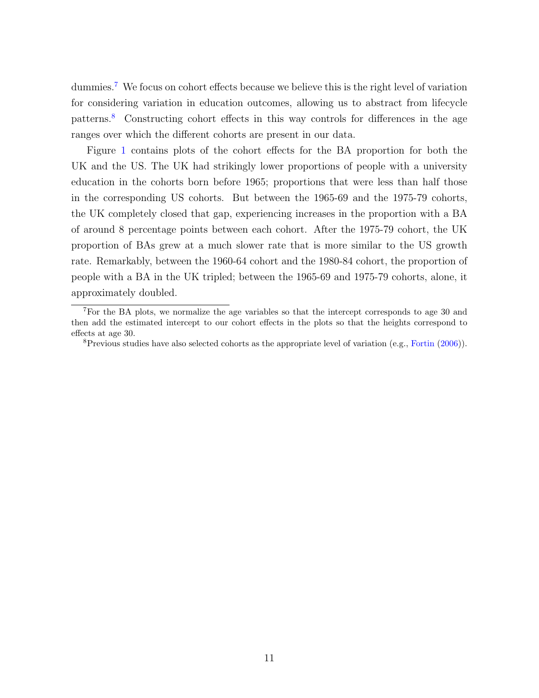dummies.<sup>[7](#page-10-0)</sup> We focus on cohort effects because we believe this is the right level of variation for considering variation in education outcomes, allowing us to abstract from lifecycle patterns.[8](#page-10-1) Constructing cohort effects in this way controls for differences in the age ranges over which the different cohorts are present in our data.

Figure [1](#page-11-0) contains plots of the cohort effects for the BA proportion for both the UK and the US. The UK had strikingly lower proportions of people with a university education in the cohorts born before 1965; proportions that were less than half those in the corresponding US cohorts. But between the 1965-69 and the 1975-79 cohorts, the UK completely closed that gap, experiencing increases in the proportion with a BA of around 8 percentage points between each cohort. After the 1975-79 cohort, the UK proportion of BAs grew at a much slower rate that is more similar to the US growth rate. Remarkably, between the 1960-64 cohort and the 1980-84 cohort, the proportion of people with a BA in the UK tripled; between the 1965-69 and 1975-79 cohorts, alone, it approximately doubled.

<span id="page-10-0"></span><sup>&</sup>lt;sup>7</sup>For the BA plots, we normalize the age variables so that the intercept corresponds to age 30 and then add the estimated intercept to our cohort effects in the plots so that the heights correspond to effects at age 30.

<span id="page-10-1"></span> ${}^{8}$ Previous studies have also selected cohorts as the appropriate level of variation (e.g., [Fortin](#page-52-4) [\(2006\)](#page-52-4)).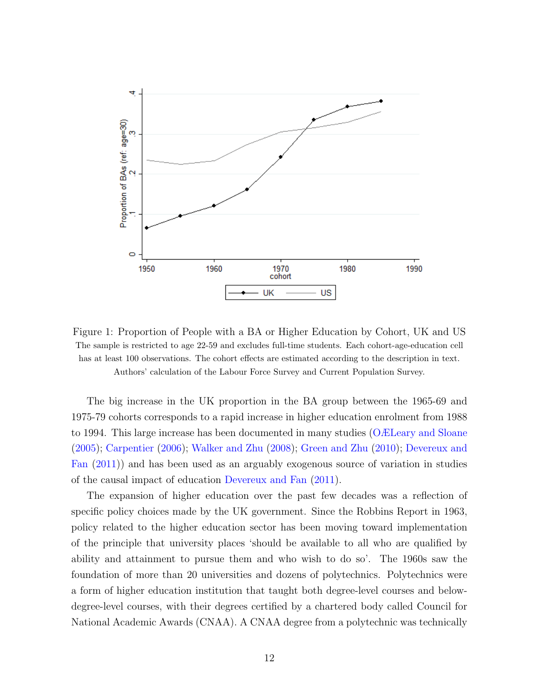

<span id="page-11-0"></span>Figure 1: Proportion of People with a BA or Higher Education by Cohort, UK and US The sample is restricted to age 22-59 and excludes full-time students. Each cohort-age-education cell has at least 100 observations. The cohort effects are estimated according to the description in text. Authors' calculation of the Labour Force Survey and Current Population Survey.

The big increase in the UK proportion in the BA group between the 1965-69 and 1975-79 cohorts corresponds to a rapid increase in higher education enrolment from 1988 to 1994. This large increase has been documented in many studies [\(OÆLeary and Sloane](#page-53-2) [\(2005\)](#page-53-2); [Carpentier](#page-51-7) [\(2006\)](#page-51-7); [Walker and Zhu](#page-53-3) [\(2008\)](#page-53-3); [Green and Zhu](#page-52-1) [\(2010\)](#page-52-1); [Devereux and](#page-52-2) [Fan](#page-52-2) [\(2011\)](#page-52-2)) and has been used as an arguably exogenous source of variation in studies of the causal impact of education [Devereux and Fan](#page-52-2) [\(2011\)](#page-52-2).

The expansion of higher education over the past few decades was a reflection of specific policy choices made by the UK government. Since the Robbins Report in 1963, policy related to the higher education sector has been moving toward implementation of the principle that university places 'should be available to all who are qualified by ability and attainment to pursue them and who wish to do so'. The 1960s saw the foundation of more than 20 universities and dozens of polytechnics. Polytechnics were a form of higher education institution that taught both degree-level courses and belowdegree-level courses, with their degrees certified by a chartered body called Council for National Academic Awards (CNAA). A CNAA degree from a polytechnic was technically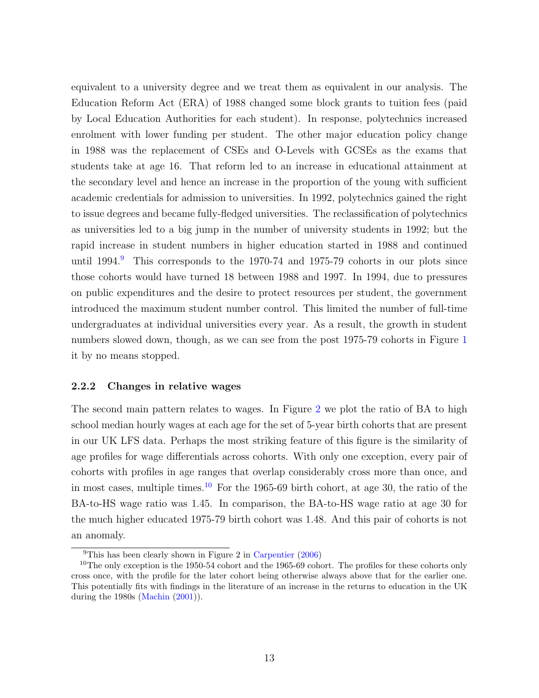equivalent to a university degree and we treat them as equivalent in our analysis. The Education Reform Act (ERA) of 1988 changed some block grants to tuition fees (paid by Local Education Authorities for each student). In response, polytechnics increased enrolment with lower funding per student. The other major education policy change in 1988 was the replacement of CSEs and O-Levels with GCSEs as the exams that students take at age 16. That reform led to an increase in educational attainment at the secondary level and hence an increase in the proportion of the young with sufficient academic credentials for admission to universities. In 1992, polytechnics gained the right to issue degrees and became fully-fledged universities. The reclassification of polytechnics as universities led to a big jump in the number of university students in 1992; but the rapid increase in student numbers in higher education started in 1988 and continued until  $1994<sup>9</sup>$  $1994<sup>9</sup>$  $1994<sup>9</sup>$ . This corresponds to the 1970-74 and 1975-79 cohorts in our plots since those cohorts would have turned 18 between 1988 and 1997. In 1994, due to pressures on public expenditures and the desire to protect resources per student, the government introduced the maximum student number control. This limited the number of full-time undergraduates at individual universities every year. As a result, the growth in student numbers slowed down, though, as we can see from the post 1975-79 cohorts in Figure [1](#page-11-0) it by no means stopped.

#### 2.2.2 Changes in relative wages

The second main pattern relates to wages. In Figure [2](#page-13-0) we plot the ratio of BA to high school median hourly wages at each age for the set of 5-year birth cohorts that are present in our UK LFS data. Perhaps the most striking feature of this figure is the similarity of age profiles for wage differentials across cohorts. With only one exception, every pair of cohorts with profiles in age ranges that overlap considerably cross more than once, and in most cases, multiple times.<sup>[10](#page-12-1)</sup> For the 1965-69 birth cohort, at age 30, the ratio of the BA-to-HS wage ratio was 1.45. In comparison, the BA-to-HS wage ratio at age 30 for the much higher educated 1975-79 birth cohort was 1.48. And this pair of cohorts is not an anomaly.

<span id="page-12-1"></span><span id="page-12-0"></span><sup>&</sup>lt;sup>9</sup>This has been clearly shown in Figure 2 in [Carpentier](#page-51-7)  $(2006)$ 

<sup>&</sup>lt;sup>10</sup>The only exception is the 1950-54 cohort and the 1965-69 cohort. The profiles for these cohorts only cross once, with the profile for the later cohort being otherwise always above that for the earlier one. This potentially fits with findings in the literature of an increase in the returns to education in the UK during the 1980s [\(Machin](#page-53-6) [\(2001\)](#page-53-6)).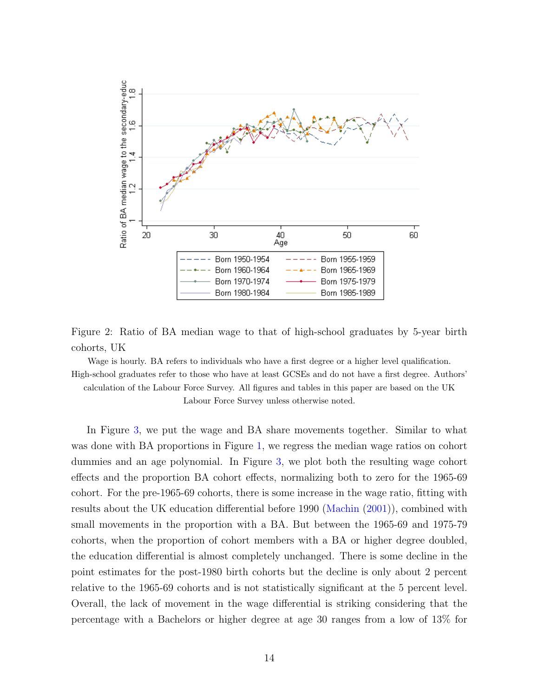

<span id="page-13-0"></span>Figure 2: Ratio of BA median wage to that of high-school graduates by 5-year birth cohorts, UK

Wage is hourly. BA refers to individuals who have a first degree or a higher level qualification. High-school graduates refer to those who have at least GCSEs and do not have a first degree. Authors' calculation of the Labour Force Survey. All figures and tables in this paper are based on the UK Labour Force Survey unless otherwise noted.

In Figure [3,](#page-14-0) we put the wage and BA share movements together. Similar to what was done with BA proportions in Figure [1,](#page-11-0) we regress the median wage ratios on cohort dummies and an age polynomial. In Figure [3,](#page-14-0) we plot both the resulting wage cohort effects and the proportion BA cohort effects, normalizing both to zero for the 1965-69 cohort. For the pre-1965-69 cohorts, there is some increase in the wage ratio, fitting with results about the UK education differential before 1990 [\(Machin](#page-53-6) [\(2001\)](#page-53-6)), combined with small movements in the proportion with a BA. But between the 1965-69 and 1975-79 cohorts, when the proportion of cohort members with a BA or higher degree doubled, the education differential is almost completely unchanged. There is some decline in the point estimates for the post-1980 birth cohorts but the decline is only about 2 percent relative to the 1965-69 cohorts and is not statistically significant at the 5 percent level. Overall, the lack of movement in the wage differential is striking considering that the percentage with a Bachelors or higher degree at age 30 ranges from a low of 13% for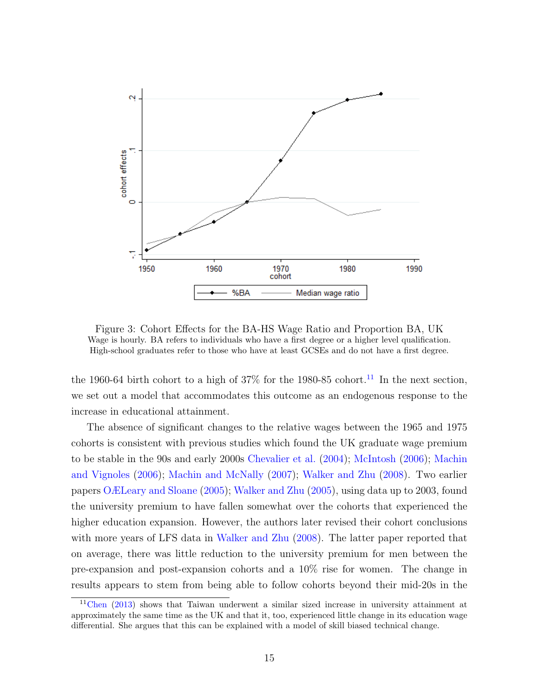

<span id="page-14-0"></span>Figure 3: Cohort Effects for the BA-HS Wage Ratio and Proportion BA, UK Wage is hourly. BA refers to individuals who have a first degree or a higher level qualification. High-school graduates refer to those who have at least GCSEs and do not have a first degree.

the 1960-64 birth cohort to a high of  $37\%$  for the 1980-85 cohort.<sup>[11](#page-14-1)</sup> In the next section, we set out a model that accommodates this outcome as an endogenous response to the increase in educational attainment.

The absence of significant changes to the relative wages between the 1965 and 1975 cohorts is consistent with previous studies which found the UK graduate wage premium to be stable in the 90s and early 2000s [Chevalier et al.](#page-52-5) [\(2004\)](#page-52-5); [McIntosh](#page-53-4) [\(2006\)](#page-53-4); [Machin](#page-53-7) [and Vignoles](#page-53-7) [\(2006\)](#page-53-7); [Machin and McNally](#page-53-0) [\(2007\)](#page-53-0); [Walker and Zhu](#page-53-3) [\(2008\)](#page-53-3). Two earlier papers [OÆLeary and Sloane](#page-53-2) [\(2005\)](#page-53-2); [Walker and Zhu](#page-53-8) [\(2005\)](#page-53-8), using data up to 2003, found the university premium to have fallen somewhat over the cohorts that experienced the higher education expansion. However, the authors later revised their cohort conclusions with more years of LFS data in [Walker and Zhu](#page-53-3) [\(2008\)](#page-53-3). The latter paper reported that on average, there was little reduction to the university premium for men between the pre-expansion and post-expansion cohorts and a 10% rise for women. The change in results appears to stem from being able to follow cohorts beyond their mid-20s in the

<span id="page-14-1"></span><sup>11</sup>[Chen](#page-51-8) [\(2013\)](#page-51-8) shows that Taiwan underwent a similar sized increase in university attainment at approximately the same time as the UK and that it, too, experienced little change in its education wage differential. She argues that this can be explained with a model of skill biased technical change.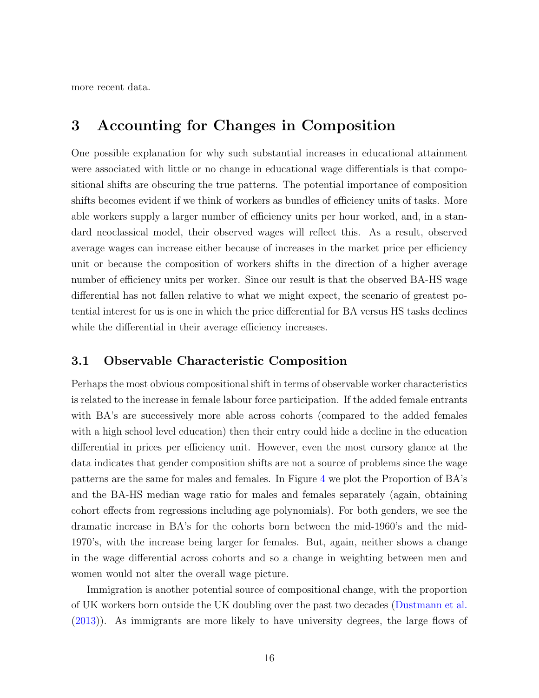more recent data.

## 3 Accounting for Changes in Composition

One possible explanation for why such substantial increases in educational attainment were associated with little or no change in educational wage differentials is that compositional shifts are obscuring the true patterns. The potential importance of composition shifts becomes evident if we think of workers as bundles of efficiency units of tasks. More able workers supply a larger number of efficiency units per hour worked, and, in a standard neoclassical model, their observed wages will reflect this. As a result, observed average wages can increase either because of increases in the market price per efficiency unit or because the composition of workers shifts in the direction of a higher average number of efficiency units per worker. Since our result is that the observed BA-HS wage differential has not fallen relative to what we might expect, the scenario of greatest potential interest for us is one in which the price differential for BA versus HS tasks declines while the differential in their average efficiency increases.

### 3.1 Observable Characteristic Composition

Perhaps the most obvious compositional shift in terms of observable worker characteristics is related to the increase in female labour force participation. If the added female entrants with BA's are successively more able across cohorts (compared to the added females with a high school level education) then their entry could hide a decline in the education differential in prices per efficiency unit. However, even the most cursory glance at the data indicates that gender composition shifts are not a source of problems since the wage patterns are the same for males and females. In Figure [4](#page-16-0) we plot the Proportion of BA's and the BA-HS median wage ratio for males and females separately (again, obtaining cohort effects from regressions including age polynomials). For both genders, we see the dramatic increase in BA's for the cohorts born between the mid-1960's and the mid-1970's, with the increase being larger for females. But, again, neither shows a change in the wage differential across cohorts and so a change in weighting between men and women would not alter the overall wage picture.

Immigration is another potential source of compositional change, with the proportion of UK workers born outside the UK doubling over the past two decades [\(Dustmann et al.](#page-52-6) [\(2013\)](#page-52-6)). As immigrants are more likely to have university degrees, the large flows of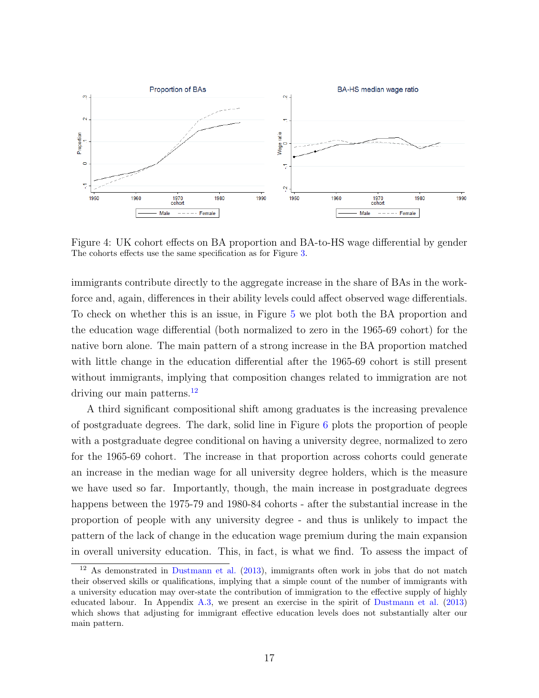

<span id="page-16-0"></span>Figure 4: UK cohort effects on BA proportion and BA-to-HS wage differential by gender The cohorts effects use the same specification as for Figure [3.](#page-14-0)

immigrants contribute directly to the aggregate increase in the share of BAs in the workforce and, again, differences in their ability levels could affect observed wage differentials. To check on whether this is an issue, in Figure [5](#page-17-0) we plot both the BA proportion and the education wage differential (both normalized to zero in the 1965-69 cohort) for the native born alone. The main pattern of a strong increase in the BA proportion matched with little change in the education differential after the 1965-69 cohort is still present without immigrants, implying that composition changes related to immigration are not driving our main patterns.<sup>[12](#page-16-1)</sup>

A third significant compositional shift among graduates is the increasing prevalence of postgraduate degrees. The dark, solid line in Figure [6](#page-18-0) plots the proportion of people with a postgraduate degree conditional on having a university degree, normalized to zero for the 1965-69 cohort. The increase in that proportion across cohorts could generate an increase in the median wage for all university degree holders, which is the measure we have used so far. Importantly, though, the main increase in postgraduate degrees happens between the 1975-79 and 1980-84 cohorts - after the substantial increase in the proportion of people with any university degree - and thus is unlikely to impact the pattern of the lack of change in the education wage premium during the main expansion in overall university education. This, in fact, is what we find. To assess the impact of

<span id="page-16-1"></span><sup>&</sup>lt;sup>12</sup> As demonstrated in [Dustmann et al.](#page-52-6) [\(2013\)](#page-52-6), immigrants often work in jobs that do not match their observed skills or qualifications, implying that a simple count of the number of immigrants with a university education may over-state the contribution of immigration to the effective supply of highly educated labour. In Appendix [A.3,](#page-60-0) we present an exercise in the spirit of [Dustmann et al.](#page-52-6) [\(2013\)](#page-52-6) which shows that adjusting for immigrant effective education levels does not substantially alter our main pattern.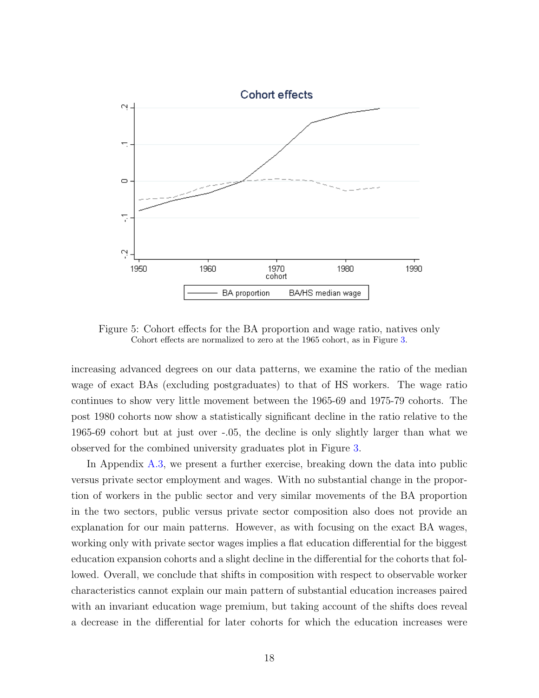

<span id="page-17-0"></span>Figure 5: Cohort effects for the BA proportion and wage ratio, natives only Cohort effects are normalized to zero at the 1965 cohort, as in Figure [3.](#page-14-0)

increasing advanced degrees on our data patterns, we examine the ratio of the median wage of exact BAs (excluding postgraduates) to that of HS workers. The wage ratio continues to show very little movement between the 1965-69 and 1975-79 cohorts. The post 1980 cohorts now show a statistically significant decline in the ratio relative to the 1965-69 cohort but at just over -.05, the decline is only slightly larger than what we observed for the combined university graduates plot in Figure [3.](#page-14-0)

In Appendix [A.3,](#page-60-0) we present a further exercise, breaking down the data into public versus private sector employment and wages. With no substantial change in the proportion of workers in the public sector and very similar movements of the BA proportion in the two sectors, public versus private sector composition also does not provide an explanation for our main patterns. However, as with focusing on the exact BA wages, working only with private sector wages implies a flat education differential for the biggest education expansion cohorts and a slight decline in the differential for the cohorts that followed. Overall, we conclude that shifts in composition with respect to observable worker characteristics cannot explain our main pattern of substantial education increases paired with an invariant education wage premium, but taking account of the shifts does reveal a decrease in the differential for later cohorts for which the education increases were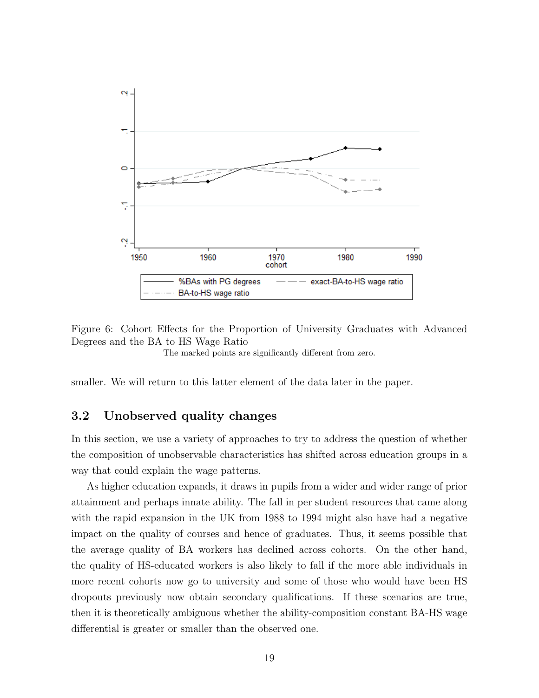

<span id="page-18-0"></span>Figure 6: Cohort Effects for the Proportion of University Graduates with Advanced Degrees and the BA to HS Wage Ratio

The marked points are significantly different from zero.

smaller. We will return to this latter element of the data later in the paper.

#### 3.2 Unobserved quality changes

In this section, we use a variety of approaches to try to address the question of whether the composition of unobservable characteristics has shifted across education groups in a way that could explain the wage patterns.

As higher education expands, it draws in pupils from a wider and wider range of prior attainment and perhaps innate ability. The fall in per student resources that came along with the rapid expansion in the UK from 1988 to 1994 might also have had a negative impact on the quality of courses and hence of graduates. Thus, it seems possible that the average quality of BA workers has declined across cohorts. On the other hand, the quality of HS-educated workers is also likely to fall if the more able individuals in more recent cohorts now go to university and some of those who would have been HS dropouts previously now obtain secondary qualifications. If these scenarios are true, then it is theoretically ambiguous whether the ability-composition constant BA-HS wage differential is greater or smaller than the observed one.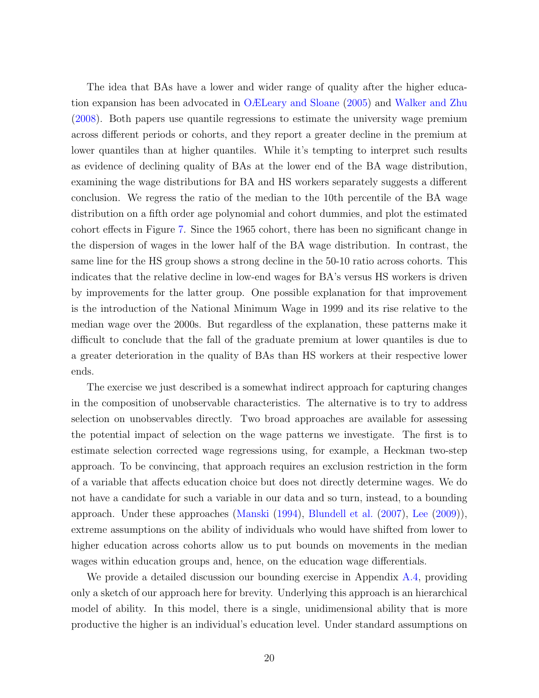The idea that BAs have a lower and wider range of quality after the higher education expansion has been advocated in [OÆLeary and Sloane](#page-53-2) [\(2005\)](#page-53-2) and [Walker and Zhu](#page-53-3) [\(2008\)](#page-53-3). Both papers use quantile regressions to estimate the university wage premium across different periods or cohorts, and they report a greater decline in the premium at lower quantiles than at higher quantiles. While it's tempting to interpret such results as evidence of declining quality of BAs at the lower end of the BA wage distribution, examining the wage distributions for BA and HS workers separately suggests a different conclusion. We regress the ratio of the median to the 10th percentile of the BA wage distribution on a fifth order age polynomial and cohort dummies, and plot the estimated cohort effects in Figure [7.](#page-20-0) Since the 1965 cohort, there has been no significant change in the dispersion of wages in the lower half of the BA wage distribution. In contrast, the same line for the HS group shows a strong decline in the 50-10 ratio across cohorts. This indicates that the relative decline in low-end wages for BA's versus HS workers is driven by improvements for the latter group. One possible explanation for that improvement is the introduction of the National Minimum Wage in 1999 and its rise relative to the median wage over the 2000s. But regardless of the explanation, these patterns make it difficult to conclude that the fall of the graduate premium at lower quantiles is due to a greater deterioration in the quality of BAs than HS workers at their respective lower ends.

The exercise we just described is a somewhat indirect approach for capturing changes in the composition of unobservable characteristics. The alternative is to try to address selection on unobservables directly. Two broad approaches are available for assessing the potential impact of selection on the wage patterns we investigate. The first is to estimate selection corrected wage regressions using, for example, a Heckman two-step approach. To be convincing, that approach requires an exclusion restriction in the form of a variable that affects education choice but does not directly determine wages. We do not have a candidate for such a variable in our data and so turn, instead, to a bounding approach. Under these approaches [\(Manski](#page-53-9) [\(1994\)](#page-53-9), [Blundell et al.](#page-51-9) [\(2007\)](#page-51-9), [Lee](#page-52-7) [\(2009\)](#page-52-7)), extreme assumptions on the ability of individuals who would have shifted from lower to higher education across cohorts allow us to put bounds on movements in the median wages within education groups and, hence, on the education wage differentials.

We provide a detailed discussion our bounding exercise in Appendix [A.4,](#page-65-0) providing only a sketch of our approach here for brevity. Underlying this approach is an hierarchical model of ability. In this model, there is a single, unidimensional ability that is more productive the higher is an individual's education level. Under standard assumptions on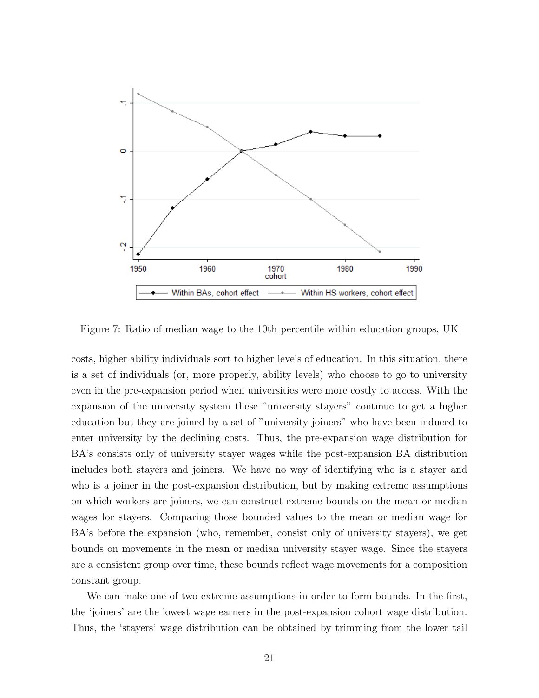

<span id="page-20-0"></span>Figure 7: Ratio of median wage to the 10th percentile within education groups, UK

costs, higher ability individuals sort to higher levels of education. In this situation, there is a set of individuals (or, more properly, ability levels) who choose to go to university even in the pre-expansion period when universities were more costly to access. With the expansion of the university system these "university stayers" continue to get a higher education but they are joined by a set of "university joiners" who have been induced to enter university by the declining costs. Thus, the pre-expansion wage distribution for BA's consists only of university stayer wages while the post-expansion BA distribution includes both stayers and joiners. We have no way of identifying who is a stayer and who is a joiner in the post-expansion distribution, but by making extreme assumptions on which workers are joiners, we can construct extreme bounds on the mean or median wages for stayers. Comparing those bounded values to the mean or median wage for BA's before the expansion (who, remember, consist only of university stayers), we get bounds on movements in the mean or median university stayer wage. Since the stayers are a consistent group over time, these bounds reflect wage movements for a composition constant group.

We can make one of two extreme assumptions in order to form bounds. In the first, the 'joiners' are the lowest wage earners in the post-expansion cohort wage distribution. Thus, the 'stayers' wage distribution can be obtained by trimming from the lower tail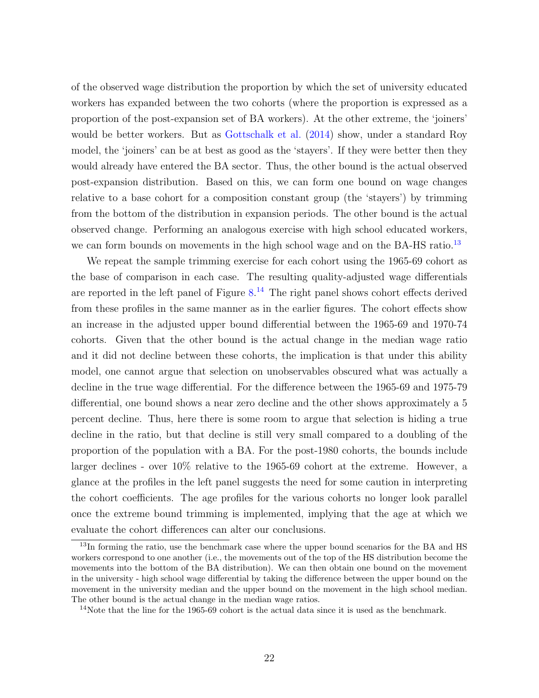of the observed wage distribution the proportion by which the set of university educated workers has expanded between the two cohorts (where the proportion is expressed as a proportion of the post-expansion set of BA workers). At the other extreme, the 'joiners' would be better workers. But as [Gottschalk et al.](#page-52-8) [\(2014\)](#page-52-8) show, under a standard Roy model, the 'joiners' can be at best as good as the 'stayers'. If they were better then they would already have entered the BA sector. Thus, the other bound is the actual observed post-expansion distribution. Based on this, we can form one bound on wage changes relative to a base cohort for a composition constant group (the 'stayers') by trimming from the bottom of the distribution in expansion periods. The other bound is the actual observed change. Performing an analogous exercise with high school educated workers, we can form bounds on movements in the high school wage and on the BA-HS ratio.<sup>[13](#page-21-0)</sup>

We repeat the sample trimming exercise for each cohort using the 1965-69 cohort as the base of comparison in each case. The resulting quality-adjusted wage differentials are reported in the left panel of Figure  $8<sup>14</sup>$  $8<sup>14</sup>$  $8<sup>14</sup>$  The right panel shows cohort effects derived from these profiles in the same manner as in the earlier figures. The cohort effects show an increase in the adjusted upper bound differential between the 1965-69 and 1970-74 cohorts. Given that the other bound is the actual change in the median wage ratio and it did not decline between these cohorts, the implication is that under this ability model, one cannot argue that selection on unobservables obscured what was actually a decline in the true wage differential. For the difference between the 1965-69 and 1975-79 differential, one bound shows a near zero decline and the other shows approximately a 5 percent decline. Thus, here there is some room to argue that selection is hiding a true decline in the ratio, but that decline is still very small compared to a doubling of the proportion of the population with a BA. For the post-1980 cohorts, the bounds include larger declines - over 10% relative to the 1965-69 cohort at the extreme. However, a glance at the profiles in the left panel suggests the need for some caution in interpreting the cohort coefficients. The age profiles for the various cohorts no longer look parallel once the extreme bound trimming is implemented, implying that the age at which we evaluate the cohort differences can alter our conclusions.

<span id="page-21-0"></span><sup>&</sup>lt;sup>13</sup>In forming the ratio, use the benchmark case where the upper bound scenarios for the BA and HS workers correspond to one another (i.e., the movements out of the top of the HS distribution become the movements into the bottom of the BA distribution). We can then obtain one bound on the movement in the university - high school wage differential by taking the difference between the upper bound on the movement in the university median and the upper bound on the movement in the high school median. The other bound is the actual change in the median wage ratios.

<span id="page-21-1"></span><sup>&</sup>lt;sup>14</sup>Note that the line for the 1965-69 cohort is the actual data since it is used as the benchmark.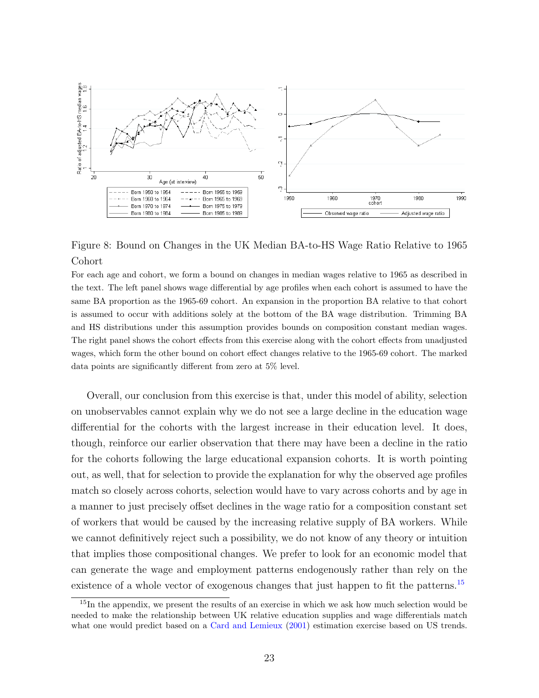

<span id="page-22-0"></span>Figure 8: Bound on Changes in the UK Median BA-to-HS Wage Ratio Relative to 1965 Cohort

For each age and cohort, we form a bound on changes in median wages relative to 1965 as described in the text. The left panel shows wage differential by age profiles when each cohort is assumed to have the same BA proportion as the 1965-69 cohort. An expansion in the proportion BA relative to that cohort is assumed to occur with additions solely at the bottom of the BA wage distribution. Trimming BA and HS distributions under this assumption provides bounds on composition constant median wages. The right panel shows the cohort effects from this exercise along with the cohort effects from unadjusted wages, which form the other bound on cohort effect changes relative to the 1965-69 cohort. The marked data points are significantly different from zero at 5% level.

Overall, our conclusion from this exercise is that, under this model of ability, selection on unobservables cannot explain why we do not see a large decline in the education wage differential for the cohorts with the largest increase in their education level. It does, though, reinforce our earlier observation that there may have been a decline in the ratio for the cohorts following the large educational expansion cohorts. It is worth pointing out, as well, that for selection to provide the explanation for why the observed age profiles match so closely across cohorts, selection would have to vary across cohorts and by age in a manner to just precisely offset declines in the wage ratio for a composition constant set of workers that would be caused by the increasing relative supply of BA workers. While we cannot definitively reject such a possibility, we do not know of any theory or intuition that implies those compositional changes. We prefer to look for an economic model that can generate the wage and employment patterns endogenously rather than rely on the existence of a whole vector of exogenous changes that just happen to fit the patterns.<sup>[15](#page-22-1)</sup>

<span id="page-22-1"></span><sup>&</sup>lt;sup>15</sup>In the appendix, we present the results of an exercise in which we ask how much selection would be needed to make the relationship between UK relative education supplies and wage differentials match what one would predict based on a [Card and Lemieux](#page-51-10) [\(2001\)](#page-51-10) estimation exercise based on US trends.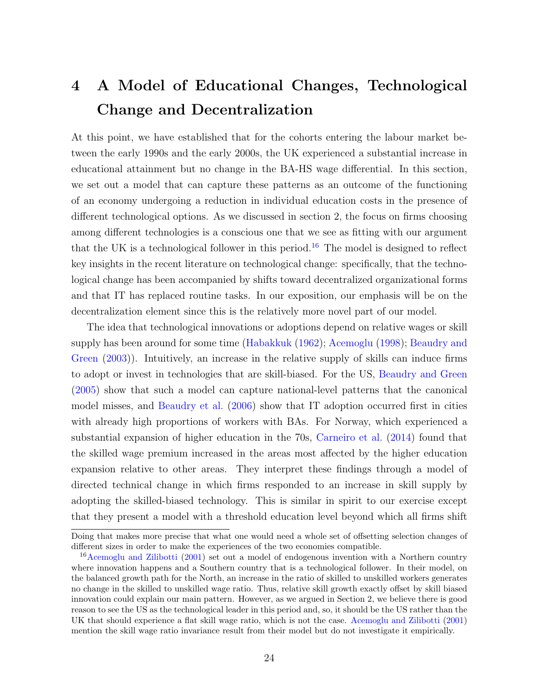# 4 A Model of Educational Changes, Technological Change and Decentralization

At this point, we have established that for the cohorts entering the labour market between the early 1990s and the early 2000s, the UK experienced a substantial increase in educational attainment but no change in the BA-HS wage differential. In this section, we set out a model that can capture these patterns as an outcome of the functioning of an economy undergoing a reduction in individual education costs in the presence of different technological options. As we discussed in section 2, the focus on firms choosing among different technologies is a conscious one that we see as fitting with our argument that the UK is a technological follower in this period.<sup>[16](#page-23-0)</sup> The model is designed to reflect key insights in the recent literature on technological change: specifically, that the technological change has been accompanied by shifts toward decentralized organizational forms and that IT has replaced routine tasks. In our exposition, our emphasis will be on the decentralization element since this is the relatively more novel part of our model.

The idea that technological innovations or adoptions depend on relative wages or skill supply has been around for some time [\(Habakkuk](#page-52-9) [\(1962\)](#page-52-9); [Acemoglu](#page-50-4) [\(1998\)](#page-50-4); [Beaudry and](#page-50-6) [Green](#page-50-6) [\(2003\)](#page-50-6)). Intuitively, an increase in the relative supply of skills can induce firms to adopt or invest in technologies that are skill-biased. For the US, [Beaudry and Green](#page-50-2) [\(2005\)](#page-50-2) show that such a model can capture national-level patterns that the canonical model misses, and [Beaudry et al.](#page-50-8) [\(2006\)](#page-50-8) show that IT adoption occurred first in cities with already high proportions of workers with BAs. For Norway, which experienced a substantial expansion of higher education in the 70s, [Carneiro et al.](#page-51-11) [\(2014\)](#page-51-11) found that the skilled wage premium increased in the areas most affected by the higher education expansion relative to other areas. They interpret these findings through a model of directed technical change in which firms responded to an increase in skill supply by adopting the skilled-biased technology. This is similar in spirit to our exercise except that they present a model with a threshold education level beyond which all firms shift

Doing that makes more precise that what one would need a whole set of offsetting selection changes of different sizes in order to make the experiences of the two economies compatible.

<span id="page-23-0"></span><sup>16</sup>[Acemoglu and Zilibotti](#page-50-9) [\(2001\)](#page-50-9) set out a model of endogenous invention with a Northern country where innovation happens and a Southern country that is a technological follower. In their model, on the balanced growth path for the North, an increase in the ratio of skilled to unskilled workers generates no change in the skilled to unskilled wage ratio. Thus, relative skill growth exactly offset by skill biased innovation could explain our main pattern. However, as we argued in Section 2, we believe there is good reason to see the US as the technological leader in this period and, so, it should be the US rather than the UK that should experience a flat skill wage ratio, which is not the case. [Acemoglu and Zilibotti](#page-50-9) [\(2001\)](#page-50-9) mention the skill wage ratio invariance result from their model but do not investigate it empirically.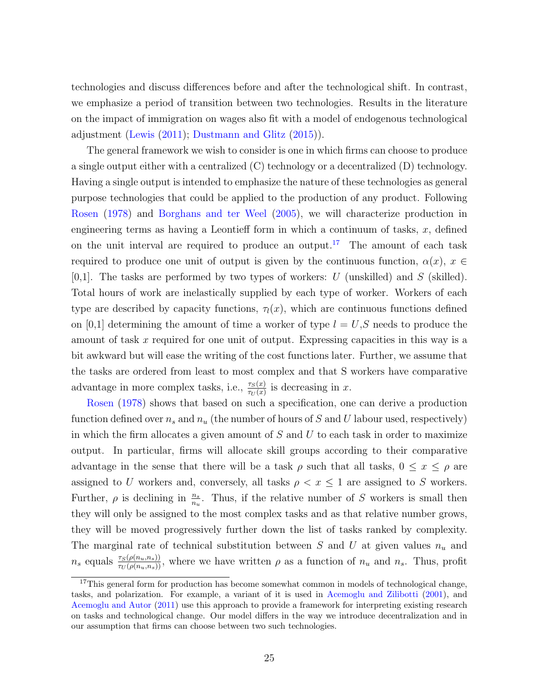technologies and discuss differences before and after the technological shift. In contrast, we emphasize a period of transition between two technologies. Results in the literature on the impact of immigration on wages also fit with a model of endogenous technological adjustment [\(Lewis](#page-52-10) [\(2011\)](#page-52-10); [Dustmann and Glitz](#page-52-11) [\(2015\)](#page-52-11)).

The general framework we wish to consider is one in which firms can choose to produce a single output either with a centralized (C) technology or a decentralized (D) technology. Having a single output is intended to emphasize the nature of these technologies as general purpose technologies that could be applied to the production of any product. Following [Rosen](#page-53-1) [\(1978\)](#page-53-1) and [Borghans and ter Weel](#page-51-3) [\(2005\)](#page-51-3), we will characterize production in engineering terms as having a Leontieff form in which a continuum of tasks,  $x$ , defined on the unit interval are required to produce an output.<sup>[17](#page-24-0)</sup> The amount of each task required to produce one unit of output is given by the continuous function,  $\alpha(x)$ ,  $x \in$  $[0,1]$ . The tasks are performed by two types of workers: U (unskilled) and S (skilled). Total hours of work are inelastically supplied by each type of worker. Workers of each type are described by capacity functions,  $\tau_l(x)$ , which are continuous functions defined on [0,1] determining the amount of time a worker of type  $l = U, S$  needs to produce the amount of task x required for one unit of output. Expressing capacities in this way is a bit awkward but will ease the writing of the cost functions later. Further, we assume that the tasks are ordered from least to most complex and that S workers have comparative advantage in more complex tasks, i.e.,  $\frac{\tau_S(x)}{\tau_U(x)}$  is decreasing in x.

[Rosen](#page-53-1) [\(1978\)](#page-53-1) shows that based on such a specification, one can derive a production function defined over  $n_s$  and  $n_u$  (the number of hours of S and U labour used, respectively) in which the firm allocates a given amount of  $S$  and  $U$  to each task in order to maximize output. In particular, firms will allocate skill groups according to their comparative advantage in the sense that there will be a task  $\rho$  such that all tasks,  $0 \leq x \leq \rho$  are assigned to U workers and, conversely, all tasks  $\rho < x \leq 1$  are assigned to S workers. Further,  $\rho$  is declining in  $\frac{n_s}{n_u}$ . Thus, if the relative number of S workers is small then they will only be assigned to the most complex tasks and as that relative number grows, they will be moved progressively further down the list of tasks ranked by complexity. The marginal rate of technical substitution between  $S$  and  $U$  at given values  $n_u$  and  $n_s$  equals  $\frac{\tau_S(\rho(n_u,n_s))}{\tau_U(\rho(n_u,n_s))}$ , where we have written  $\rho$  as a function of  $n_u$  and  $n_s$ . Thus, profit

<span id="page-24-0"></span><sup>&</sup>lt;sup>17</sup>This general form for production has become somewhat common in models of technological change, tasks, and polarization. For example, a variant of it is used in [Acemoglu and Zilibotti](#page-50-9) [\(2001\)](#page-50-9), and [Acemoglu and Autor](#page-50-0) [\(2011\)](#page-50-0) use this approach to provide a framework for interpreting existing research on tasks and technological change. Our model differs in the way we introduce decentralization and in our assumption that firms can choose between two such technologies.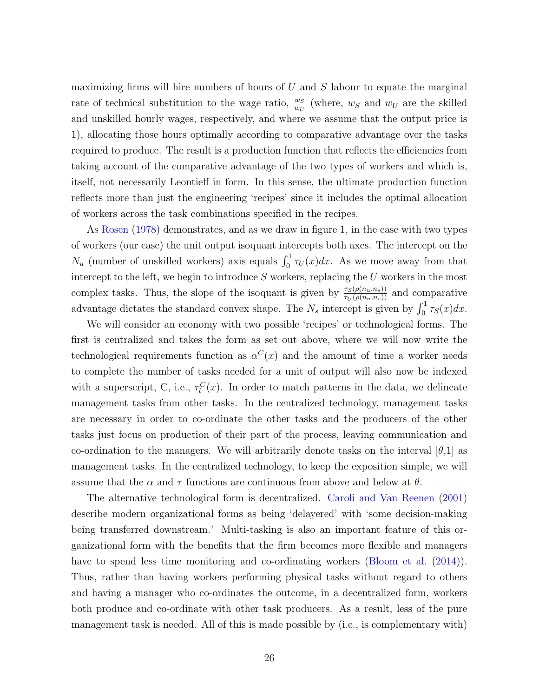maximizing firms will hire numbers of hours of  $U$  and  $S$  labour to equate the marginal rate of technical substitution to the wage ratio,  $\frac{w_S}{w_U}$  (where,  $w_S$  and  $w_U$  are the skilled and unskilled hourly wages, respectively, and where we assume that the output price is 1), allocating those hours optimally according to comparative advantage over the tasks required to produce. The result is a production function that reflects the efficiencies from taking account of the comparative advantage of the two types of workers and which is, itself, not necessarily Leontieff in form. In this sense, the ultimate production function reflects more than just the engineering 'recipes' since it includes the optimal allocation of workers across the task combinations specified in the recipes.

As [Rosen](#page-53-1) [\(1978\)](#page-53-1) demonstrates, and as we draw in figure 1, in the case with two types of workers (our case) the unit output isoquant intercepts both axes. The intercept on the  $N_u$  (number of unskilled workers) axis equals  $\int_0^1 \tau_U(x) dx$ . As we move away from that intercept to the left, we begin to introduce  $S$  workers, replacing the  $U$  workers in the most complex tasks. Thus, the slope of the isoquant is given by  $\frac{\tau_S(\rho(n_u,n_s))}{\tau_U(\rho(n_u,n_s))}$  and comparative advantage dictates the standard convex shape. The  $N_s$  intercept is given by  $\int_0^1 \tau_s(x) dx$ .

We will consider an economy with two possible 'recipes' or technological forms. The first is centralized and takes the form as set out above, where we will now write the technological requirements function as  $\alpha^{C}(x)$  and the amount of time a worker needs to complete the number of tasks needed for a unit of output will also now be indexed with a superscript, C, i.e.,  $\tau_l^C(x)$ . In order to match patterns in the data, we delineate management tasks from other tasks. In the centralized technology, management tasks are necessary in order to co-ordinate the other tasks and the producers of the other tasks just focus on production of their part of the process, leaving communication and co-ordination to the managers. We will arbitrarily denote tasks on the interval  $[\theta,1]$  as management tasks. In the centralized technology, to keep the exposition simple, we will assume that the  $\alpha$  and  $\tau$  functions are continuous from above and below at  $\theta$ .

The alternative technological form is decentralized. [Caroli and Van Reenen](#page-51-1) [\(2001\)](#page-51-1) describe modern organizational forms as being 'delayered' with 'some decision-making being transferred downstream.' Multi-tasking is also an important feature of this organizational form with the benefits that the firm becomes more flexible and managers have to spend less time monitoring and co-ordinating workers [\(Bloom et al.](#page-51-2) [\(2014\)](#page-51-2)). Thus, rather than having workers performing physical tasks without regard to others and having a manager who co-ordinates the outcome, in a decentralized form, workers both produce and co-ordinate with other task producers. As a result, less of the pure management task is needed. All of this is made possible by (i.e., is complementary with)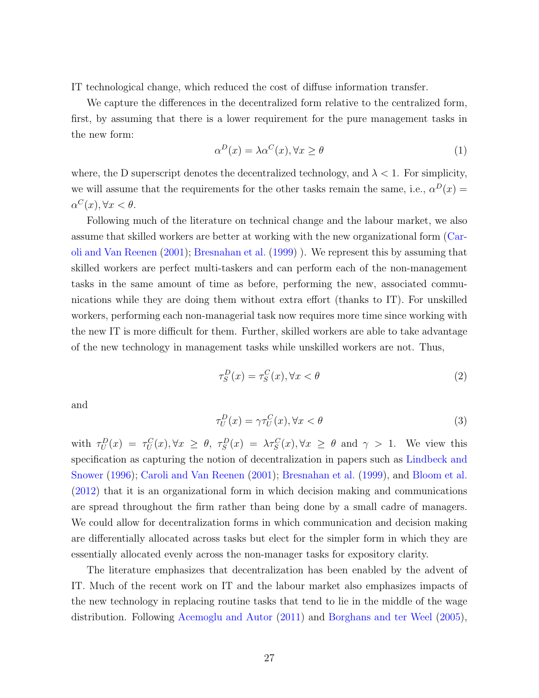IT technological change, which reduced the cost of diffuse information transfer.

We capture the differences in the decentralized form relative to the centralized form, first, by assuming that there is a lower requirement for the pure management tasks in the new form:

$$
\alpha^D(x) = \lambda \alpha^C(x), \forall x \ge \theta \tag{1}
$$

where, the D superscript denotes the decentralized technology, and  $\lambda < 1$ . For simplicity, we will assume that the requirements for the other tasks remain the same, i.e.,  $\alpha^D(x) =$  $\alpha^C(x), \forall x < \theta.$ 

Following much of the literature on technical change and the labour market, we also assume that skilled workers are better at working with the new organizational form [\(Car](#page-51-1)[oli and Van Reenen](#page-51-1) [\(2001\)](#page-51-1); [Bresnahan et al.](#page-51-0) [\(1999\)](#page-51-0) ). We represent this by assuming that skilled workers are perfect multi-taskers and can perform each of the non-management tasks in the same amount of time as before, performing the new, associated communications while they are doing them without extra effort (thanks to IT). For unskilled workers, performing each non-managerial task now requires more time since working with the new IT is more difficult for them. Further, skilled workers are able to take advantage of the new technology in management tasks while unskilled workers are not. Thus,

$$
\tau_S^D(x) = \tau_S^C(x), \forall x < \theta \tag{2}
$$

and

$$
\tau_U^D(x) = \gamma \tau_U^C(x), \forall x < \theta \tag{3}
$$

with  $\tau_U^D(x) = \tau_U^C(x), \forall x \geq \theta, \ \tau_S^D(x) = \lambda \tau_S^C(x), \forall x \geq \theta$  and  $\gamma > 1$ . We view this specification as capturing the notion of decentralization in papers such as [Lindbeck and](#page-52-12) [Snower](#page-52-12) [\(1996\)](#page-52-12); [Caroli and Van Reenen](#page-51-1) [\(2001\)](#page-51-1); [Bresnahan et al.](#page-51-0) [\(1999\)](#page-51-0), and [Bloom et al.](#page-51-6) [\(2012\)](#page-51-6) that it is an organizational form in which decision making and communications are spread throughout the firm rather than being done by a small cadre of managers. We could allow for decentralization forms in which communication and decision making are differentially allocated across tasks but elect for the simpler form in which they are essentially allocated evenly across the non-manager tasks for expository clarity.

The literature emphasizes that decentralization has been enabled by the advent of IT. Much of the recent work on IT and the labour market also emphasizes impacts of the new technology in replacing routine tasks that tend to lie in the middle of the wage distribution. Following [Acemoglu and Autor](#page-50-0) [\(2011\)](#page-50-0) and [Borghans and ter Weel](#page-51-3) [\(2005\)](#page-51-3),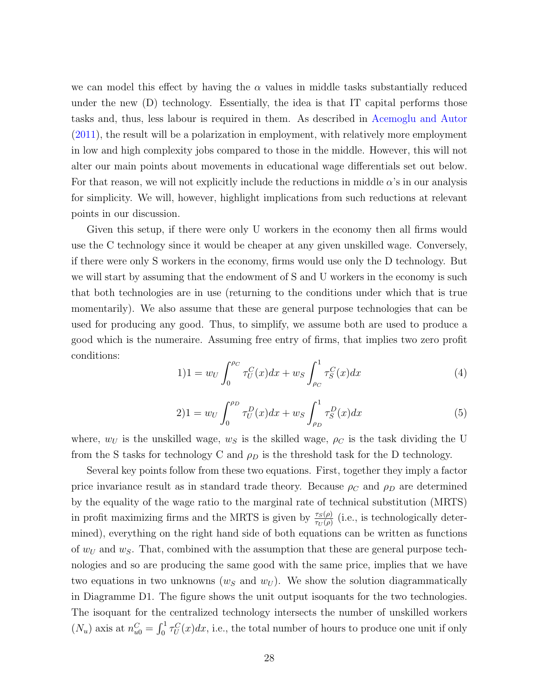we can model this effect by having the  $\alpha$  values in middle tasks substantially reduced under the new (D) technology. Essentially, the idea is that IT capital performs those tasks and, thus, less labour is required in them. As described in [Acemoglu and Autor](#page-50-0) [\(2011\)](#page-50-0), the result will be a polarization in employment, with relatively more employment in low and high complexity jobs compared to those in the middle. However, this will not alter our main points about movements in educational wage differentials set out below. For that reason, we will not explicitly include the reductions in middle  $\alpha$ 's in our analysis for simplicity. We will, however, highlight implications from such reductions at relevant points in our discussion.

Given this setup, if there were only U workers in the economy then all firms would use the C technology since it would be cheaper at any given unskilled wage. Conversely, if there were only S workers in the economy, firms would use only the D technology. But we will start by assuming that the endowment of S and U workers in the economy is such that both technologies are in use (returning to the conditions under which that is true momentarily). We also assume that these are general purpose technologies that can be used for producing any good. Thus, to simplify, we assume both are used to produce a good which is the numeraire. Assuming free entry of firms, that implies two zero profit conditions:

<span id="page-27-0"></span>
$$
1)1 = w_U \int_0^{\rho_C} \tau_U^C(x) dx + w_S \int_{\rho_C}^1 \tau_S^C(x) dx \tag{4}
$$

<span id="page-27-1"></span>
$$
2)1 = w_U \int_0^{\rho_D} \tau_U^D(x) dx + w_S \int_{\rho_D}^1 \tau_S^D(x) dx \tag{5}
$$

where,  $w_U$  is the unskilled wage,  $w_S$  is the skilled wage,  $\rho_C$  is the task dividing the U from the S tasks for technology C and  $\rho_D$  is the threshold task for the D technology.

Several key points follow from these two equations. First, together they imply a factor price invariance result as in standard trade theory. Because  $\rho_C$  and  $\rho_D$  are determined by the equality of the wage ratio to the marginal rate of technical substitution (MRTS) in profit maximizing firms and the MRTS is given by  $\frac{\tau_S(\rho)}{\tau_U(\rho)}$  (i.e., is technologically determined), everything on the right hand side of both equations can be written as functions of  $w<sub>U</sub>$  and  $w<sub>S</sub>$ . That, combined with the assumption that these are general purpose technologies and so are producing the same good with the same price, implies that we have two equations in two unknowns  $(w<sub>S</sub>$  and  $w<sub>U</sub>)$ . We show the solution diagrammatically in Diagramme D1. The figure shows the unit output isoquants for the two technologies. The isoquant for the centralized technology intersects the number of unskilled workers  $(N_u)$  axis at  $n_{u0}^C = \int_0^1 \tau_U^C(x) dx$ , i.e., the total number of hours to produce one unit if only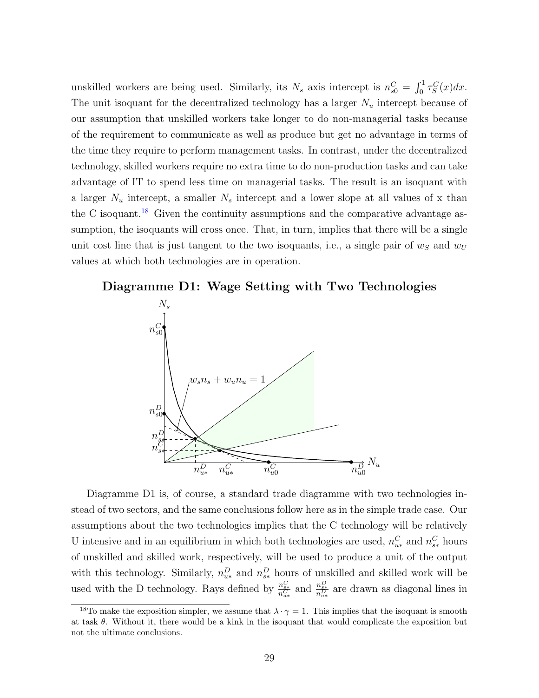unskilled workers are being used. Similarly, its  $N_s$  axis intercept is  $n_{s0}^C = \int_0^1 \tau_S^C(x) dx$ . The unit isoquant for the decentralized technology has a larger  $N_u$  intercept because of our assumption that unskilled workers take longer to do non-managerial tasks because of the requirement to communicate as well as produce but get no advantage in terms of the time they require to perform management tasks. In contrast, under the decentralized technology, skilled workers require no extra time to do non-production tasks and can take advantage of IT to spend less time on managerial tasks. The result is an isoquant with a larger  $N_u$  intercept, a smaller  $N_s$  intercept and a lower slope at all values of x than the C isoquant.<sup>[18](#page-28-0)</sup> Given the continuity assumptions and the comparative advantage assumption, the isoquants will cross once. That, in turn, implies that there will be a single unit cost line that is just tangent to the two isoquants, i.e., a single pair of  $w_s$  and  $w_U$ values at which both technologies are in operation.

#### Diagramme D1: Wage Setting with Two Technologies



Diagramme D1 is, of course, a standard trade diagramme with two technologies instead of two sectors, and the same conclusions follow here as in the simple trade case. Our assumptions about the two technologies implies that the C technology will be relatively U intensive and in an equilibrium in which both technologies are used,  $n_{u*}^C$  and  $n_{s*}^C$  hours of unskilled and skilled work, respectively, will be used to produce a unit of the output with this technology. Similarly,  $n_{u*}^D$  and  $n_{s*}^D$  hours of unskilled and skilled work will be used with the D technology. Rays defined by  $\frac{n_{s*}^C}{n_{u*}^C}$  and  $\frac{n_{s*}^D}{n_{u*}^D}$  are drawn as diagonal lines in

<span id="page-28-0"></span><sup>&</sup>lt;sup>18</sup>To make the exposition simpler, we assume that  $\lambda \cdot \gamma = 1$ . This implies that the isoquant is smooth at task  $\theta$ . Without it, there would be a kink in the isoquant that would complicate the exposition but not the ultimate conclusions.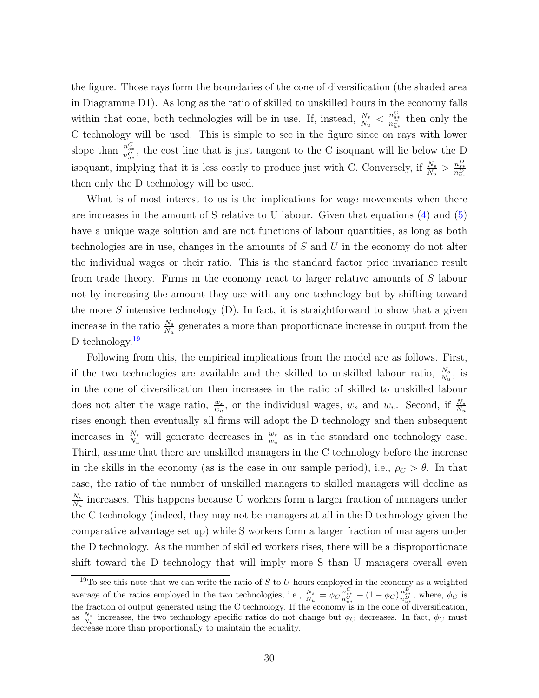the figure. Those rays form the boundaries of the cone of diversification (the shaded area in Diagramme D1). As long as the ratio of skilled to unskilled hours in the economy falls within that cone, both technologies will be in use. If, instead,  $\frac{N_s}{N_u} < \frac{n_{s*}^C}{n_{u*}^C}$  then only the C technology will be used. This is simple to see in the figure since on rays with lower slope than  $\frac{n_{s*}^C}{n_{u*}^C}$ , the cost line that is just tangent to the C isoquant will lie below the D isoquant, implying that it is less costly to produce just with C. Conversely, if  $\frac{N_s}{N_u} > \frac{n_{s*}^D}{n_{u*}^D}$ then only the D technology will be used.

What is of most interest to us is the implications for wage movements when there are increases in the amount of S relative to U labour. Given that equations [\(4\)](#page-27-0) and [\(5\)](#page-27-1) have a unique wage solution and are not functions of labour quantities, as long as both technologies are in use, changes in the amounts of S and U in the economy do not alter the individual wages or their ratio. This is the standard factor price invariance result from trade theory. Firms in the economy react to larger relative amounts of S labour not by increasing the amount they use with any one technology but by shifting toward the more S intensive technology  $(D)$ . In fact, it is straightforward to show that a given increase in the ratio  $\frac{N_s}{N_u}$  generates a more than proportionate increase in output from the D technology.<sup>[19](#page-29-0)</sup>

Following from this, the empirical implications from the model are as follows. First, if the two technologies are available and the skilled to unskilled labour ratio,  $\frac{N_s}{N_u}$ , is in the cone of diversification then increases in the ratio of skilled to unskilled labour does not alter the wage ratio,  $\frac{w_s}{w_u}$ , or the individual wages,  $w_s$  and  $w_u$ . Second, if  $\frac{N_s}{N_u}$ rises enough then eventually all firms will adopt the D technology and then subsequent increases in  $\frac{N_s}{N_u}$  will generate decreases in  $\frac{w_s}{w_u}$  as in the standard one technology case. Third, assume that there are unskilled managers in the C technology before the increase in the skills in the economy (as is the case in our sample period), i.e.,  $\rho_C > \theta$ . In that case, the ratio of the number of unskilled managers to skilled managers will decline as  $N_{s}$  $\frac{N_s}{N_u}$  increases. This happens because U workers form a larger fraction of managers under the C technology (indeed, they may not be managers at all in the D technology given the comparative advantage set up) while S workers form a larger fraction of managers under the D technology. As the number of skilled workers rises, there will be a disproportionate shift toward the D technology that will imply more S than U managers overall even

<span id="page-29-0"></span><sup>&</sup>lt;sup>19</sup>To see this note that we can write the ratio of S to U hours employed in the economy as a weighted average of the ratios employed in the two technologies, i.e.,  $\frac{N_s}{N_u} = \phi_C \frac{n_{s*}^C}{n_{u*}^C} + (1 - \phi_C) \frac{n_{s*}^D}{n_{u*}^D}$ , where,  $\phi_C$  is the fraction of output generated using the C technology. If the economy is in the cone of diversification, as  $\frac{N_s}{N_u}$  increases, the two technology specific ratios do not change but  $\phi_C$  decreases. In fact,  $\phi_C$  must decrease more than proportionally to maintain the equality.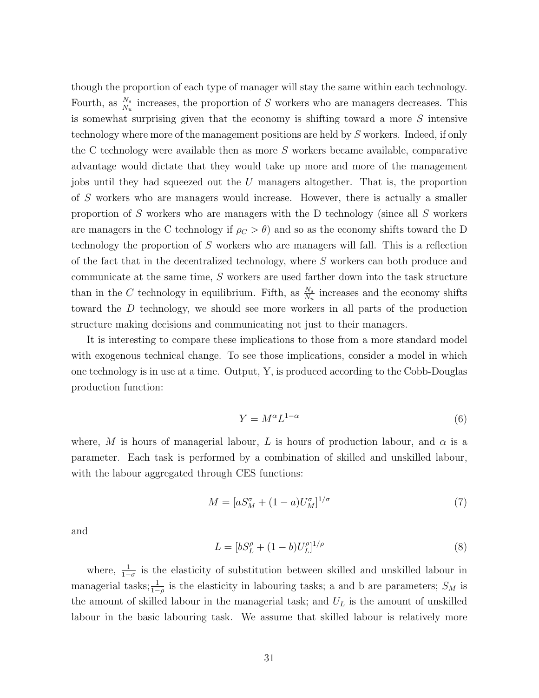though the proportion of each type of manager will stay the same within each technology. Fourth, as  $\frac{N_s}{N_u}$  increases, the proportion of S workers who are managers decreases. This is somewhat surprising given that the economy is shifting toward a more S intensive technology where more of the management positions are held by S workers. Indeed, if only the C technology were available then as more  $S$  workers became available, comparative advantage would dictate that they would take up more and more of the management jobs until they had squeezed out the U managers altogether. That is, the proportion of S workers who are managers would increase. However, there is actually a smaller proportion of S workers who are managers with the D technology (since all S workers are managers in the C technology if  $\rho_C > \theta$ ) and so as the economy shifts toward the D technology the proportion of S workers who are managers will fall. This is a reflection of the fact that in the decentralized technology, where S workers can both produce and communicate at the same time, S workers are used farther down into the task structure than in the C technology in equilibrium. Fifth, as  $\frac{N_s}{N_u}$  increases and the economy shifts toward the D technology, we should see more workers in all parts of the production structure making decisions and communicating not just to their managers.

It is interesting to compare these implications to those from a more standard model with exogenous technical change. To see those implications, consider a model in which one technology is in use at a time. Output, Y, is produced according to the Cobb-Douglas production function:

$$
Y = M^{\alpha} L^{1-\alpha} \tag{6}
$$

where, M is hours of managerial labour, L is hours of production labour, and  $\alpha$  is a parameter. Each task is performed by a combination of skilled and unskilled labour, with the labour aggregated through CES functions:

$$
M = [aS_M^{\sigma} + (1 - a)U_M^{\sigma}]^{1/\sigma}
$$
\n
$$
\tag{7}
$$

and

$$
L = [bS_L^{\rho} + (1 - b)U_L^{\rho}]^{1/\rho}
$$
\n(8)

where,  $\frac{1}{1-\sigma}$  is the elasticity of substitution between skilled and unskilled labour in managerial tasks;  $\frac{1}{1-\rho}$  is the elasticity in labouring tasks; a and b are parameters;  $S_M$  is the amount of skilled labour in the managerial task; and  $U_L$  is the amount of unskilled labour in the basic labouring task. We assume that skilled labour is relatively more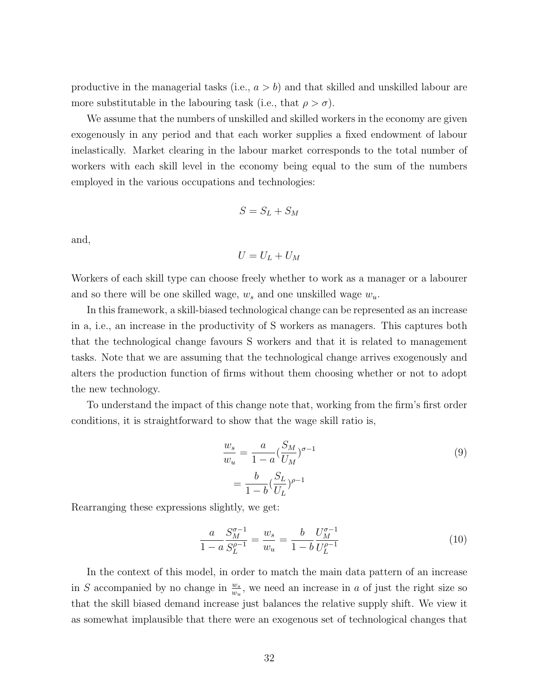productive in the managerial tasks (i.e.,  $a > b$ ) and that skilled and unskilled labour are more substitutable in the labouring task (i.e., that  $\rho > \sigma$ ).

We assume that the numbers of unskilled and skilled workers in the economy are given exogenously in any period and that each worker supplies a fixed endowment of labour inelastically. Market clearing in the labour market corresponds to the total number of workers with each skill level in the economy being equal to the sum of the numbers employed in the various occupations and technologies:

$$
S = S_L + S_M
$$

and,

$$
U=U_L+U_M
$$

Workers of each skill type can choose freely whether to work as a manager or a labourer and so there will be one skilled wage,  $w_s$  and one unskilled wage  $w_u$ .

In this framework, a skill-biased technological change can be represented as an increase in a, i.e., an increase in the productivity of S workers as managers. This captures both that the technological change favours S workers and that it is related to management tasks. Note that we are assuming that the technological change arrives exogenously and alters the production function of firms without them choosing whether or not to adopt the new technology.

To understand the impact of this change note that, working from the firm's first order conditions, it is straightforward to show that the wage skill ratio is,

$$
\frac{w_s}{w_u} = \frac{a}{1 - a} (\frac{S_M}{U_M})^{\sigma - 1}
$$
\n
$$
= \frac{b}{1 - b} (\frac{S_L}{U_L})^{\rho - 1}
$$
\n(9)

Rearranging these expressions slightly, we get:

<span id="page-31-0"></span>
$$
\frac{a}{1-a} \frac{S_M^{\sigma-1}}{S_L^{\rho-1}} = \frac{w_s}{w_u} = \frac{b}{1-b} \frac{U_M^{\sigma-1}}{U_L^{\rho-1}}
$$
(10)

In the context of this model, in order to match the main data pattern of an increase in S accompanied by no change in  $\frac{w_s}{w_u}$ , we need an increase in a of just the right size so that the skill biased demand increase just balances the relative supply shift. We view it as somewhat implausible that there were an exogenous set of technological changes that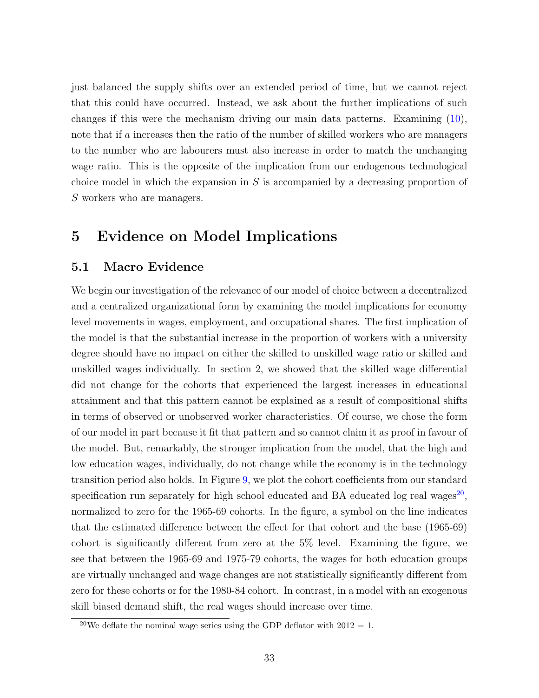just balanced the supply shifts over an extended period of time, but we cannot reject that this could have occurred. Instead, we ask about the further implications of such changes if this were the mechanism driving our main data patterns. Examining [\(10\)](#page-31-0), note that if a increases then the ratio of the number of skilled workers who are managers to the number who are labourers must also increase in order to match the unchanging wage ratio. This is the opposite of the implication from our endogenous technological choice model in which the expansion in  $S$  is accompanied by a decreasing proportion of S workers who are managers.

## 5 Evidence on Model Implications

### 5.1 Macro Evidence

We begin our investigation of the relevance of our model of choice between a decentralized and a centralized organizational form by examining the model implications for economy level movements in wages, employment, and occupational shares. The first implication of the model is that the substantial increase in the proportion of workers with a university degree should have no impact on either the skilled to unskilled wage ratio or skilled and unskilled wages individually. In section 2, we showed that the skilled wage differential did not change for the cohorts that experienced the largest increases in educational attainment and that this pattern cannot be explained as a result of compositional shifts in terms of observed or unobserved worker characteristics. Of course, we chose the form of our model in part because it fit that pattern and so cannot claim it as proof in favour of the model. But, remarkably, the stronger implication from the model, that the high and low education wages, individually, do not change while the economy is in the technology transition period also holds. In Figure [9,](#page-33-0) we plot the cohort coefficients from our standard specification run separately for high school educated and BA educated log real wages<sup>[20](#page-32-0)</sup>, normalized to zero for the 1965-69 cohorts. In the figure, a symbol on the line indicates that the estimated difference between the effect for that cohort and the base (1965-69) cohort is significantly different from zero at the 5% level. Examining the figure, we see that between the 1965-69 and 1975-79 cohorts, the wages for both education groups are virtually unchanged and wage changes are not statistically significantly different from zero for these cohorts or for the 1980-84 cohort. In contrast, in a model with an exogenous skill biased demand shift, the real wages should increase over time.

<span id="page-32-0"></span><sup>&</sup>lt;sup>20</sup>We deflate the nominal wage series using the GDP deflator with  $2012 = 1$ .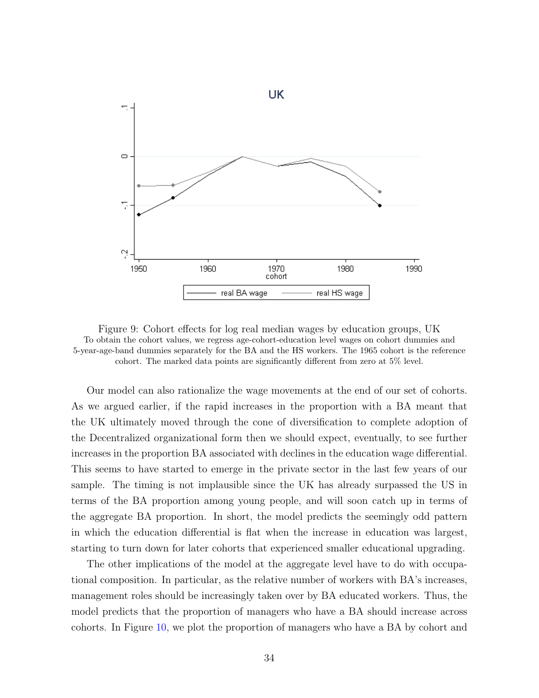

<span id="page-33-0"></span>Figure 9: Cohort effects for log real median wages by education groups, UK To obtain the cohort values, we regress age-cohort-education level wages on cohort dummies and 5-year-age-band dummies separately for the BA and the HS workers. The 1965 cohort is the reference cohort. The marked data points are significantly different from zero at 5% level.

Our model can also rationalize the wage movements at the end of our set of cohorts. As we argued earlier, if the rapid increases in the proportion with a BA meant that the UK ultimately moved through the cone of diversification to complete adoption of the Decentralized organizational form then we should expect, eventually, to see further increases in the proportion BA associated with declines in the education wage differential. This seems to have started to emerge in the private sector in the last few years of our sample. The timing is not implausible since the UK has already surpassed the US in terms of the BA proportion among young people, and will soon catch up in terms of the aggregate BA proportion. In short, the model predicts the seemingly odd pattern in which the education differential is flat when the increase in education was largest, starting to turn down for later cohorts that experienced smaller educational upgrading.

The other implications of the model at the aggregate level have to do with occupational composition. In particular, as the relative number of workers with BA's increases, management roles should be increasingly taken over by BA educated workers. Thus, the model predicts that the proportion of managers who have a BA should increase across cohorts. In Figure [10,](#page-34-0) we plot the proportion of managers who have a BA by cohort and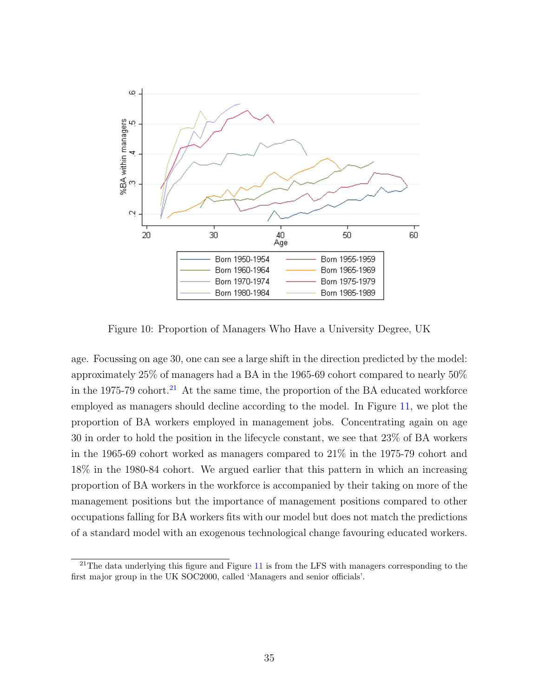

<span id="page-34-0"></span>Figure 10: Proportion of Managers Who Have a University Degree, UK

age. Focussing on age 30, one can see a large shift in the direction predicted by the model: approximately 25% of managers had a BA in the 1965-69 cohort compared to nearly  $50\%$ in the 1975-79 cohort.<sup>[21](#page-34-1)</sup> At the same time, the proportion of the BA educated workforce employed as managers should decline according to the model. In Figure [11,](#page-35-0) we plot the proportion of BA workers employed in management jobs. Concentrating again on age 30 in order to hold the position in the lifecycle constant, we see that 23% of BA workers in the 1965-69 cohort worked as managers compared to 21% in the 1975-79 cohort and 18% in the 1980-84 cohort. We argued earlier that this pattern in which an increasing proportion of BA workers in the workforce is accompanied by their taking on more of the management positions but the importance of management positions compared to other occupations falling for BA workers fits with our model but does not match the predictions of a standard model with an exogenous technological change favouring educated workers.

<span id="page-34-1"></span> $21$ The data underlying this figure and Figure [11](#page-35-0) is from the LFS with managers corresponding to the first major group in the UK SOC2000, called 'Managers and senior officials'.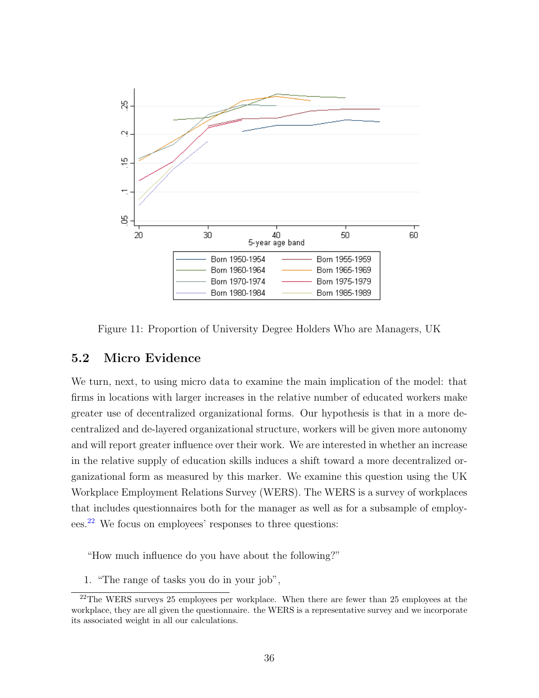

<span id="page-35-0"></span>Figure 11: Proportion of University Degree Holders Who are Managers, UK

#### 5.2 Micro Evidence

We turn, next, to using micro data to examine the main implication of the model: that firms in locations with larger increases in the relative number of educated workers make greater use of decentralized organizational forms. Our hypothesis is that in a more decentralized and de-layered organizational structure, workers will be given more autonomy and will report greater influence over their work. We are interested in whether an increase in the relative supply of education skills induces a shift toward a more decentralized organizational form as measured by this marker. We examine this question using the UK Workplace Employment Relations Survey (WERS). The WERS is a survey of workplaces that includes questionnaires both for the manager as well as for a subsample of employees.[22](#page-35-1) We focus on employees' responses to three questions:

"How much influence do you have about the following?"

<span id="page-35-1"></span>1. "The range of tasks you do in your job",

<sup>&</sup>lt;sup>22</sup>The WERS surveys 25 employees per workplace. When there are fewer than 25 employees at the workplace, they are all given the questionnaire. the WERS is a representative survey and we incorporate its associated weight in all our calculations.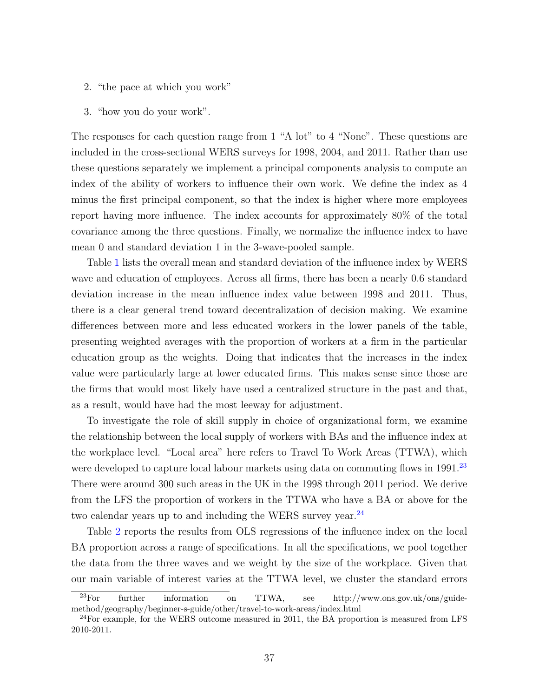- 2. "the pace at which you work"
- 3. "how you do your work".

The responses for each question range from 1 "A lot" to 4 "None". These questions are included in the cross-sectional WERS surveys for 1998, 2004, and 2011. Rather than use these questions separately we implement a principal components analysis to compute an index of the ability of workers to influence their own work. We define the index as 4 minus the first principal component, so that the index is higher where more employees report having more influence. The index accounts for approximately 80% of the total covariance among the three questions. Finally, we normalize the influence index to have mean 0 and standard deviation 1 in the 3-wave-pooled sample.

Table [1](#page-37-0) lists the overall mean and standard deviation of the influence index by WERS wave and education of employees. Across all firms, there has been a nearly 0.6 standard deviation increase in the mean influence index value between 1998 and 2011. Thus, there is a clear general trend toward decentralization of decision making. We examine differences between more and less educated workers in the lower panels of the table, presenting weighted averages with the proportion of workers at a firm in the particular education group as the weights. Doing that indicates that the increases in the index value were particularly large at lower educated firms. This makes sense since those are the firms that would most likely have used a centralized structure in the past and that, as a result, would have had the most leeway for adjustment.

To investigate the role of skill supply in choice of organizational form, we examine the relationship between the local supply of workers with BAs and the influence index at the workplace level. "Local area" here refers to Travel To Work Areas (TTWA), which were developed to capture local labour markets using data on commuting flows in 1991.<sup>[23](#page-36-0)</sup> There were around 300 such areas in the UK in the 1998 through 2011 period. We derive from the LFS the proportion of workers in the TTWA who have a BA or above for the two calendar years up to and including the WERS survey year.<sup>[24](#page-36-1)</sup>

Table [2](#page-38-0) reports the results from OLS regressions of the influence index on the local BA proportion across a range of specifications. In all the specifications, we pool together the data from the three waves and we weight by the size of the workplace. Given that our main variable of interest varies at the TTWA level, we cluster the standard errors

<span id="page-36-0"></span><sup>23</sup>For further information on TTWA, see http://www.ons.gov.uk/ons/guidemethod/geography/beginner-s-guide/other/travel-to-work-areas/index.html

<span id="page-36-1"></span><sup>&</sup>lt;sup>24</sup>For example, for the WERS outcome measured in 2011, the BA proportion is measured from LFS 2010-2011.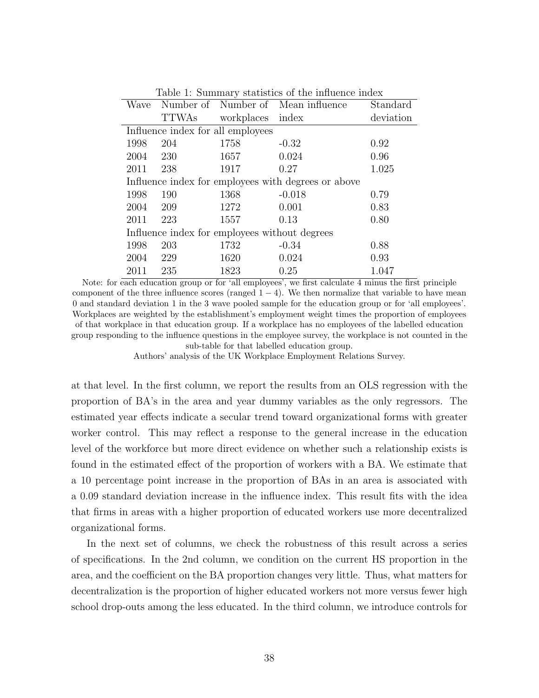<span id="page-37-0"></span>

| Table 1: Summary statistics of the influence index  |                                   |                  |                                    |           |  |  |
|-----------------------------------------------------|-----------------------------------|------------------|------------------------------------|-----------|--|--|
| Wave                                                |                                   |                  | Number of Number of Mean influence | Standard  |  |  |
|                                                     | TTWAs                             | workplaces index |                                    | deviation |  |  |
|                                                     | Influence index for all employees |                  |                                    |           |  |  |
| 1998                                                | 204                               | 1758             | $-0.32$                            | 0.92      |  |  |
| 2004                                                | - 230                             | 1657             | 0.024                              | 0.96      |  |  |
| 2011                                                | 238                               | 1917             | 0.27                               | 1.025     |  |  |
| Influence index for employees with degrees or above |                                   |                  |                                    |           |  |  |
| 1998                                                | 190                               | 1368             | $-0.018$                           | 0.79      |  |  |
| 2004                                                | 209                               | 1272             | 0.001                              | 0.83      |  |  |
| 2011                                                | 223                               | 1557             | 0.13                               | 0.80      |  |  |
| Influence index for employees without degrees       |                                   |                  |                                    |           |  |  |
| 1998                                                | 203                               | 1732             | $-0.34$                            | 0.88      |  |  |
| 2004                                                | 229                               | 1620             | 0.024                              | 0.93      |  |  |
| 2011                                                | 235                               | 1823             | 0.25                               | 1.047     |  |  |

Note: for each education group or for 'all employees', we first calculate 4 minus the first principle component of the three influence scores (ranged  $1 - 4$ ). We then normalize that variable to have mean 0 and standard deviation 1 in the 3 wave pooled sample for the education group or for 'all employees'. Workplaces are weighted by the establishment's employment weight times the proportion of employees of that workplace in that education group. If a workplace has no employees of the labelled education group responding to the influence questions in the employee survey, the workplace is not counted in the sub-table for that labelled education group.

Authors' analysis of the UK Workplace Employment Relations Survey.

at that level. In the first column, we report the results from an OLS regression with the proportion of BA's in the area and year dummy variables as the only regressors. The estimated year effects indicate a secular trend toward organizational forms with greater worker control. This may reflect a response to the general increase in the education level of the workforce but more direct evidence on whether such a relationship exists is found in the estimated effect of the proportion of workers with a BA. We estimate that a 10 percentage point increase in the proportion of BAs in an area is associated with a 0.09 standard deviation increase in the influence index. This result fits with the idea that firms in areas with a higher proportion of educated workers use more decentralized organizational forms.

In the next set of columns, we check the robustness of this result across a series of specifications. In the 2nd column, we condition on the current HS proportion in the area, and the coefficient on the BA proportion changes very little. Thus, what matters for decentralization is the proportion of higher educated workers not more versus fewer high school drop-outs among the less educated. In the third column, we introduce controls for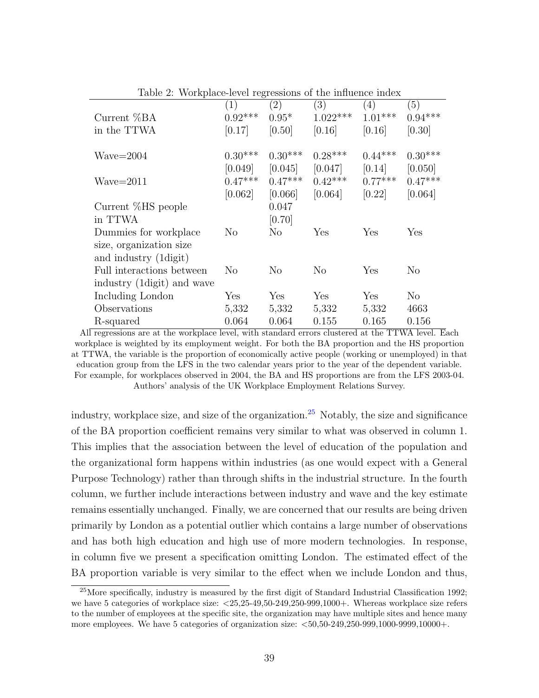| (1)            | (2)            | (3)        | (4)       | (5)       |
|----------------|----------------|------------|-----------|-----------|
|                | $0.95*$        | $1.022***$ | $1.01***$ | $0.94***$ |
| [0.17]         | [0.50]         | [0.16]     | [0.16]    | [0.30]    |
| $0.30***$      | $0.30***$      | $0.28***$  | $0.44***$ | $0.30***$ |
| [0.049]        | [0.045]        | [0.047]    | [0.14]    | [0.050]   |
| $0.47***$      | $0.47***$      | $0.42***$  | $0.77***$ | $0.47***$ |
| [0.062]        | [0.066]        | [0.064]    | [0.22]    | [0.064]   |
|                | 0.047          |            |           |           |
|                | [0.70]         |            |           |           |
| N <sub>o</sub> | N <sub>o</sub> | Yes        | Yes       | Yes       |
|                |                |            |           |           |
|                |                |            |           |           |
| No             | N <sub>o</sub> | $\rm No$   | Yes       | $\rm No$  |
|                |                |            |           |           |
| Yes            | Yes            | Yes        | Yes       | No        |
| 5,332          | 5,332          | 5,332      | 5,332     | 4663      |
| 0.064          | 0.064          | 0.155      | 0.165     | 0.156     |
|                | $0.92***$      | ັ          |           |           |

<span id="page-38-0"></span>Table 2: Workplace-level regressions of the influence index

All regressions are at the workplace level, with standard errors clustered at the TTWA level. Each workplace is weighted by its employment weight. For both the BA proportion and the HS proportion at TTWA, the variable is the proportion of economically active people (working or unemployed) in that education group from the LFS in the two calendar years prior to the year of the dependent variable. For example, for workplaces observed in 2004, the BA and HS proportions are from the LFS 2003-04. Authors' analysis of the UK Workplace Employment Relations Survey.

industry, workplace size, and size of the organization.<sup>[25](#page-38-1)</sup> Notably, the size and significance of the BA proportion coefficient remains very similar to what was observed in column 1. This implies that the association between the level of education of the population and the organizational form happens within industries (as one would expect with a General Purpose Technology) rather than through shifts in the industrial structure. In the fourth column, we further include interactions between industry and wave and the key estimate remains essentially unchanged. Finally, we are concerned that our results are being driven primarily by London as a potential outlier which contains a large number of observations and has both high education and high use of more modern technologies. In response, in column five we present a specification omitting London. The estimated effect of the BA proportion variable is very similar to the effect when we include London and thus,

<span id="page-38-1"></span><sup>25</sup>More specifically, industry is measured by the first digit of Standard Industrial Classification 1992; we have 5 categories of workplace size: <25,25-49,50-249,250-999,1000+. Whereas workplace size refers to the number of employees at the specific site, the organization may have multiple sites and hence many more employees. We have 5 categories of organization size:  $\lt 50,50-249,250-999,1000-9999,10000+$ .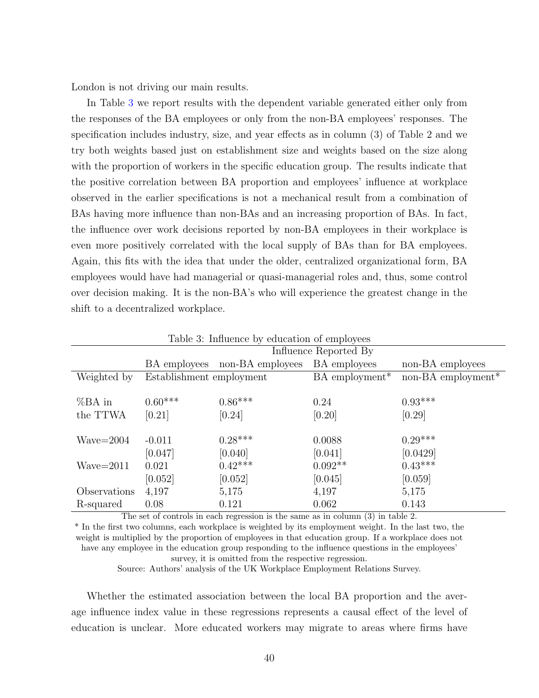London is not driving our main results.

In Table [3](#page-39-0) we report results with the dependent variable generated either only from the responses of the BA employees or only from the non-BA employees' responses. The specification includes industry, size, and year effects as in column (3) of Table 2 and we try both weights based just on establishment size and weights based on the size along with the proportion of workers in the specific education group. The results indicate that the positive correlation between BA proportion and employees' influence at workplace observed in the earlier specifications is not a mechanical result from a combination of BAs having more influence than non-BAs and an increasing proportion of BAs. In fact, the influence over work decisions reported by non-BA employees in their workplace is even more positively correlated with the local supply of BAs than for BA employees. Again, this fits with the idea that under the older, centralized organizational form, BA employees would have had managerial or quasi-managerial roles and, thus, some control over decision making. It is the non-BA's who will experience the greatest change in the shift to a decentralized workplace.

| rapio o, minuenee by equedition or employees |                          |                  |                              |                                |  |  |
|----------------------------------------------|--------------------------|------------------|------------------------------|--------------------------------|--|--|
|                                              | Influence Reported By    |                  |                              |                                |  |  |
|                                              | BA employees             | non-BA employees | BA employees                 | non-BA employees               |  |  |
| Weighted by                                  | Establishment employment |                  | $BA$ employment <sup>*</sup> | non-BA employment <sup>*</sup> |  |  |
|                                              |                          |                  |                              |                                |  |  |
| $%BA$ in                                     | $0.60***$                | $0.86***$        | 0.24                         | $0.93***$                      |  |  |
| the TTWA                                     | [0.21]                   | [0.24]           | [0.20]                       | [0.29]                         |  |  |
|                                              |                          |                  |                              |                                |  |  |
| $Wave=2004$                                  | $-0.011$                 | $0.28***$        | 0.0088                       | $0.29***$                      |  |  |
|                                              | [0.047]                  | [0.040]          | [0.041]                      | [0.0429]                       |  |  |
| $Wave = 2011$                                | 0.021                    | $0.42***$        | $0.092**$                    | $0.43***$                      |  |  |
|                                              | $[0.052]$                | [0.052]          | [0.045]                      | [0.059]                        |  |  |
| Observations                                 | 4,197                    | 5,175            | 4,197                        | 5,175                          |  |  |
| R-squared                                    | 0.08                     | 0.121            | 0.062                        | 0.143                          |  |  |

<span id="page-39-0"></span>Table 3: Influence by education of employees

The set of controls in each regression is the same as in column (3) in table 2.

\* In the first two columns, each workplace is weighted by its employment weight. In the last two, the weight is multiplied by the proportion of employees in that education group. If a workplace does not have any employee in the education group responding to the influence questions in the employees' survey, it is omitted from the respective regression.

Source: Authors' analysis of the UK Workplace Employment Relations Survey.

Whether the estimated association between the local BA proportion and the average influence index value in these regressions represents a causal effect of the level of education is unclear. More educated workers may migrate to areas where firms have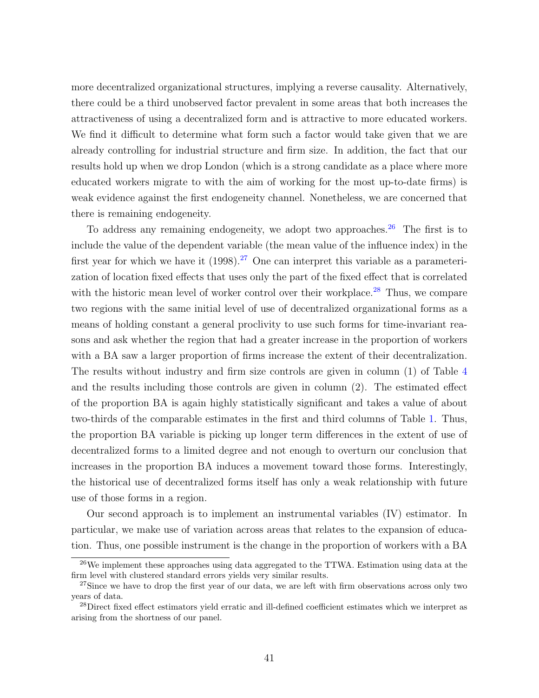more decentralized organizational structures, implying a reverse causality. Alternatively, there could be a third unobserved factor prevalent in some areas that both increases the attractiveness of using a decentralized form and is attractive to more educated workers. We find it difficult to determine what form such a factor would take given that we are already controlling for industrial structure and firm size. In addition, the fact that our results hold up when we drop London (which is a strong candidate as a place where more educated workers migrate to with the aim of working for the most up-to-date firms) is weak evidence against the first endogeneity channel. Nonetheless, we are concerned that there is remaining endogeneity.

To address any remaining endogeneity, we adopt two approaches. $26$  The first is to include the value of the dependent variable (the mean value of the influence index) in the first year for which we have it  $(1998).^{27}$  $(1998).^{27}$  $(1998).^{27}$  One can interpret this variable as a parameterization of location fixed effects that uses only the part of the fixed effect that is correlated with the historic mean level of worker control over their workplace.<sup>[28](#page-40-2)</sup> Thus, we compare two regions with the same initial level of use of decentralized organizational forms as a means of holding constant a general proclivity to use such forms for time-invariant reasons and ask whether the region that had a greater increase in the proportion of workers with a BA saw a larger proportion of firms increase the extent of their decentralization. The results without industry and firm size controls are given in column (1) of Table [4](#page-41-0) and the results including those controls are given in column (2). The estimated effect of the proportion BA is again highly statistically significant and takes a value of about two-thirds of the comparable estimates in the first and third columns of Table [1.](#page-37-0) Thus, the proportion BA variable is picking up longer term differences in the extent of use of decentralized forms to a limited degree and not enough to overturn our conclusion that increases in the proportion BA induces a movement toward those forms. Interestingly, the historical use of decentralized forms itself has only a weak relationship with future use of those forms in a region.

Our second approach is to implement an instrumental variables (IV) estimator. In particular, we make use of variation across areas that relates to the expansion of education. Thus, one possible instrument is the change in the proportion of workers with a BA

<span id="page-40-0"></span><sup>&</sup>lt;sup>26</sup>We implement these approaches using data aggregated to the TTWA. Estimation using data at the firm level with clustered standard errors yields very similar results.

<span id="page-40-1"></span><sup>&</sup>lt;sup>27</sup>Since we have to drop the first year of our data, we are left with firm observations across only two years of data.

<span id="page-40-2"></span><sup>&</sup>lt;sup>28</sup>Direct fixed effect estimators yield erratic and ill-defined coefficient estimates which we interpret as arising from the shortness of our panel.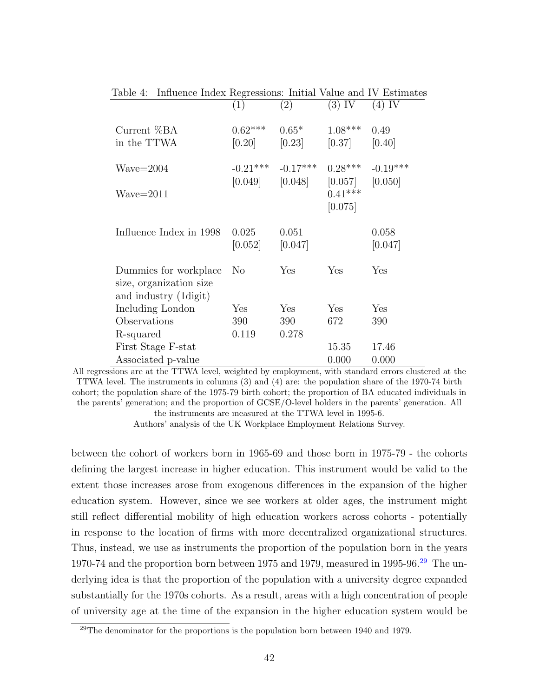| ranie 4.<br>Thingence Index regressions. Initial value and IV Estimate     |                  |                       |                                             |                  |
|----------------------------------------------------------------------------|------------------|-----------------------|---------------------------------------------|------------------|
|                                                                            | (1)              | (2)                   | $(3)$ IV                                    | $(4)$ IV         |
| Current %BA                                                                | $0.62***$        | $0.65*$               | $1.08***$                                   | 0.49             |
| in the TTWA                                                                |                  | $[0.20]$ $[0.23]$     | $[0.37]$ $[0.40]$                           |                  |
| $Wave = 2004$                                                              |                  | $-0.21***$ $-0.17***$ | $0.28***$                                   | $-0.19***$       |
| $Wave = 2011$                                                              |                  | $[0.049]$ $[0.048]$   | $[0.057]$ $[0.050]$<br>$0.41***$<br>[0.075] |                  |
| Influence Index in 1998                                                    | 0.025<br>[0.052] | 0.051<br>[0.047]      |                                             | 0.058<br>[0.047] |
| Dummies for workplace<br>size, organization size<br>and industry (1 digit) | N <sub>o</sub>   | Yes                   | Yes                                         | Yes              |
| Including London                                                           | Yes              | Yes                   | Yes                                         | Yes              |
| Observations                                                               | 390              | 390                   | 672                                         | 390              |
| R-squared                                                                  | 0.119            | 0.278                 |                                             |                  |
| First Stage F-stat                                                         |                  |                       | 15.35                                       | 17.46            |
| Associated p-value                                                         |                  |                       | 0.000                                       | 0.000            |

<span id="page-41-0"></span>Table 4: Influence Index Regressions: Initial Value and IV Estimates

All regressions are at the TTWA level, weighted by employment, with standard errors clustered at the TTWA level. The instruments in columns (3) and (4) are: the population share of the 1970-74 birth cohort; the population share of the 1975-79 birth cohort; the proportion of BA educated individuals in the parents' generation; and the proportion of GCSE/O-level holders in the parents' generation. All

the instruments are measured at the TTWA level in 1995-6.

Authors' analysis of the UK Workplace Employment Relations Survey.

between the cohort of workers born in 1965-69 and those born in 1975-79 - the cohorts defining the largest increase in higher education. This instrument would be valid to the extent those increases arose from exogenous differences in the expansion of the higher education system. However, since we see workers at older ages, the instrument might still reflect differential mobility of high education workers across cohorts - potentially in response to the location of firms with more decentralized organizational structures. Thus, instead, we use as instruments the proportion of the population born in the years 1970-74 and the proportion born between 1975 and 1979, measured in 1995-96.<sup>[29](#page-41-1)</sup> The underlying idea is that the proportion of the population with a university degree expanded substantially for the 1970s cohorts. As a result, areas with a high concentration of people of university age at the time of the expansion in the higher education system would be

<span id="page-41-1"></span> $29$ The denominator for the proportions is the population born between 1940 and 1979.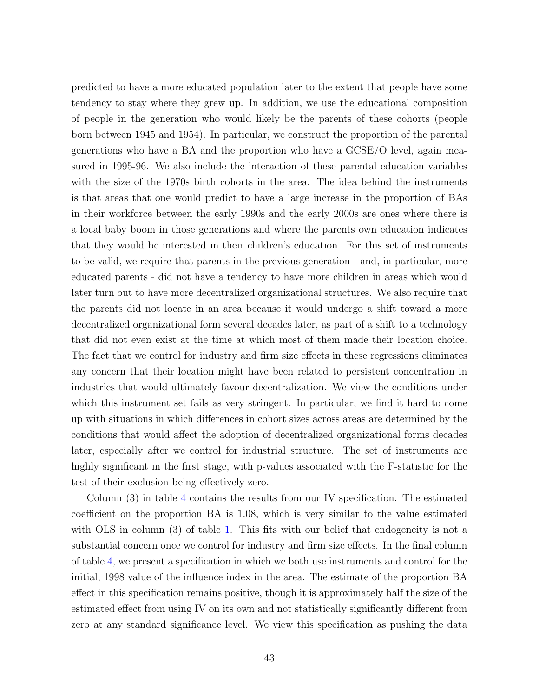predicted to have a more educated population later to the extent that people have some tendency to stay where they grew up. In addition, we use the educational composition of people in the generation who would likely be the parents of these cohorts (people born between 1945 and 1954). In particular, we construct the proportion of the parental generations who have a BA and the proportion who have a GCSE/O level, again measured in 1995-96. We also include the interaction of these parental education variables with the size of the 1970s birth cohorts in the area. The idea behind the instruments is that areas that one would predict to have a large increase in the proportion of BAs in their workforce between the early 1990s and the early 2000s are ones where there is a local baby boom in those generations and where the parents own education indicates that they would be interested in their children's education. For this set of instruments to be valid, we require that parents in the previous generation - and, in particular, more educated parents - did not have a tendency to have more children in areas which would later turn out to have more decentralized organizational structures. We also require that the parents did not locate in an area because it would undergo a shift toward a more decentralized organizational form several decades later, as part of a shift to a technology that did not even exist at the time at which most of them made their location choice. The fact that we control for industry and firm size effects in these regressions eliminates any concern that their location might have been related to persistent concentration in industries that would ultimately favour decentralization. We view the conditions under which this instrument set fails as very stringent. In particular, we find it hard to come up with situations in which differences in cohort sizes across areas are determined by the conditions that would affect the adoption of decentralized organizational forms decades later, especially after we control for industrial structure. The set of instruments are highly significant in the first stage, with p-values associated with the F-statistic for the test of their exclusion being effectively zero.

Column (3) in table [4](#page-41-0) contains the results from our IV specification. The estimated coefficient on the proportion BA is 1.08, which is very similar to the value estimated with OLS in column (3) of table [1.](#page-37-0) This fits with our belief that endogeneity is not a substantial concern once we control for industry and firm size effects. In the final column of table [4,](#page-41-0) we present a specification in which we both use instruments and control for the initial, 1998 value of the influence index in the area. The estimate of the proportion BA effect in this specification remains positive, though it is approximately half the size of the estimated effect from using IV on its own and not statistically significantly different from zero at any standard significance level. We view this specification as pushing the data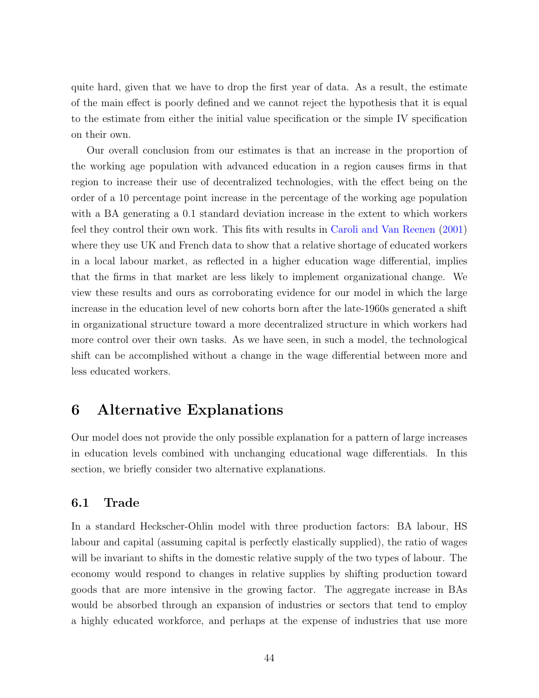quite hard, given that we have to drop the first year of data. As a result, the estimate of the main effect is poorly defined and we cannot reject the hypothesis that it is equal to the estimate from either the initial value specification or the simple IV specification on their own.

Our overall conclusion from our estimates is that an increase in the proportion of the working age population with advanced education in a region causes firms in that region to increase their use of decentralized technologies, with the effect being on the order of a 10 percentage point increase in the percentage of the working age population with a BA generating a 0.1 standard deviation increase in the extent to which workers feel they control their own work. This fits with results in [Caroli and Van Reenen](#page-51-1) [\(2001\)](#page-51-1) where they use UK and French data to show that a relative shortage of educated workers in a local labour market, as reflected in a higher education wage differential, implies that the firms in that market are less likely to implement organizational change. We view these results and ours as corroborating evidence for our model in which the large increase in the education level of new cohorts born after the late-1960s generated a shift in organizational structure toward a more decentralized structure in which workers had more control over their own tasks. As we have seen, in such a model, the technological shift can be accomplished without a change in the wage differential between more and less educated workers.

## 6 Alternative Explanations

Our model does not provide the only possible explanation for a pattern of large increases in education levels combined with unchanging educational wage differentials. In this section, we briefly consider two alternative explanations.

### 6.1 Trade

In a standard Heckscher-Ohlin model with three production factors: BA labour, HS labour and capital (assuming capital is perfectly elastically supplied), the ratio of wages will be invariant to shifts in the domestic relative supply of the two types of labour. The economy would respond to changes in relative supplies by shifting production toward goods that are more intensive in the growing factor. The aggregate increase in BAs would be absorbed through an expansion of industries or sectors that tend to employ a highly educated workforce, and perhaps at the expense of industries that use more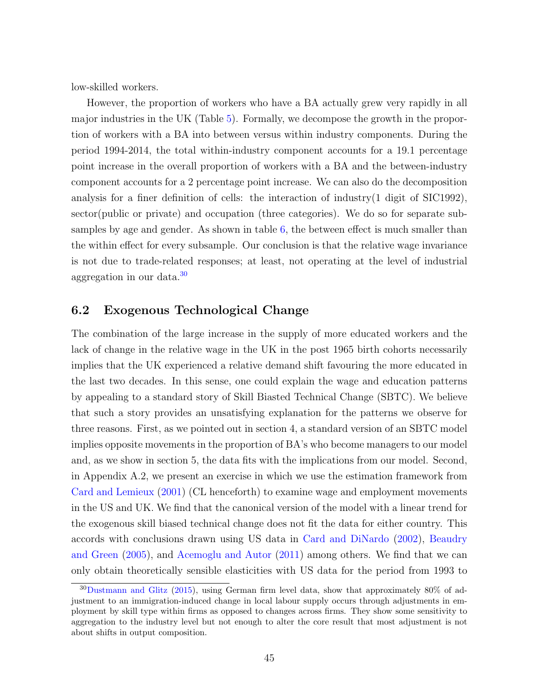low-skilled workers.

However, the proportion of workers who have a BA actually grew very rapidly in all major industries in the UK (Table [5\)](#page-45-0). Formally, we decompose the growth in the proportion of workers with a BA into between versus within industry components. During the period 1994-2014, the total within-industry component accounts for a 19.1 percentage point increase in the overall proportion of workers with a BA and the between-industry component accounts for a 2 percentage point increase. We can also do the decomposition analysis for a finer definition of cells: the interaction of industry(1 digit of SIC1992), sector(public or private) and occupation (three categories). We do so for separate subsamples by age and gender. As shown in table [6,](#page-45-1) the between effect is much smaller than the within effect for every subsample. Our conclusion is that the relative wage invariance is not due to trade-related responses; at least, not operating at the level of industrial aggregation in our data  $30$ 

#### 6.2 Exogenous Technological Change

The combination of the large increase in the supply of more educated workers and the lack of change in the relative wage in the UK in the post 1965 birth cohorts necessarily implies that the UK experienced a relative demand shift favouring the more educated in the last two decades. In this sense, one could explain the wage and education patterns by appealing to a standard story of Skill Biasted Technical Change (SBTC). We believe that such a story provides an unsatisfying explanation for the patterns we observe for three reasons. First, as we pointed out in section 4, a standard version of an SBTC model implies opposite movements in the proportion of BA's who become managers to our model and, as we show in section 5, the data fits with the implications from our model. Second, in Appendix A.2, we present an exercise in which we use the estimation framework from [Card and Lemieux](#page-51-10) [\(2001\)](#page-51-10) (CL henceforth) to examine wage and employment movements in the US and UK. We find that the canonical version of the model with a linear trend for the exogenous skill biased technical change does not fit the data for either country. This accords with conclusions drawn using US data in [Card and DiNardo](#page-51-5) [\(2002\)](#page-51-5), [Beaudry](#page-50-2) [and Green](#page-50-2) [\(2005\)](#page-50-2), and [Acemoglu and Autor](#page-50-0) [\(2011\)](#page-50-0) among others. We find that we can only obtain theoretically sensible elasticities with US data for the period from 1993 to

<span id="page-44-0"></span><sup>30</sup>[Dustmann and Glitz](#page-52-11) [\(2015\)](#page-52-11), using German firm level data, show that approximately 80% of adjustment to an immigration-induced change in local labour supply occurs through adjustments in employment by skill type within firms as opposed to changes across firms. They show some sensitivity to aggregation to the industry level but not enough to alter the core result that most adjustment is not about shifts in output composition.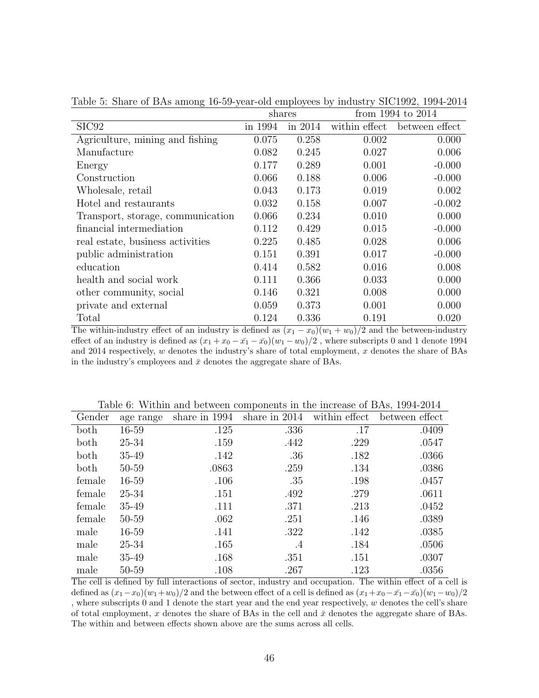|                                   | shares  |           |               | from 1994 to 2014 |
|-----------------------------------|---------|-----------|---------------|-------------------|
| SIC <sub>92</sub>                 | in 1994 | in $2014$ | within effect | between effect    |
| Agriculture, mining and fishing   | 0.075   | 0.258     | 0.002         | 0.000             |
| Manufacture                       | 0.082   | 0.245     | 0.027         | 0.006             |
| Energy                            | 0.177   | 0.289     | 0.001         | $-0.000$          |
| Construction                      | 0.066   | 0.188     | 0.006         | $-0.000$          |
| Wholesale, retail                 | 0.043   | 0.173     | 0.019         | 0.002             |
| Hotel and restaurants             | 0.032   | 0.158     | 0.007         | $-0.002$          |
| Transport, storage, communication | 0.066   | 0.234     | 0.010         | 0.000             |
| financial intermediation          | 0.112   | 0.429     | 0.015         | $-0.000$          |
| real estate, business activities  | 0.225   | 0.485     | 0.028         | 0.006             |
| public administration             | 0.151   | 0.391     | 0.017         | $-0.000$          |
| education                         | 0.414   | 0.582     | 0.016         | 0.008             |
| health and social work            | 0.111   | 0.366     | 0.033         | 0.000             |
| other community, social           | 0.146   | 0.321     | 0.008         | 0.000             |
| private and external              | 0.059   | 0.373     | 0.001         | 0.000             |
| Total                             | 0.124   | 0.336     | 0.191         | 0.020             |

<span id="page-45-0"></span>Table 5: Share of BAs among 16-59-year-old employees by industry SIC1992, 1994-2014

The within-industry effect of an industry is defined as  $(x_1 - x_0)(w_1 + w_0)/2$  and the between-industry effect of an industry is defined as  $(x_1 + x_0 - \bar{x_1} - \bar{x_0})(w_1 - w_0)/2$ , where subscripts 0 and 1 denote 1994 and 2014 respectively,  $w$  denotes the industry's share of total employment,  $x$  denotes the share of BAs in the industry's employees and  $\bar{x}$  denotes the aggregate share of BAs.

| Gender | age range | share in 1994 | share in $2014$ | within effect | between effect |
|--------|-----------|---------------|-----------------|---------------|----------------|
| both   | 16-59     | .125          | .336            | .17           | .0409          |
| both   | 25-34     | .159          | .442            | .229          | .0547          |
| both   | 35-49     | .142          | .36             | .182          | .0366          |
| both   | 50-59     | .0863         | .259            | .134          | .0386          |
| female | 16-59     | .106          | .35             | .198          | .0457          |
| female | 25-34     | .151          | .492            | .279          | .0611          |
| female | 35-49     | .111          | .371            | .213          | .0452          |
| female | 50-59     | .062          | .251            | .146          | .0389          |
| male   | 16-59     | .141          | .322            | .142          | .0385          |
| male   | 25-34     | .165          | .4              | .184          | .0506          |
| male   | 35-49     | .168          | .351            | .151          | .0307          |
| male   | 50-59     | .108          | .267            | .123          | .0356          |

<span id="page-45-1"></span>Table 6: Within and between components in the increase of BAs, 1994-2014

The cell is defined by full interactions of sector, industry and occupation. The within effect of a cell is defined as  $(x_1-x_0)(w_1+w_0)/2$  and the between effect of a cell is defined as  $(x_1+x_0-\bar{x_1}-\bar{x_0})(w_1-w_0)/2$ , where subscripts 0 and 1 denote the start year and the end year respectively, w denotes the cell's share of total employment, x denotes the share of BAs in the cell and  $\bar{x}$  denotes the aggregate share of BAs. The within and between effects shown above are the sums across all cells.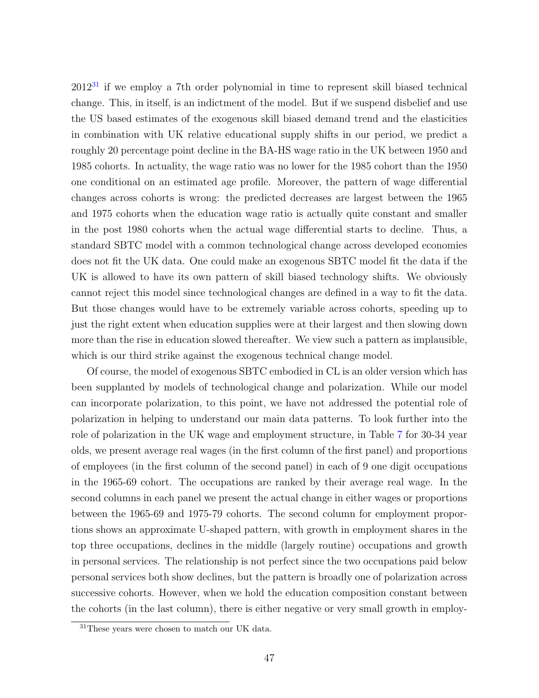$2012<sup>31</sup>$  $2012<sup>31</sup>$  $2012<sup>31</sup>$  if we employ a 7th order polynomial in time to represent skill biased technical change. This, in itself, is an indictment of the model. But if we suspend disbelief and use the US based estimates of the exogenous skill biased demand trend and the elasticities in combination with UK relative educational supply shifts in our period, we predict a roughly 20 percentage point decline in the BA-HS wage ratio in the UK between 1950 and 1985 cohorts. In actuality, the wage ratio was no lower for the 1985 cohort than the 1950 one conditional on an estimated age profile. Moreover, the pattern of wage differential changes across cohorts is wrong: the predicted decreases are largest between the 1965 and 1975 cohorts when the education wage ratio is actually quite constant and smaller in the post 1980 cohorts when the actual wage differential starts to decline. Thus, a standard SBTC model with a common technological change across developed economies does not fit the UK data. One could make an exogenous SBTC model fit the data if the UK is allowed to have its own pattern of skill biased technology shifts. We obviously cannot reject this model since technological changes are defined in a way to fit the data. But those changes would have to be extremely variable across cohorts, speeding up to just the right extent when education supplies were at their largest and then slowing down more than the rise in education slowed thereafter. We view such a pattern as implausible, which is our third strike against the exogenous technical change model.

Of course, the model of exogenous SBTC embodied in CL is an older version which has been supplanted by models of technological change and polarization. While our model can incorporate polarization, to this point, we have not addressed the potential role of polarization in helping to understand our main data patterns. To look further into the role of polarization in the UK wage and employment structure, in Table [7](#page-47-0) for 30-34 year olds, we present average real wages (in the first column of the first panel) and proportions of employees (in the first column of the second panel) in each of 9 one digit occupations in the 1965-69 cohort. The occupations are ranked by their average real wage. In the second columns in each panel we present the actual change in either wages or proportions between the 1965-69 and 1975-79 cohorts. The second column for employment proportions shows an approximate U-shaped pattern, with growth in employment shares in the top three occupations, declines in the middle (largely routine) occupations and growth in personal services. The relationship is not perfect since the two occupations paid below personal services both show declines, but the pattern is broadly one of polarization across successive cohorts. However, when we hold the education composition constant between the cohorts (in the last column), there is either negative or very small growth in employ-

<span id="page-46-0"></span><sup>&</sup>lt;sup>31</sup>These years were chosen to match our UK data.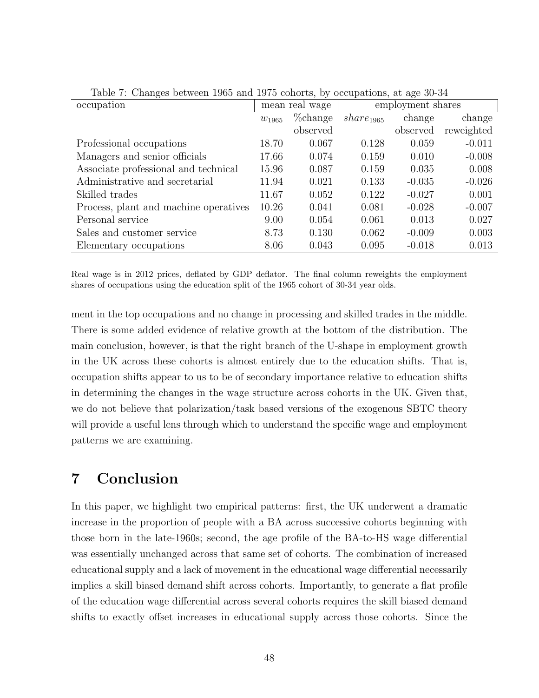| occupation                            | mean real wage |          | employment shares     |          |            |
|---------------------------------------|----------------|----------|-----------------------|----------|------------|
|                                       | $w_{1965}$     | %change  | share <sub>1965</sub> | change   | change     |
|                                       |                | observed |                       | observed | reweighted |
| Professional occupations              | 18.70          | 0.067    | 0.128                 | 0.059    | $-0.011$   |
| Managers and senior officials         | 17.66          | 0.074    | 0.159                 | 0.010    | $-0.008$   |
| Associate professional and technical  | 15.96          | 0.087    | 0.159                 | 0.035    | 0.008      |
| Administrative and secretarial        | 11.94          | 0.021    | 0.133                 | $-0.035$ | $-0.026$   |
| Skilled trades                        | 11.67          | 0.052    | 0.122                 | $-0.027$ | 0.001      |
| Process, plant and machine operatives | 10.26          | 0.041    | 0.081                 | $-0.028$ | $-0.007$   |
| Personal service                      | 9.00           | 0.054    | 0.061                 | 0.013    | 0.027      |
| Sales and customer service            | 8.73           | 0.130    | 0.062                 | $-0.009$ | 0.003      |
| Elementary occupations                | 8.06           | 0.043    | 0.095                 | $-0.018$ | 0.013      |

<span id="page-47-0"></span>Table 7: Changes between 1965 and 1975 cohorts, by occupations, at age 30-34

Real wage is in 2012 prices, deflated by GDP deflator. The final column reweights the employment shares of occupations using the education split of the 1965 cohort of 30-34 year olds.

ment in the top occupations and no change in processing and skilled trades in the middle. There is some added evidence of relative growth at the bottom of the distribution. The main conclusion, however, is that the right branch of the U-shape in employment growth in the UK across these cohorts is almost entirely due to the education shifts. That is, occupation shifts appear to us to be of secondary importance relative to education shifts in determining the changes in the wage structure across cohorts in the UK. Given that, we do not believe that polarization/task based versions of the exogenous SBTC theory will provide a useful lens through which to understand the specific wage and employment patterns we are examining.

## 7 Conclusion

In this paper, we highlight two empirical patterns: first, the UK underwent a dramatic increase in the proportion of people with a BA across successive cohorts beginning with those born in the late-1960s; second, the age profile of the BA-to-HS wage differential was essentially unchanged across that same set of cohorts. The combination of increased educational supply and a lack of movement in the educational wage differential necessarily implies a skill biased demand shift across cohorts. Importantly, to generate a flat profile of the education wage differential across several cohorts requires the skill biased demand shifts to exactly offset increases in educational supply across those cohorts. Since the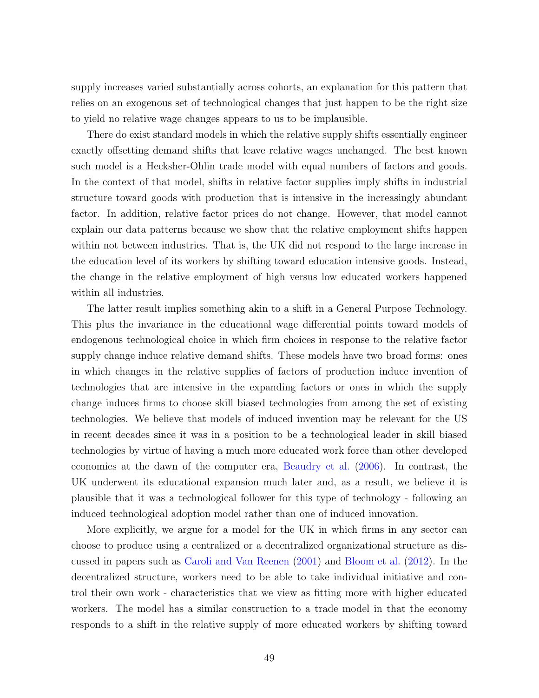supply increases varied substantially across cohorts, an explanation for this pattern that relies on an exogenous set of technological changes that just happen to be the right size to yield no relative wage changes appears to us to be implausible.

There do exist standard models in which the relative supply shifts essentially engineer exactly offsetting demand shifts that leave relative wages unchanged. The best known such model is a Hecksher-Ohlin trade model with equal numbers of factors and goods. In the context of that model, shifts in relative factor supplies imply shifts in industrial structure toward goods with production that is intensive in the increasingly abundant factor. In addition, relative factor prices do not change. However, that model cannot explain our data patterns because we show that the relative employment shifts happen within not between industries. That is, the UK did not respond to the large increase in the education level of its workers by shifting toward education intensive goods. Instead, the change in the relative employment of high versus low educated workers happened within all industries.

The latter result implies something akin to a shift in a General Purpose Technology. This plus the invariance in the educational wage differential points toward models of endogenous technological choice in which firm choices in response to the relative factor supply change induce relative demand shifts. These models have two broad forms: ones in which changes in the relative supplies of factors of production induce invention of technologies that are intensive in the expanding factors or ones in which the supply change induces firms to choose skill biased technologies from among the set of existing technologies. We believe that models of induced invention may be relevant for the US in recent decades since it was in a position to be a technological leader in skill biased technologies by virtue of having a much more educated work force than other developed economies at the dawn of the computer era, [Beaudry et al.](#page-50-8) [\(2006\)](#page-50-8). In contrast, the UK underwent its educational expansion much later and, as a result, we believe it is plausible that it was a technological follower for this type of technology - following an induced technological adoption model rather than one of induced innovation.

More explicitly, we argue for a model for the UK in which firms in any sector can choose to produce using a centralized or a decentralized organizational structure as discussed in papers such as [Caroli and Van Reenen](#page-51-1) [\(2001\)](#page-51-1) and [Bloom et al.](#page-51-6) [\(2012\)](#page-51-6). In the decentralized structure, workers need to be able to take individual initiative and control their own work - characteristics that we view as fitting more with higher educated workers. The model has a similar construction to a trade model in that the economy responds to a shift in the relative supply of more educated workers by shifting toward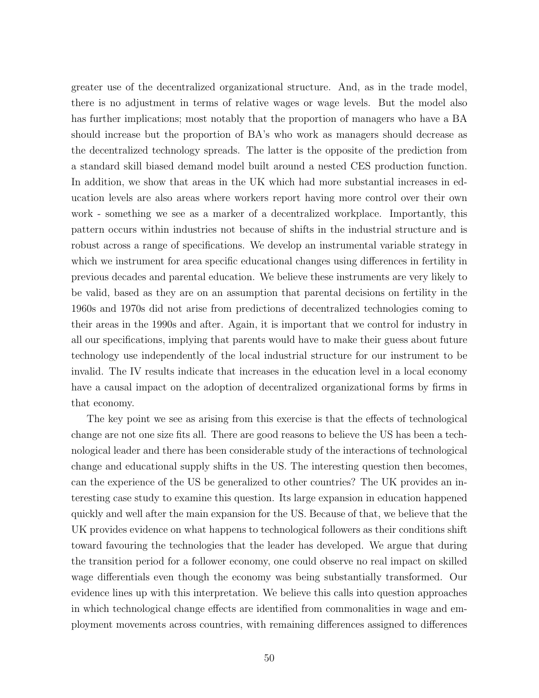greater use of the decentralized organizational structure. And, as in the trade model, there is no adjustment in terms of relative wages or wage levels. But the model also has further implications; most notably that the proportion of managers who have a BA should increase but the proportion of BA's who work as managers should decrease as the decentralized technology spreads. The latter is the opposite of the prediction from a standard skill biased demand model built around a nested CES production function. In addition, we show that areas in the UK which had more substantial increases in education levels are also areas where workers report having more control over their own work - something we see as a marker of a decentralized workplace. Importantly, this pattern occurs within industries not because of shifts in the industrial structure and is robust across a range of specifications. We develop an instrumental variable strategy in which we instrument for area specific educational changes using differences in fertility in previous decades and parental education. We believe these instruments are very likely to be valid, based as they are on an assumption that parental decisions on fertility in the 1960s and 1970s did not arise from predictions of decentralized technologies coming to their areas in the 1990s and after. Again, it is important that we control for industry in all our specifications, implying that parents would have to make their guess about future technology use independently of the local industrial structure for our instrument to be invalid. The IV results indicate that increases in the education level in a local economy have a causal impact on the adoption of decentralized organizational forms by firms in that economy.

The key point we see as arising from this exercise is that the effects of technological change are not one size fits all. There are good reasons to believe the US has been a technological leader and there has been considerable study of the interactions of technological change and educational supply shifts in the US. The interesting question then becomes, can the experience of the US be generalized to other countries? The UK provides an interesting case study to examine this question. Its large expansion in education happened quickly and well after the main expansion for the US. Because of that, we believe that the UK provides evidence on what happens to technological followers as their conditions shift toward favouring the technologies that the leader has developed. We argue that during the transition period for a follower economy, one could observe no real impact on skilled wage differentials even though the economy was being substantially transformed. Our evidence lines up with this interpretation. We believe this calls into question approaches in which technological change effects are identified from commonalities in wage and employment movements across countries, with remaining differences assigned to differences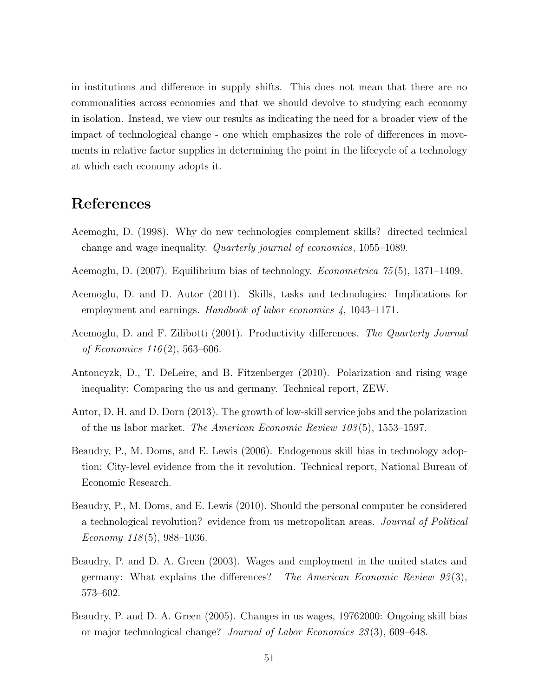in institutions and difference in supply shifts. This does not mean that there are no commonalities across economies and that we should devolve to studying each economy in isolation. Instead, we view our results as indicating the need for a broader view of the impact of technological change - one which emphasizes the role of differences in movements in relative factor supplies in determining the point in the lifecycle of a technology at which each economy adopts it.

## References

- <span id="page-50-4"></span>Acemoglu, D. (1998). Why do new technologies complement skills? directed technical change and wage inequality. Quarterly journal of economics, 1055–1089.
- <span id="page-50-5"></span>Acemoglu, D. (2007). Equilibrium bias of technology. *Econometrica* 75(5), 1371–1409.
- <span id="page-50-0"></span>Acemoglu, D. and D. Autor (2011). Skills, tasks and technologies: Implications for employment and earnings. Handbook of labor economics 4, 1043–1171.
- <span id="page-50-9"></span>Acemoglu, D. and F. Zilibotti (2001). Productivity differences. The Quarterly Journal of Economics  $116(2)$ , 563–606.
- <span id="page-50-1"></span>Antoncyzk, D., T. DeLeire, and B. Fitzenberger (2010). Polarization and rising wage inequality: Comparing the us and germany. Technical report, ZEW.
- <span id="page-50-3"></span>Autor, D. H. and D. Dorn (2013). The growth of low-skill service jobs and the polarization of the us labor market. The American Economic Review 103 (5), 1553–1597.
- <span id="page-50-8"></span>Beaudry, P., M. Doms, and E. Lewis (2006). Endogenous skill bias in technology adoption: City-level evidence from the it revolution. Technical report, National Bureau of Economic Research.
- <span id="page-50-7"></span>Beaudry, P., M. Doms, and E. Lewis (2010). Should the personal computer be considered a technological revolution? evidence from us metropolitan areas. Journal of Political Economy  $118(5)$ , 988-1036.
- <span id="page-50-6"></span>Beaudry, P. and D. A. Green (2003). Wages and employment in the united states and germany: What explains the differences? The American Economic Review  $93(3)$ , 573–602.
- <span id="page-50-2"></span>Beaudry, P. and D. A. Green (2005). Changes in us wages, 19762000: Ongoing skill bias or major technological change? Journal of Labor Economics 23 (3), 609–648.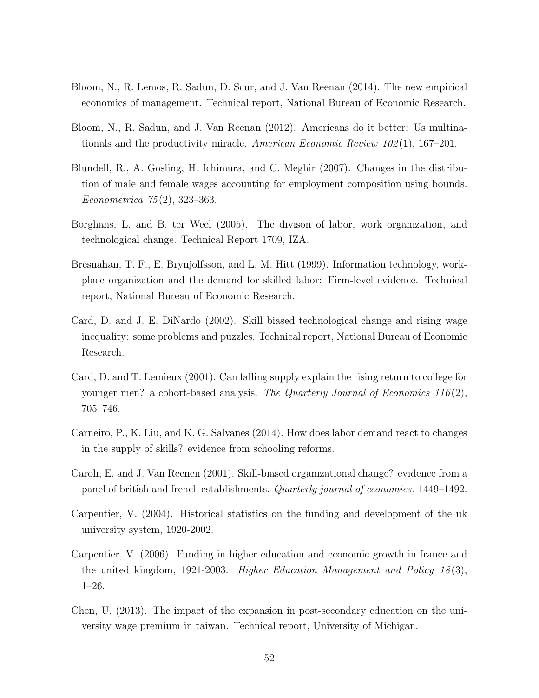- <span id="page-51-2"></span>Bloom, N., R. Lemos, R. Sadun, D. Scur, and J. Van Reenan (2014). The new empirical economics of management. Technical report, National Bureau of Economic Research.
- <span id="page-51-6"></span>Bloom, N., R. Sadun, and J. Van Reenan (2012). Americans do it better: Us multinationals and the productivity miracle. American Economic Review  $102(1)$ , 167–201.
- <span id="page-51-9"></span>Blundell, R., A. Gosling, H. Ichimura, and C. Meghir (2007). Changes in the distribution of male and female wages accounting for employment composition using bounds. Econometrica 75 (2), 323–363.
- <span id="page-51-3"></span>Borghans, L. and B. ter Weel (2005). The divison of labor, work organization, and technological change. Technical Report 1709, IZA.
- <span id="page-51-0"></span>Bresnahan, T. F., E. Brynjolfsson, and L. M. Hitt (1999). Information technology, workplace organization and the demand for skilled labor: Firm-level evidence. Technical report, National Bureau of Economic Research.
- <span id="page-51-5"></span>Card, D. and J. E. DiNardo (2002). Skill biased technological change and rising wage inequality: some problems and puzzles. Technical report, National Bureau of Economic Research.
- <span id="page-51-10"></span>Card, D. and T. Lemieux (2001). Can falling supply explain the rising return to college for younger men? a cohort-based analysis. The Quarterly Journal of Economics 116 $(2)$ , 705–746.
- <span id="page-51-11"></span>Carneiro, P., K. Liu, and K. G. Salvanes (2014). How does labor demand react to changes in the supply of skills? evidence from schooling reforms.
- <span id="page-51-1"></span>Caroli, E. and J. Van Reenen (2001). Skill-biased organizational change? evidence from a panel of british and french establishments. Quarterly journal of economics, 1449–1492.
- <span id="page-51-4"></span>Carpentier, V. (2004). Historical statistics on the funding and development of the uk university system, 1920-2002.
- <span id="page-51-7"></span>Carpentier, V. (2006). Funding in higher education and economic growth in france and the united kingdom, 1921-2003. *Higher Education Management and Policy 18*(3), 1–26.
- <span id="page-51-8"></span>Chen, U. (2013). The impact of the expansion in post-secondary education on the university wage premium in taiwan. Technical report, University of Michigan.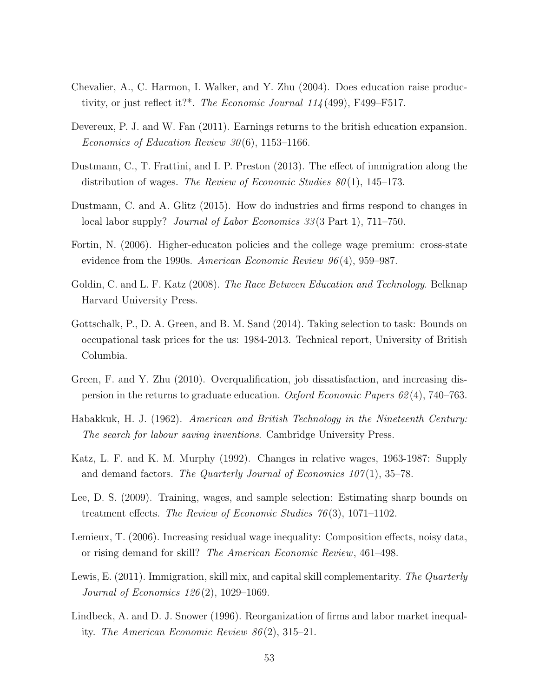- <span id="page-52-5"></span>Chevalier, A., C. Harmon, I. Walker, and Y. Zhu (2004). Does education raise productivity, or just reflect it?\*. The Economic Journal 114 (499), F499–F517.
- <span id="page-52-2"></span>Devereux, P. J. and W. Fan (2011). Earnings returns to the british education expansion. Economics of Education Review  $30(6)$ , 1153–1166.
- <span id="page-52-6"></span>Dustmann, C., T. Frattini, and I. P. Preston (2013). The effect of immigration along the distribution of wages. The Review of Economic Studies  $80(1)$ , 145–173.
- <span id="page-52-11"></span>Dustmann, C. and A. Glitz (2015). How do industries and firms respond to changes in local labor supply? *Journal of Labor Economics* 33(3 Part 1), 711–750.
- <span id="page-52-4"></span>Fortin, N. (2006). Higher-educaton policies and the college wage premium: cross-state evidence from the 1990s. American Economic Review 96 (4), 959–987.
- <span id="page-52-0"></span>Goldin, C. and L. F. Katz (2008). *The Race Between Education and Technology*. Belknap Harvard University Press.
- <span id="page-52-8"></span>Gottschalk, P., D. A. Green, and B. M. Sand (2014). Taking selection to task: Bounds on occupational task prices for the us: 1984-2013. Technical report, University of British Columbia.
- <span id="page-52-1"></span>Green, F. and Y. Zhu (2010). Overqualification, job dissatisfaction, and increasing dispersion in the returns to graduate education. Oxford Economic Papers 62 (4), 740–763.
- <span id="page-52-9"></span>Habakkuk, H. J. (1962). American and British Technology in the Nineteenth Century: The search for labour saving inventions. Cambridge University Press.
- <span id="page-52-13"></span>Katz, L. F. and K. M. Murphy (1992). Changes in relative wages, 1963-1987: Supply and demand factors. The Quarterly Journal of Economics  $107(1)$ , 35–78.
- <span id="page-52-7"></span>Lee, D. S. (2009). Training, wages, and sample selection: Estimating sharp bounds on treatment effects. The Review of Economic Studies  $76(3)$ , 1071–1102.
- <span id="page-52-3"></span>Lemieux, T. (2006). Increasing residual wage inequality: Composition effects, noisy data, or rising demand for skill? The American Economic Review, 461–498.
- <span id="page-52-10"></span>Lewis, E. (2011). Immigration, skill mix, and capital skill complementarity. The Quarterly Journal of Economics 126 (2), 1029–1069.
- <span id="page-52-12"></span>Lindbeck, A. and D. J. Snower (1996). Reorganization of firms and labor market inequality. The American Economic Review 86 (2), 315–21.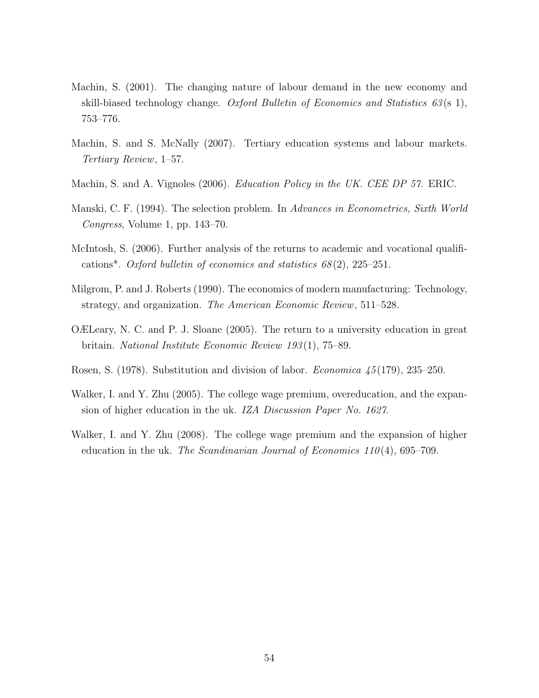- <span id="page-53-6"></span>Machin, S. (2001). The changing nature of labour demand in the new economy and skill-biased technology change. Oxford Bulletin of Economics and Statistics  $63(s, 1)$ , 753–776.
- <span id="page-53-0"></span>Machin, S. and S. McNally (2007). Tertiary education systems and labour markets. Tertiary Review, 1–57.
- <span id="page-53-7"></span>Machin, S. and A. Vignoles (2006). Education Policy in the UK. CEE DP 57. ERIC.
- <span id="page-53-9"></span>Manski, C. F. (1994). The selection problem. In Advances in Econometrics, Sixth World Congress, Volume 1, pp. 143–70.
- <span id="page-53-4"></span>McIntosh, S. (2006). Further analysis of the returns to academic and vocational qualifications<sup>\*</sup>. Oxford bulletin of economics and statistics  $68(2)$ ,  $225-251$ .
- <span id="page-53-5"></span>Milgrom, P. and J. Roberts (1990). The economics of modern manufacturing: Technology, strategy, and organization. The American Economic Review, 511–528.
- <span id="page-53-2"></span>OÆLeary, N. C. and P. J. Sloane (2005). The return to a university education in great britain. National Institute Economic Review 193 (1), 75–89.
- <span id="page-53-1"></span>Rosen, S. (1978). Substitution and division of labor. Economica 45 (179), 235–250.
- <span id="page-53-8"></span>Walker, I. and Y. Zhu (2005). The college wage premium, overeducation, and the expansion of higher education in the uk. IZA Discussion Paper No. 1627.
- <span id="page-53-3"></span>Walker, I. and Y. Zhu (2008). The college wage premium and the expansion of higher education in the uk. The Scandinavian Journal of Economics  $110(4)$ , 695–709.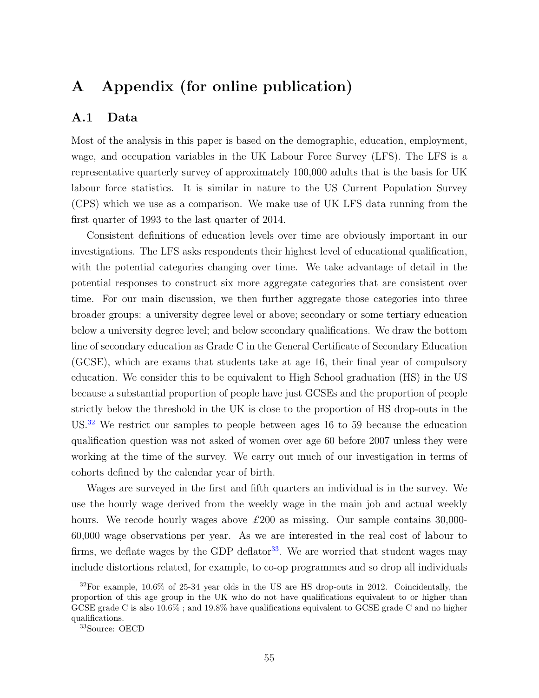## A Appendix (for online publication)

#### A.1 Data

Most of the analysis in this paper is based on the demographic, education, employment, wage, and occupation variables in the UK Labour Force Survey (LFS). The LFS is a representative quarterly survey of approximately 100,000 adults that is the basis for UK labour force statistics. It is similar in nature to the US Current Population Survey (CPS) which we use as a comparison. We make use of UK LFS data running from the first quarter of 1993 to the last quarter of 2014.

Consistent definitions of education levels over time are obviously important in our investigations. The LFS asks respondents their highest level of educational qualification, with the potential categories changing over time. We take advantage of detail in the potential responses to construct six more aggregate categories that are consistent over time. For our main discussion, we then further aggregate those categories into three broader groups: a university degree level or above; secondary or some tertiary education below a university degree level; and below secondary qualifications. We draw the bottom line of secondary education as Grade C in the General Certificate of Secondary Education (GCSE), which are exams that students take at age 16, their final year of compulsory education. We consider this to be equivalent to High School graduation (HS) in the US because a substantial proportion of people have just GCSEs and the proportion of people strictly below the threshold in the UK is close to the proportion of HS drop-outs in the US.<sup>[32](#page-54-0)</sup> We restrict our samples to people between ages 16 to 59 because the education qualification question was not asked of women over age 60 before 2007 unless they were working at the time of the survey. We carry out much of our investigation in terms of cohorts defined by the calendar year of birth.

Wages are surveyed in the first and fifth quarters an individual is in the survey. We use the hourly wage derived from the weekly wage in the main job and actual weekly hours. We recode hourly wages above  $\pounds 200$  as missing. Our sample contains 30,000-60,000 wage observations per year. As we are interested in the real cost of labour to firms, we deflate wages by the GDP deflator<sup>[33](#page-54-1)</sup>. We are worried that student wages may include distortions related, for example, to co-op programmes and so drop all individuals

<span id="page-54-0"></span><sup>&</sup>lt;sup>32</sup>For example, 10.6% of 25-34 year olds in the US are HS drop-outs in 2012. Coincidentally, the proportion of this age group in the UK who do not have qualifications equivalent to or higher than GCSE grade C is also 10.6% ; and 19.8% have qualifications equivalent to GCSE grade C and no higher qualifications.

<span id="page-54-1"></span><sup>33</sup>Source: OECD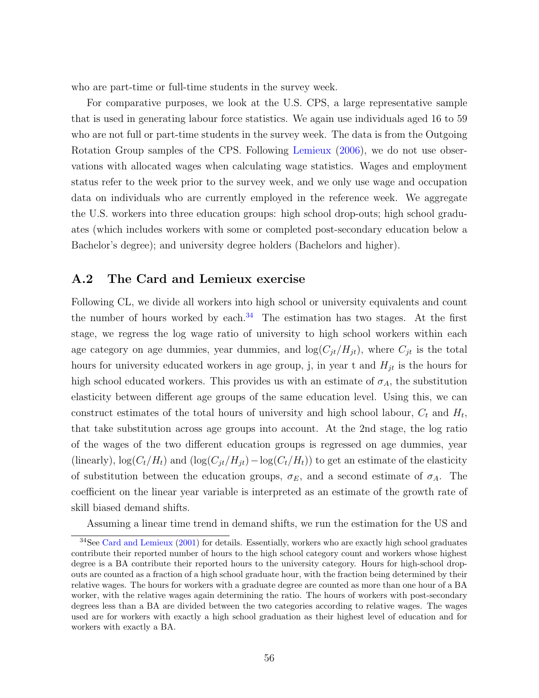who are part-time or full-time students in the survey week.

For comparative purposes, we look at the U.S. CPS, a large representative sample that is used in generating labour force statistics. We again use individuals aged 16 to 59 who are not full or part-time students in the survey week. The data is from the Outgoing Rotation Group samples of the CPS. Following [Lemieux](#page-52-3) [\(2006\)](#page-52-3), we do not use observations with allocated wages when calculating wage statistics. Wages and employment status refer to the week prior to the survey week, and we only use wage and occupation data on individuals who are currently employed in the reference week. We aggregate the U.S. workers into three education groups: high school drop-outs; high school graduates (which includes workers with some or completed post-secondary education below a Bachelor's degree); and university degree holders (Bachelors and higher).

#### A.2 The Card and Lemieux exercise

Following CL, we divide all workers into high school or university equivalents and count the number of hours worked by each.<sup>[34](#page-55-0)</sup> The estimation has two stages. At the first stage, we regress the log wage ratio of university to high school workers within each age category on age dummies, year dummies, and  $log(C_{jt}/H_{jt})$ , where  $C_{jt}$  is the total hours for university educated workers in age group, j, in year t and  $H_{jt}$  is the hours for high school educated workers. This provides us with an estimate of  $\sigma_A$ , the substitution elasticity between different age groups of the same education level. Using this, we can construct estimates of the total hours of university and high school labour,  $C_t$  and  $H_t$ , that take substitution across age groups into account. At the 2nd stage, the log ratio of the wages of the two different education groups is regressed on age dummies, year (linearly),  $\log(C_t/H_t)$  and  $(\log(C_{jt}/H_{jt})-\log(C_t/H_t))$  to get an estimate of the elasticity of substitution between the education groups,  $\sigma_E$ , and a second estimate of  $\sigma_A$ . The coefficient on the linear year variable is interpreted as an estimate of the growth rate of skill biased demand shifts.

<span id="page-55-0"></span>Assuming a linear time trend in demand shifts, we run the estimation for the US and

<sup>&</sup>lt;sup>34</sup>See [Card and Lemieux](#page-51-10) [\(2001\)](#page-51-10) for details. Essentially, workers who are exactly high school graduates contribute their reported number of hours to the high school category count and workers whose highest degree is a BA contribute their reported hours to the university category. Hours for high-school dropouts are counted as a fraction of a high school graduate hour, with the fraction being determined by their relative wages. The hours for workers with a graduate degree are counted as more than one hour of a BA worker, with the relative wages again determining the ratio. The hours of workers with post-secondary degrees less than a BA are divided between the two categories according to relative wages. The wages used are for workers with exactly a high school graduation as their highest level of education and for workers with exactly a BA.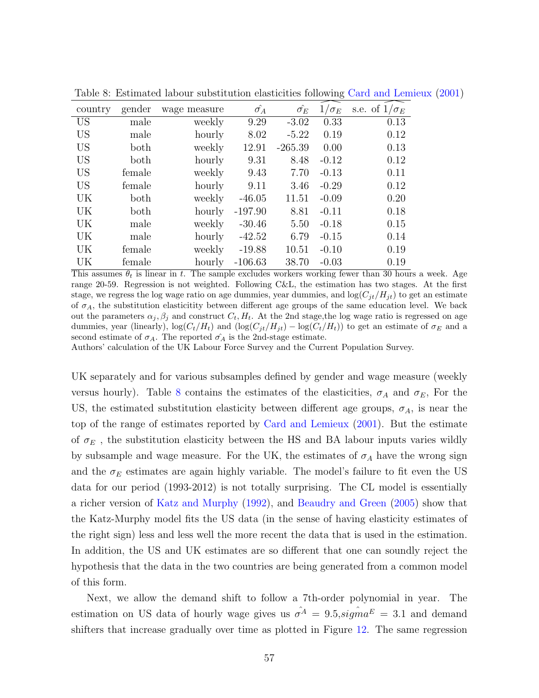| country   | gender | wage measure | $\hat{\sigma_A}$ | $\hat{\sigma_E}$ | $1/\sigma_E$ | s.e. of $1/\sigma_E$ |
|-----------|--------|--------------|------------------|------------------|--------------|----------------------|
| <b>US</b> | male   | weekly       | 9.29             | $-3.02$          | 0.33         | 0.13                 |
| <b>US</b> | male   | hourly       | 8.02             | $-5.22$          | 0.19         | 0.12                 |
| <b>US</b> | both   | weekly       | 12.91            | $-265.39$        | 0.00         | 0.13                 |
| <b>US</b> | both   | hourly       | 9.31             | 8.48             | $-0.12$      | 0.12                 |
| <b>US</b> | female | weekly       | 9.43             | 7.70             | $-0.13$      | 0.11                 |
| <b>US</b> | female | hourly       | 9.11             | 3.46             | $-0.29$      | 0.12                 |
| UK        | both   | weekly       | $-46.05$         | 11.51            | $-0.09$      | 0.20                 |
| UK        | both   | hourly       | $-197.90$        | 8.81             | $-0.11$      | 0.18                 |
| UK        | male   | weekly       | $-30.46$         | 5.50             | $-0.18$      | 0.15                 |
| UK        | male   | hourly       | $-42.52$         | 6.79             | $-0.15$      | 0.14                 |
| UK        | female | weekly       | $-19.88$         | 10.51            | $-0.10$      | 0.19                 |
| UK        | female | hourly       | $-106.63$        | 38.70            | $-0.03$      | 0.19                 |

<span id="page-56-0"></span>Table 8: Estimated labour substitution elasticities following [Card and Lemieux](#page-51-10) [\(2001\)](#page-51-10)

This assumes  $\theta_t$  is linear in t. The sample excludes workers working fewer than 30 hours a week. Age range 20-59. Regression is not weighted. Following C&L, the estimation has two stages. At the first stage, we regress the log wage ratio on age dummies, year dummies, and  $\log(C_{it}/H_{it})$  to get an estimate of  $\sigma_A$ , the substitution elasticitity between different age groups of the same education level. We back out the parameters  $\alpha_j, \beta_j$  and construct  $C_t, H_t$ . At the 2nd stage, the log wage ratio is regressed on age dummies, year (linearly),  $\log(C_t/H_t)$  and  $(\log(C_{jt}/H_{jt}) - \log(C_t/H_t))$  to get an estimate of  $\sigma_E$  and a second estimate of  $\sigma_A$ . The reported  $\sigma_A$  is the 2nd-stage estimate.

Authors' calculation of the UK Labour Force Survey and the Current Population Survey.

UK separately and for various subsamples defined by gender and wage measure (weekly versus hourly). Table [8](#page-56-0) contains the estimates of the elasticities,  $\sigma_A$  and  $\sigma_E$ , For the US, the estimated substitution elasticity between different age groups,  $\sigma_A$ , is near the top of the range of estimates reported by [Card and Lemieux](#page-51-10) [\(2001\)](#page-51-10). But the estimate of  $\sigma_E$ , the substitution elasticity between the HS and BA labour inputs varies wildly by subsample and wage measure. For the UK, the estimates of  $\sigma_A$  have the wrong sign and the  $\sigma_E$  estimates are again highly variable. The model's failure to fit even the US data for our period (1993-2012) is not totally surprising. The CL model is essentially a richer version of [Katz and Murphy](#page-52-13) [\(1992\)](#page-52-13), and [Beaudry and Green](#page-50-2) [\(2005\)](#page-50-2) show that the Katz-Murphy model fits the US data (in the sense of having elasticity estimates of the right sign) less and less well the more recent the data that is used in the estimation. In addition, the US and UK estimates are so different that one can soundly reject the hypothesis that the data in the two countries are being generated from a common model of this form.

Next, we allow the demand shift to follow a 7th-order polynomial in year. The estimation on US data of hourly wage gives us  $\hat{\sigma}^A = 9.5$ ,  $signa^E = 3.1$  and demand shifters that increase gradually over time as plotted in Figure [12.](#page-57-0) The same regression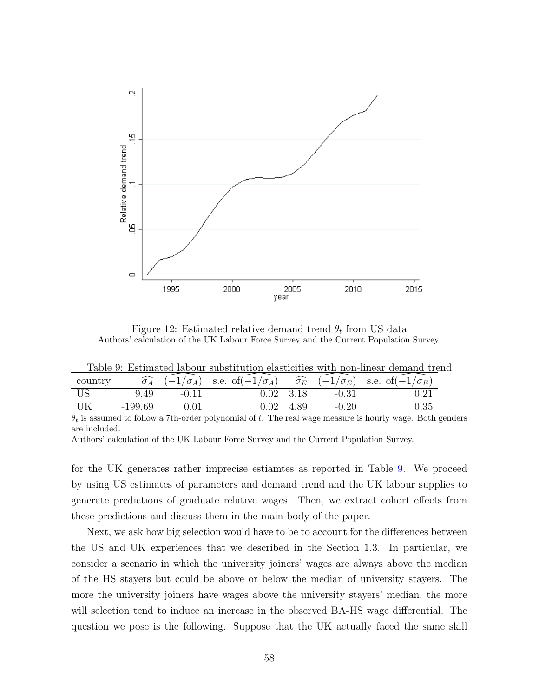

<span id="page-57-1"></span><span id="page-57-0"></span>Figure 12: Estimated relative demand trend  $\theta_t$  from US data Authors' calculation of the UK Labour Force Survey and the Current Population Survey.

| country |           |         | $\widehat{\sigma}_A$ $(-1/\sigma_A)$ s.e. of $(-1/\sigma_A)$ $\widehat{\sigma}_E$ $(-1/\sigma_E)$ s.e. of $(-1/\sigma_E)$ |                   |         |      |
|---------|-----------|---------|---------------------------------------------------------------------------------------------------------------------------|-------------------|---------|------|
| - US    | 9.49      | $-0.11$ |                                                                                                                           | $0.02 \quad 3.18$ | $-0.31$ |      |
| UK      | $-199.69$ | .01     | $0.02 \quad 4.89$                                                                                                         |                   | $-0.20$ | 0.35 |

 $\theta_t$  is assumed to follow a 7th-order polynomial of t. The real wage measure is hourly wage. Both genders are included.

Authors' calculation of the UK Labour Force Survey and the Current Population Survey.

for the UK generates rather imprecise estiamtes as reported in Table [9.](#page-57-1) We proceed by using US estimates of parameters and demand trend and the UK labour supplies to generate predictions of graduate relative wages. Then, we extract cohort effects from these predictions and discuss them in the main body of the paper.

Next, we ask how big selection would have to be to account for the differences between the US and UK experiences that we described in the Section 1.3. In particular, we consider a scenario in which the university joiners' wages are always above the median of the HS stayers but could be above or below the median of university stayers. The more the university joiners have wages above the university stayers' median, the more will selection tend to induce an increase in the observed BA-HS wage differential. The question we pose is the following. Suppose that the UK actually faced the same skill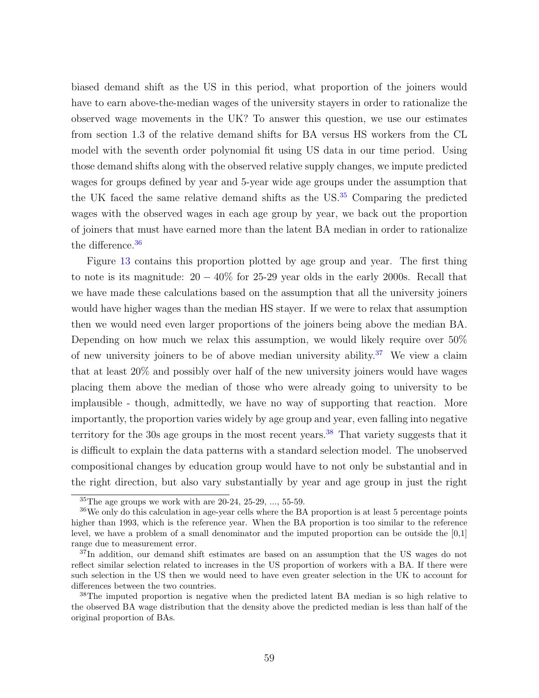biased demand shift as the US in this period, what proportion of the joiners would have to earn above-the-median wages of the university stayers in order to rationalize the observed wage movements in the UK? To answer this question, we use our estimates from section 1.3 of the relative demand shifts for BA versus HS workers from the CL model with the seventh order polynomial fit using US data in our time period. Using those demand shifts along with the observed relative supply changes, we impute predicted wages for groups defined by year and 5-year wide age groups under the assumption that the UK faced the same relative demand shifts as the US.<sup>[35](#page-58-0)</sup> Comparing the predicted wages with the observed wages in each age group by year, we back out the proportion of joiners that must have earned more than the latent BA median in order to rationalize the difference.<sup>[36](#page-58-1)</sup>

Figure [13](#page-59-0) contains this proportion plotted by age group and year. The first thing to note is its magnitude:  $20 - 40\%$  for 25-29 year olds in the early 2000s. Recall that we have made these calculations based on the assumption that all the university joiners would have higher wages than the median HS stayer. If we were to relax that assumption then we would need even larger proportions of the joiners being above the median BA. Depending on how much we relax this assumption, we would likely require over 50% of new university joiners to be of above median university ability.<sup>[37](#page-58-2)</sup> We view a claim that at least 20% and possibly over half of the new university joiners would have wages placing them above the median of those who were already going to university to be implausible - though, admittedly, we have no way of supporting that reaction. More importantly, the proportion varies widely by age group and year, even falling into negative territory for the 30s age groups in the most recent years.<sup>[38](#page-58-3)</sup> That variety suggests that it is difficult to explain the data patterns with a standard selection model. The unobserved compositional changes by education group would have to not only be substantial and in the right direction, but also vary substantially by year and age group in just the right

<span id="page-58-1"></span><span id="page-58-0"></span> ${}^{35}$ The age groups we work with are 20-24, 25-29, ..., 55-59.

<sup>36</sup>We only do this calculation in age-year cells where the BA proportion is at least 5 percentage points higher than 1993, which is the reference year. When the BA proportion is too similar to the reference level, we have a problem of a small denominator and the imputed proportion can be outside the [0,1] range due to measurement error.

<span id="page-58-2"></span><sup>&</sup>lt;sup>37</sup>In addition, our demand shift estimates are based on an assumption that the US wages do not reflect similar selection related to increases in the US proportion of workers with a BA. If there were such selection in the US then we would need to have even greater selection in the UK to account for differences between the two countries.

<span id="page-58-3"></span><sup>&</sup>lt;sup>38</sup>The imputed proportion is negative when the predicted latent BA median is so high relative to the observed BA wage distribution that the density above the predicted median is less than half of the original proportion of BAs.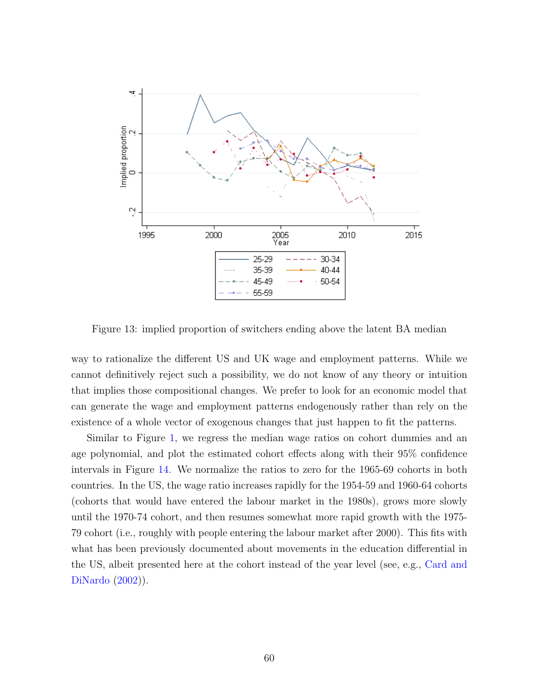

<span id="page-59-0"></span>Figure 13: implied proportion of switchers ending above the latent BA median

way to rationalize the different US and UK wage and employment patterns. While we cannot definitively reject such a possibility, we do not know of any theory or intuition that implies those compositional changes. We prefer to look for an economic model that can generate the wage and employment patterns endogenously rather than rely on the existence of a whole vector of exogenous changes that just happen to fit the patterns.

Similar to Figure [1,](#page-11-0) we regress the median wage ratios on cohort dummies and an age polynomial, and plot the estimated cohort effects along with their 95% confidence intervals in Figure [14.](#page-60-1) We normalize the ratios to zero for the 1965-69 cohorts in both countries. In the US, the wage ratio increases rapidly for the 1954-59 and 1960-64 cohorts (cohorts that would have entered the labour market in the 1980s), grows more slowly until the 1970-74 cohort, and then resumes somewhat more rapid growth with the 1975- 79 cohort (i.e., roughly with people entering the labour market after 2000). This fits with what has been previously documented about movements in the education differential in the US, albeit presented here at the cohort instead of the year level (see, e.g., [Card and](#page-51-5) [DiNardo](#page-51-5) [\(2002\)](#page-51-5)).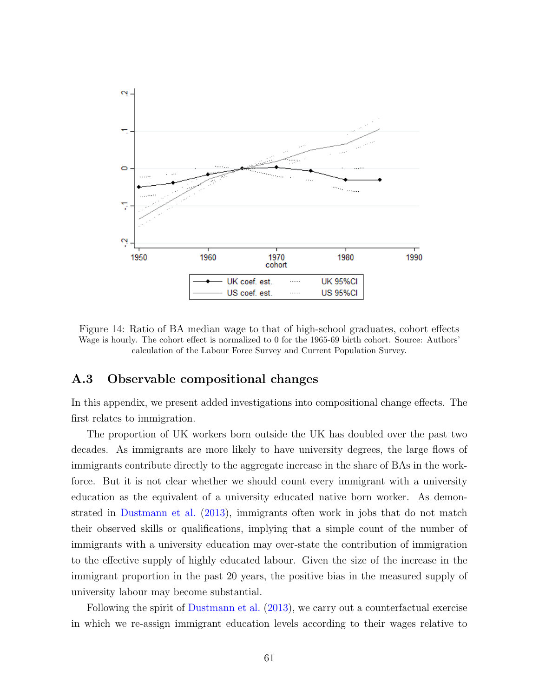

<span id="page-60-1"></span>Figure 14: Ratio of BA median wage to that of high-school graduates, cohort effects Wage is hourly. The cohort effect is normalized to 0 for the 1965-69 birth cohort. Source: Authors' calculation of the Labour Force Survey and Current Population Survey.

#### <span id="page-60-0"></span>A.3 Observable compositional changes

In this appendix, we present added investigations into compositional change effects. The first relates to immigration.

The proportion of UK workers born outside the UK has doubled over the past two decades. As immigrants are more likely to have university degrees, the large flows of immigrants contribute directly to the aggregate increase in the share of BAs in the workforce. But it is not clear whether we should count every immigrant with a university education as the equivalent of a university educated native born worker. As demonstrated in [Dustmann et al.](#page-52-6) [\(2013\)](#page-52-6), immigrants often work in jobs that do not match their observed skills or qualifications, implying that a simple count of the number of immigrants with a university education may over-state the contribution of immigration to the effective supply of highly educated labour. Given the size of the increase in the immigrant proportion in the past 20 years, the positive bias in the measured supply of university labour may become substantial.

Following the spirit of [Dustmann et al.](#page-52-6) [\(2013\)](#page-52-6), we carry out a counterfactual exercise in which we re-assign immigrant education levels according to their wages relative to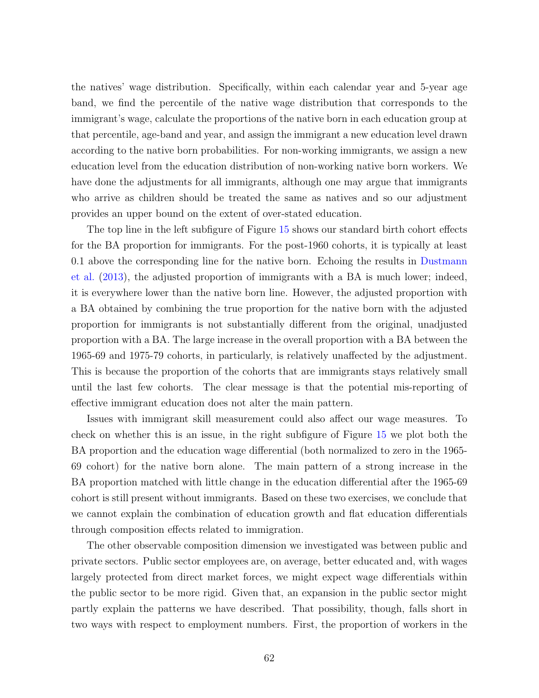the natives' wage distribution. Specifically, within each calendar year and 5-year age band, we find the percentile of the native wage distribution that corresponds to the immigrant's wage, calculate the proportions of the native born in each education group at that percentile, age-band and year, and assign the immigrant a new education level drawn according to the native born probabilities. For non-working immigrants, we assign a new education level from the education distribution of non-working native born workers. We have done the adjustments for all immigrants, although one may argue that immigrants who arrive as children should be treated the same as natives and so our adjustment provides an upper bound on the extent of over-stated education.

The top line in the left subfigure of Figure [15](#page-62-0) shows our standard birth cohort effects for the BA proportion for immigrants. For the post-1960 cohorts, it is typically at least 0.1 above the corresponding line for the native born. Echoing the results in [Dustmann](#page-52-6) [et al.](#page-52-6) [\(2013\)](#page-52-6), the adjusted proportion of immigrants with a BA is much lower; indeed, it is everywhere lower than the native born line. However, the adjusted proportion with a BA obtained by combining the true proportion for the native born with the adjusted proportion for immigrants is not substantially different from the original, unadjusted proportion with a BA. The large increase in the overall proportion with a BA between the 1965-69 and 1975-79 cohorts, in particularly, is relatively unaffected by the adjustment. This is because the proportion of the cohorts that are immigrants stays relatively small until the last few cohorts. The clear message is that the potential mis-reporting of effective immigrant education does not alter the main pattern.

Issues with immigrant skill measurement could also affect our wage measures. To check on whether this is an issue, in the right subfigure of Figure [15](#page-62-0) we plot both the BA proportion and the education wage differential (both normalized to zero in the 1965- 69 cohort) for the native born alone. The main pattern of a strong increase in the BA proportion matched with little change in the education differential after the 1965-69 cohort is still present without immigrants. Based on these two exercises, we conclude that we cannot explain the combination of education growth and flat education differentials through composition effects related to immigration.

The other observable composition dimension we investigated was between public and private sectors. Public sector employees are, on average, better educated and, with wages largely protected from direct market forces, we might expect wage differentials within the public sector to be more rigid. Given that, an expansion in the public sector might partly explain the patterns we have described. That possibility, though, falls short in two ways with respect to employment numbers. First, the proportion of workers in the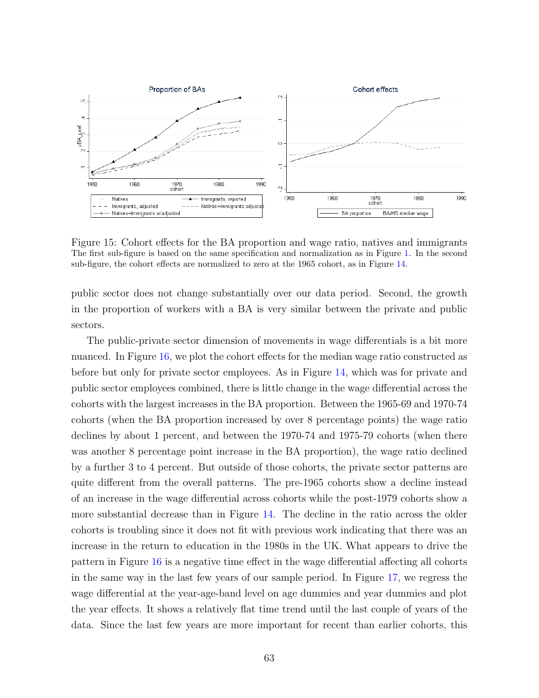

<span id="page-62-0"></span>Figure 15: Cohort effects for the BA proportion and wage ratio, natives and immigrants The first sub-figure is based on the same specification and normalization as in Figure [1.](#page-11-0) In the second sub-figure, the cohort effects are normalized to zero at the 1965 cohort, as in Figure [14.](#page-60-1)

public sector does not change substantially over our data period. Second, the growth in the proportion of workers with a BA is very similar between the private and public sectors.

The public-private sector dimension of movements in wage differentials is a bit more nuanced. In Figure [16,](#page-63-0) we plot the cohort effects for the median wage ratio constructed as before but only for private sector employees. As in Figure [14,](#page-60-1) which was for private and public sector employees combined, there is little change in the wage differential across the cohorts with the largest increases in the BA proportion. Between the 1965-69 and 1970-74 cohorts (when the BA proportion increased by over 8 percentage points) the wage ratio declines by about 1 percent, and between the 1970-74 and 1975-79 cohorts (when there was another 8 percentage point increase in the BA proportion), the wage ratio declined by a further 3 to 4 percent. But outside of those cohorts, the private sector patterns are quite different from the overall patterns. The pre-1965 cohorts show a decline instead of an increase in the wage differential across cohorts while the post-1979 cohorts show a more substantial decrease than in Figure [14.](#page-60-1) The decline in the ratio across the older cohorts is troubling since it does not fit with previous work indicating that there was an increase in the return to education in the 1980s in the UK. What appears to drive the pattern in Figure [16](#page-63-0) is a negative time effect in the wage differential affecting all cohorts in the same way in the last few years of our sample period. In Figure [17,](#page-64-0) we regress the wage differential at the year-age-band level on age dummies and year dummies and plot the year effects. It shows a relatively flat time trend until the last couple of years of the data. Since the last few years are more important for recent than earlier cohorts, this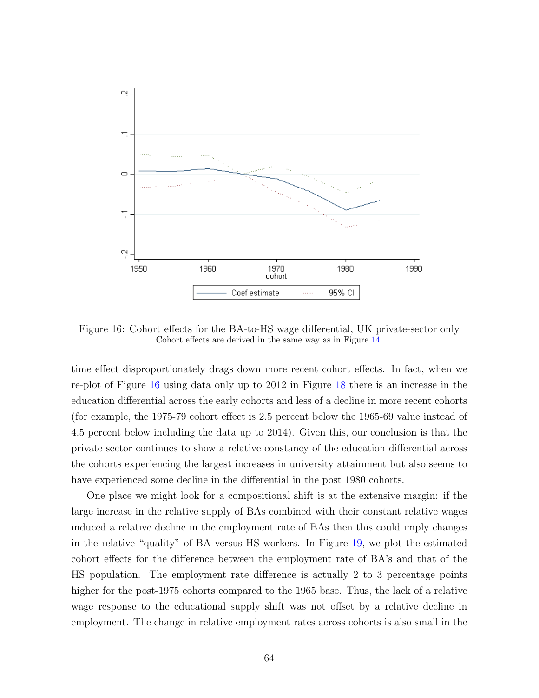

<span id="page-63-0"></span>Figure 16: Cohort effects for the BA-to-HS wage differential, UK private-sector only Cohort effects are derived in the same way as in Figure [14.](#page-60-1)

time effect disproportionately drags down more recent cohort effects. In fact, when we re-plot of Figure [16](#page-63-0) using data only up to 2012 in Figure [18](#page-64-1) there is an increase in the education differential across the early cohorts and less of a decline in more recent cohorts (for example, the 1975-79 cohort effect is 2.5 percent below the 1965-69 value instead of 4.5 percent below including the data up to 2014). Given this, our conclusion is that the private sector continues to show a relative constancy of the education differential across the cohorts experiencing the largest increases in university attainment but also seems to have experienced some decline in the differential in the post 1980 cohorts.

One place we might look for a compositional shift is at the extensive margin: if the large increase in the relative supply of BAs combined with their constant relative wages induced a relative decline in the employment rate of BAs then this could imply changes in the relative "quality" of BA versus HS workers. In Figure [19,](#page-65-1) we plot the estimated cohort effects for the difference between the employment rate of BA's and that of the HS population. The employment rate difference is actually 2 to 3 percentage points higher for the post-1975 cohorts compared to the 1965 base. Thus, the lack of a relative wage response to the educational supply shift was not offset by a relative decline in employment. The change in relative employment rates across cohorts is also small in the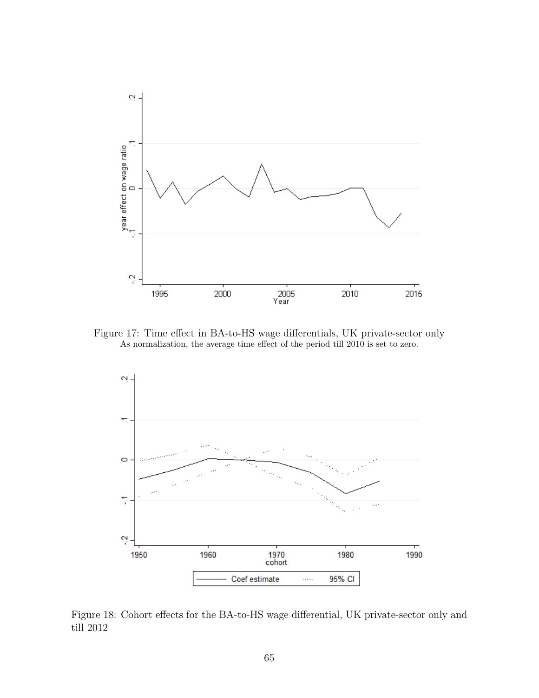

<span id="page-64-0"></span>Figure 17: Time effect in BA-to-HS wage differentials, UK private-sector only As normalization, the average time effect of the period till 2010 is set to zero.



<span id="page-64-1"></span>Figure 18: Cohort effects for the BA-to-HS wage differential, UK private-sector only and till 2012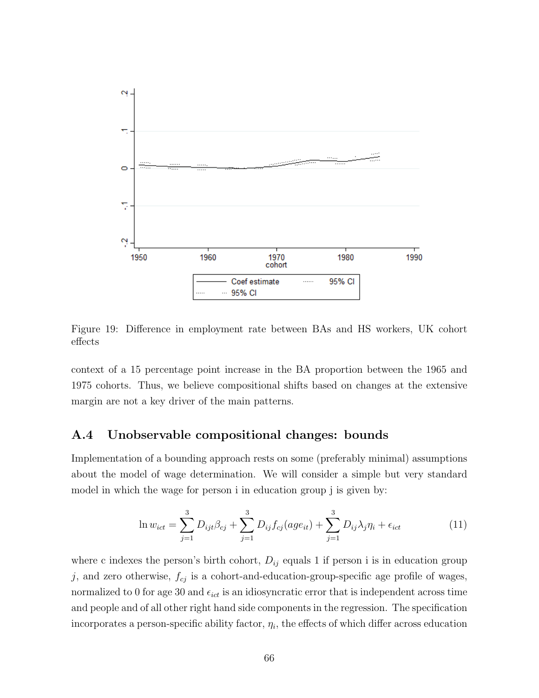

<span id="page-65-1"></span>Figure 19: Difference in employment rate between BAs and HS workers, UK cohort effects

context of a 15 percentage point increase in the BA proportion between the 1965 and 1975 cohorts. Thus, we believe compositional shifts based on changes at the extensive margin are not a key driver of the main patterns.

#### <span id="page-65-0"></span>A.4 Unobservable compositional changes: bounds

Implementation of a bounding approach rests on some (preferably minimal) assumptions about the model of wage determination. We will consider a simple but very standard model in which the wage for person i in education group j is given by:

<span id="page-65-2"></span>
$$
\ln w_{ict} = \sum_{j=1}^{3} D_{ijt} \beta_{cj} + \sum_{j=1}^{3} D_{ij} f_{cj}(age_{it}) + \sum_{j=1}^{3} D_{ij} \lambda_j \eta_i + \epsilon_{ict}
$$
 (11)

where c indexes the person's birth cohort,  $D_{ij}$  equals 1 if person i is in education group  $j$ , and zero otherwise,  $f_{cj}$  is a cohort-and-education-group-specific age profile of wages, normalized to 0 for age 30 and  $\epsilon_{ict}$  is an idiosyncratic error that is independent across time and people and of all other right hand side components in the regression. The specification incorporates a person-specific ability factor,  $\eta_i$ , the effects of which differ across education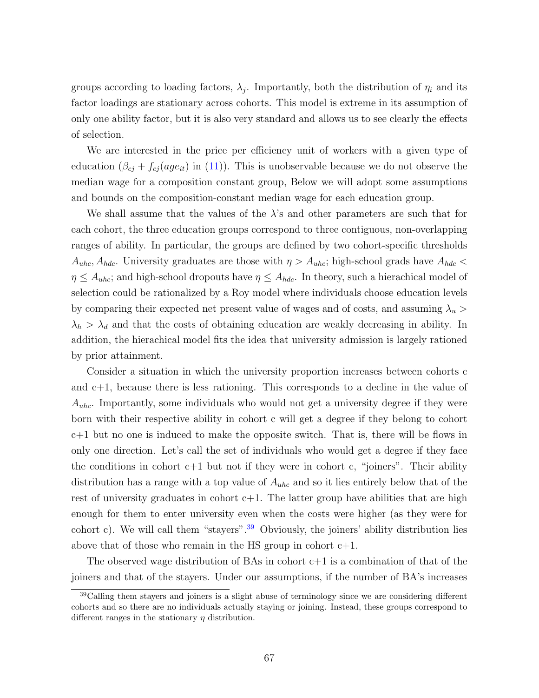groups according to loading factors,  $\lambda_j$ . Importantly, both the distribution of  $\eta_i$  and its factor loadings are stationary across cohorts. This model is extreme in its assumption of only one ability factor, but it is also very standard and allows us to see clearly the effects of selection.

We are interested in the price per efficiency unit of workers with a given type of education  $(\beta_{cj} + f_{cj}(age_{it})$  in [\(11\)](#page-65-2)). This is unobservable because we do not observe the median wage for a composition constant group, Below we will adopt some assumptions and bounds on the composition-constant median wage for each education group.

We shall assume that the values of the  $\lambda$ 's and other parameters are such that for each cohort, the three education groups correspond to three contiguous, non-overlapping ranges of ability. In particular, the groups are defined by two cohort-specific thresholds  $A_{uhc}, A_{hdc}$ . University graduates are those with  $\eta > A_{uhc}$ ; high-school grads have  $A_{hdc}$  $\eta \leq A_{uhc}$ ; and high-school dropouts have  $\eta \leq A_{hdc}$ . In theory, such a hierachical model of selection could be rationalized by a Roy model where individuals choose education levels by comparing their expected net present value of wages and of costs, and assuming  $\lambda_u$  $\lambda_h > \lambda_d$  and that the costs of obtaining education are weakly decreasing in ability. In addition, the hierachical model fits the idea that university admission is largely rationed by prior attainment.

Consider a situation in which the university proportion increases between cohorts c and c+1, because there is less rationing. This corresponds to a decline in the value of  $A_{uhc}$ . Importantly, some individuals who would not get a university degree if they were born with their respective ability in cohort c will get a degree if they belong to cohort c+1 but no one is induced to make the opposite switch. That is, there will be flows in only one direction. Let's call the set of individuals who would get a degree if they face the conditions in cohort  $c+1$  but not if they were in cohort c, "joiners". Their ability distribution has a range with a top value of  $A_{uhc}$  and so it lies entirely below that of the rest of university graduates in cohort  $c+1$ . The latter group have abilities that are high enough for them to enter university even when the costs were higher (as they were for cohort c). We will call them "stayers".<sup>[39](#page-66-0)</sup> Obviously, the joiners' ability distribution lies above that of those who remain in the HS group in cohort  $c+1$ .

The observed wage distribution of BAs in cohort  $c+1$  is a combination of that of the joiners and that of the stayers. Under our assumptions, if the number of BA's increases

<span id="page-66-0"></span><sup>&</sup>lt;sup>39</sup>Calling them stayers and joiners is a slight abuse of terminology since we are considering different cohorts and so there are no individuals actually staying or joining. Instead, these groups correspond to different ranges in the stationary  $\eta$  distribution.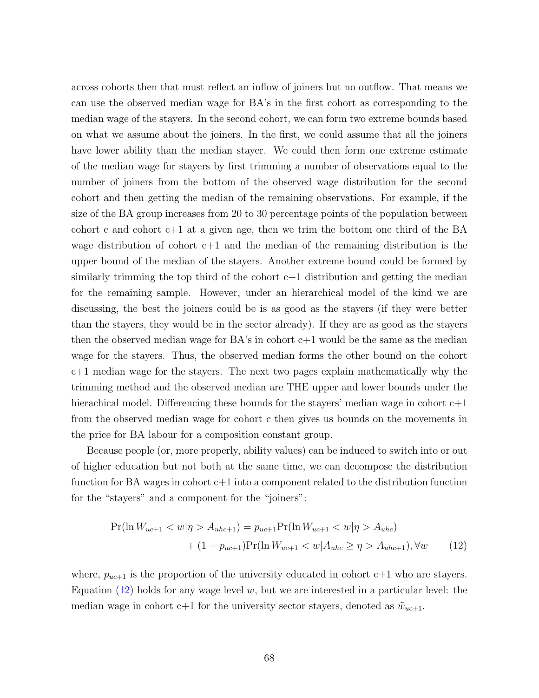across cohorts then that must reflect an inflow of joiners but no outflow. That means we can use the observed median wage for BA's in the first cohort as corresponding to the median wage of the stayers. In the second cohort, we can form two extreme bounds based on what we assume about the joiners. In the first, we could assume that all the joiners have lower ability than the median stayer. We could then form one extreme estimate of the median wage for stayers by first trimming a number of observations equal to the number of joiners from the bottom of the observed wage distribution for the second cohort and then getting the median of the remaining observations. For example, if the size of the BA group increases from 20 to 30 percentage points of the population between cohort c and cohort  $c+1$  at a given age, then we trim the bottom one third of the BA wage distribution of cohort  $c+1$  and the median of the remaining distribution is the upper bound of the median of the stayers. Another extreme bound could be formed by similarly trimming the top third of the cohort  $c+1$  distribution and getting the median for the remaining sample. However, under an hierarchical model of the kind we are discussing, the best the joiners could be is as good as the stayers (if they were better than the stayers, they would be in the sector already). If they are as good as the stayers then the observed median wage for  $BA$ 's in cohort  $c+1$  would be the same as the median wage for the stayers. Thus, the observed median forms the other bound on the cohort c+1 median wage for the stayers. The next two pages explain mathematically why the trimming method and the observed median are THE upper and lower bounds under the hierachical model. Differencing these bounds for the stayers' median wage in cohort  $c+1$ from the observed median wage for cohort c then gives us bounds on the movements in the price for BA labour for a composition constant group.

Because people (or, more properly, ability values) can be induced to switch into or out of higher education but not both at the same time, we can decompose the distribution function for BA wages in cohort c+1 into a component related to the distribution function for the "stayers" and a component for the "joiners":

<span id="page-67-0"></span>
$$
\Pr(\ln W_{uc+1} < w | \eta > A_{uhc+1}) = p_{uc+1} \Pr(\ln W_{uc+1} < w | \eta > A_{uhc}) \\
+ (1 - p_{uc+1}) \Pr(\ln W_{uc+1} < w | A_{uhc} \ge \eta > A_{uhc+1}), \forall w \tag{12}
$$

where,  $p_{uc+1}$  is the proportion of the university educated in cohort c+1 who are stayers. Equation [\(12\)](#page-67-0) holds for any wage level  $w$ , but we are interested in a particular level: the median wage in cohort c+1 for the university sector stayers, denoted as  $\tilde{w}_{uc+1}$ .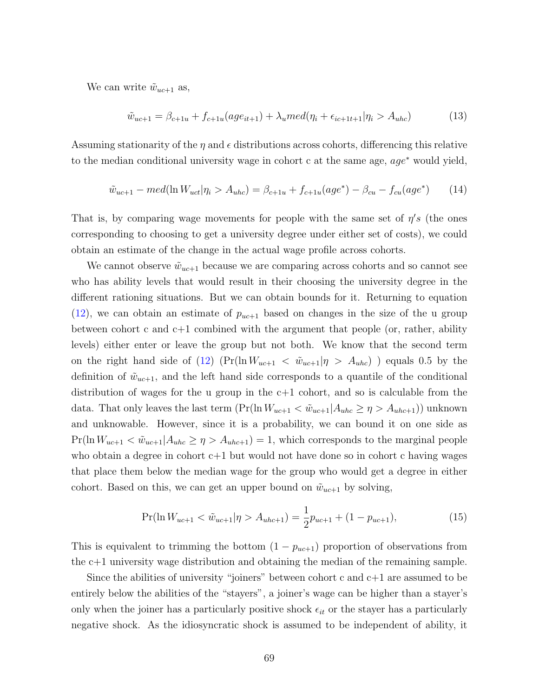We can write  $\tilde{w}_{uc+1}$  as,

$$
\tilde{w}_{uc+1} = \beta_{c+1u} + f_{c+1u}(age_{it+1}) + \lambda_u med(\eta_i + \epsilon_{ic+1t+1} | \eta_i > A_{uhc})
$$
\n(13)

Assuming stationarity of the  $\eta$  and  $\epsilon$  distributions across cohorts, differencing this relative to the median conditional university wage in cohort c at the same age,  $aqe^*$  would yield,

$$
\tilde{w}_{uc+1} - med(\ln W_{uct}|\eta_i > A_{uhc}) = \beta_{c+1u} + f_{c+1u}(age^*) - \beta_{cu} - f_{cu}(age^*)
$$
\n(14)

That is, by comparing wage movements for people with the same set of  $\eta's$  (the ones corresponding to choosing to get a university degree under either set of costs), we could obtain an estimate of the change in the actual wage profile across cohorts.

We cannot observe  $\tilde{w}_{uc+1}$  because we are comparing across cohorts and so cannot see who has ability levels that would result in their choosing the university degree in the different rationing situations. But we can obtain bounds for it. Returning to equation  $(12)$ , we can obtain an estimate of  $p_{uc+1}$  based on changes in the size of the u group between cohort c and c+1 combined with the argument that people (or, rather, ability levels) either enter or leave the group but not both. We know that the second term on the right hand side of [\(12\)](#page-67-0)  $(\Pr(\ln W_{uc+1} < \tilde{w}_{uc+1} | \eta > A_{uhc})$  ) equals 0.5 by the definition of  $\tilde{w}_{uc+1}$ , and the left hand side corresponds to a quantile of the conditional distribution of wages for the u group in the c+1 cohort, and so is calculable from the data. That only leaves the last term  $(\Pr(\ln W_{uc+1} < \tilde{w}_{uc+1} | A_{uhc} \ge \eta > A_{uhc+1}))$  unknown and unknowable. However, since it is a probability, we can bound it on one side as  $Pr(\ln W_{uc+1} < \tilde{w}_{uc+1} | A_{unc} \ge \eta > A_{unc+1}) = 1$ , which corresponds to the marginal people who obtain a degree in cohort  $c+1$  but would not have done so in cohort c having wages that place them below the median wage for the group who would get a degree in either cohort. Based on this, we can get an upper bound on  $\tilde{w}_{uc+1}$  by solving,

$$
\Pr(\ln W_{uc+1} < \tilde{w}_{uc+1} | \eta > A_{ubc+1}) = \frac{1}{2} p_{uc+1} + (1 - p_{uc+1}),\tag{15}
$$

This is equivalent to trimming the bottom  $(1 - p_{uc+1})$  proportion of observations from the c+1 university wage distribution and obtaining the median of the remaining sample.

Since the abilities of university "joiners" between cohort c and  $c+1$  are assumed to be entirely below the abilities of the "stayers", a joiner's wage can be higher than a stayer's only when the joiner has a particularly positive shock  $\epsilon_{it}$  or the stayer has a particularly negative shock. As the idiosyncratic shock is assumed to be independent of ability, it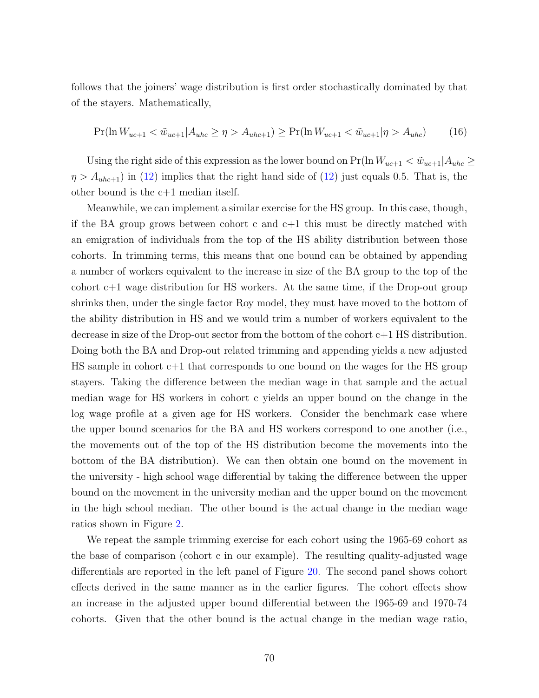follows that the joiners' wage distribution is first order stochastically dominated by that of the stayers. Mathematically,

$$
\Pr(\ln W_{uc+1} < \tilde{w}_{uc+1} | A_{uhc} \ge \eta > A_{uhc+1}) \ge \Pr(\ln W_{uc+1} < \tilde{w}_{uc+1} | \eta > A_{uhc}) \tag{16}
$$

Using the right side of this expression as the lower bound on  $Pr(\ln W_{uc+1} < \tilde{w}_{uc+1} | A_{unc} \ge$  $\eta > A_{uhc+1}$ ) in [\(12\)](#page-67-0) implies that the right hand side of (12) just equals 0.5. That is, the other bound is the c+1 median itself.

Meanwhile, we can implement a similar exercise for the HS group. In this case, though, if the BA group grows between cohort c and  $c+1$  this must be directly matched with an emigration of individuals from the top of the HS ability distribution between those cohorts. In trimming terms, this means that one bound can be obtained by appending a number of workers equivalent to the increase in size of the BA group to the top of the cohort c+1 wage distribution for HS workers. At the same time, if the Drop-out group shrinks then, under the single factor Roy model, they must have moved to the bottom of the ability distribution in HS and we would trim a number of workers equivalent to the decrease in size of the Drop-out sector from the bottom of the cohort c+1 HS distribution. Doing both the BA and Drop-out related trimming and appending yields a new adjusted HS sample in cohort c+1 that corresponds to one bound on the wages for the HS group stayers. Taking the difference between the median wage in that sample and the actual median wage for HS workers in cohort c yields an upper bound on the change in the log wage profile at a given age for HS workers. Consider the benchmark case where the upper bound scenarios for the BA and HS workers correspond to one another (i.e., the movements out of the top of the HS distribution become the movements into the bottom of the BA distribution). We can then obtain one bound on the movement in the university - high school wage differential by taking the difference between the upper bound on the movement in the university median and the upper bound on the movement in the high school median. The other bound is the actual change in the median wage ratios shown in Figure [2.](#page-13-0)

We repeat the sample trimming exercise for each cohort using the 1965-69 cohort as the base of comparison (cohort c in our example). The resulting quality-adjusted wage differentials are reported in the left panel of Figure [20.](#page-70-0) The second panel shows cohort effects derived in the same manner as in the earlier figures. The cohort effects show an increase in the adjusted upper bound differential between the 1965-69 and 1970-74 cohorts. Given that the other bound is the actual change in the median wage ratio,